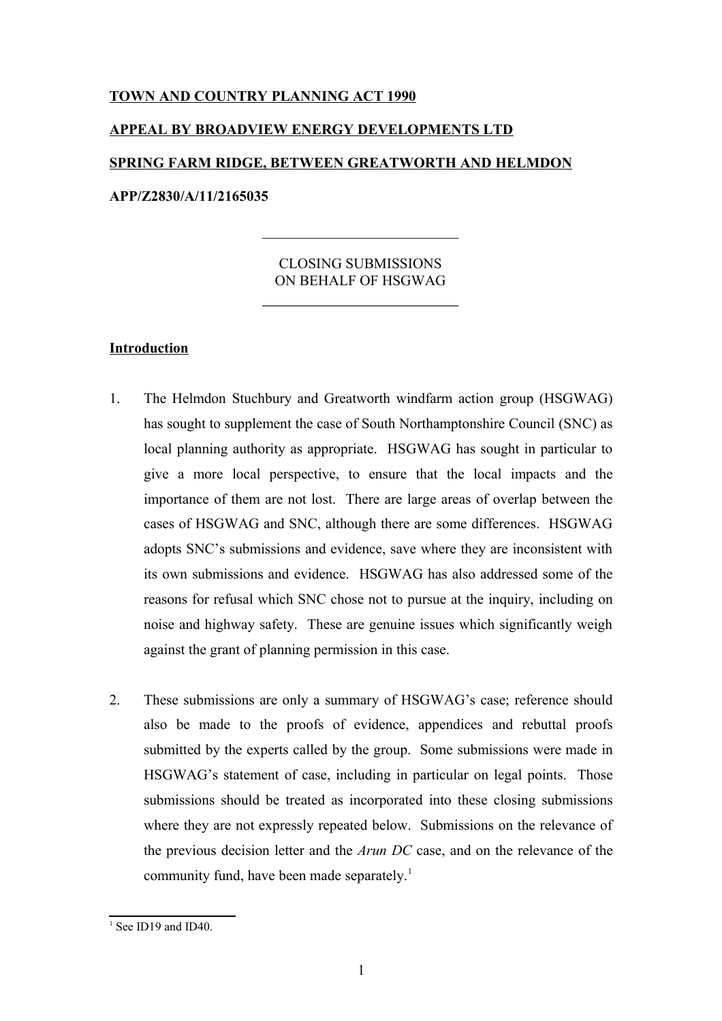# **TOWN AND COUNTRY PLANNING ACT 1990**

# **APPEAL BY BROADVIEW ENERGY DEVELOPMENTS LTD SPRING FARM RIDGE, BETWEEN GREATWORTH AND HELMDON APP/Z2830/A/11/2165035**

# CLOSING SUBMISSIONS ON BEHALF OF HSGWAG

# **Introduction**

- 1. The Helmdon Stuchbury and Greatworth windfarm action group (HSGWAG) has sought to supplement the case of South Northamptonshire Council (SNC) as local planning authority as appropriate. HSGWAG has sought in particular to give a more local perspective, to ensure that the local impacts and the importance of them are not lost. There are large areas of overlap between the cases of HSGWAG and SNC, although there are some differences. HSGWAG adopts SNC's submissions and evidence, save where they are inconsistent with its own submissions and evidence. HSGWAG has also addressed some of the reasons for refusal which SNC chose not to pursue at the inquiry, including on noise and highway safety. These are genuine issues which significantly weigh against the grant of planning permission in this case.
- 2. These submissions are only a summary of HSGWAG's case; reference should also be made to the proofs of evidence, appendices and rebuttal proofs submitted by the experts called by the group. Some submissions were made in HSGWAG's statement of case, including in particular on legal points. Those submissions should be treated as incorporated into these closing submissions where they are not expressly repeated below. Submissions on the relevance of the previous decision letter and the *Arun DC* case, and on the relevance of the community fund, have been made separately.<sup>[1](#page-0-0)</sup>

<span id="page-0-0"></span><sup>&</sup>lt;sup>1</sup> See ID19 and ID40.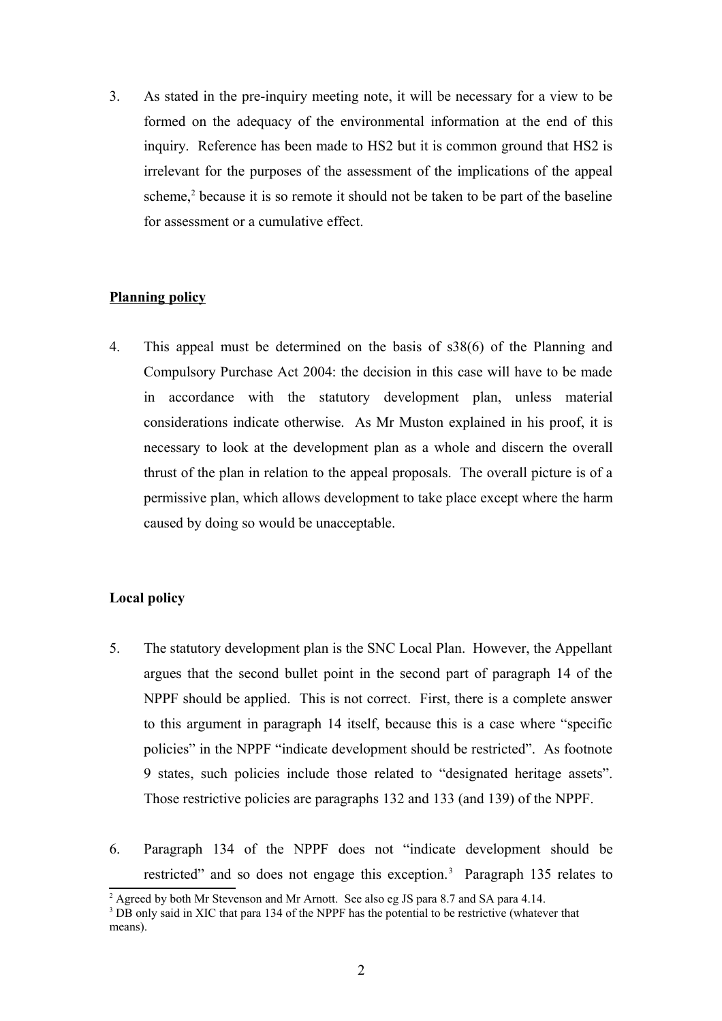3. As stated in the pre-inquiry meeting note, it will be necessary for a view to be formed on the adequacy of the environmental information at the end of this inquiry. Reference has been made to HS2 but it is common ground that HS2 is irrelevant for the purposes of the assessment of the implications of the appeal scheme,<sup>[2](#page-1-0)</sup> because it is so remote it should not be taken to be part of the baseline for assessment or a cumulative effect.

## **Planning policy**

4. This appeal must be determined on the basis of s38(6) of the Planning and Compulsory Purchase Act 2004: the decision in this case will have to be made in accordance with the statutory development plan, unless material considerations indicate otherwise. As Mr Muston explained in his proof, it is necessary to look at the development plan as a whole and discern the overall thrust of the plan in relation to the appeal proposals. The overall picture is of a permissive plan, which allows development to take place except where the harm caused by doing so would be unacceptable.

# **Local policy**

- 5. The statutory development plan is the SNC Local Plan. However, the Appellant argues that the second bullet point in the second part of paragraph 14 of the NPPF should be applied. This is not correct. First, there is a complete answer to this argument in paragraph 14 itself, because this is a case where "specific policies" in the NPPF "indicate development should be restricted". As footnote 9 states, such policies include those related to "designated heritage assets". Those restrictive policies are paragraphs 132 and 133 (and 139) of the NPPF.
- 6. Paragraph 134 of the NPPF does not "indicate development should be restricted" and so does not engage this exception.<sup>[3](#page-1-1)</sup> Paragraph 135 relates to

<span id="page-1-0"></span><sup>&</sup>lt;sup>2</sup> Agreed by both Mr Stevenson and Mr Arnott. See also eg JS para 8.7 and SA para 4.14.

<span id="page-1-1"></span><sup>&</sup>lt;sup>3</sup> DB only said in XIC that para 134 of the NPPF has the potential to be restrictive (whatever that means).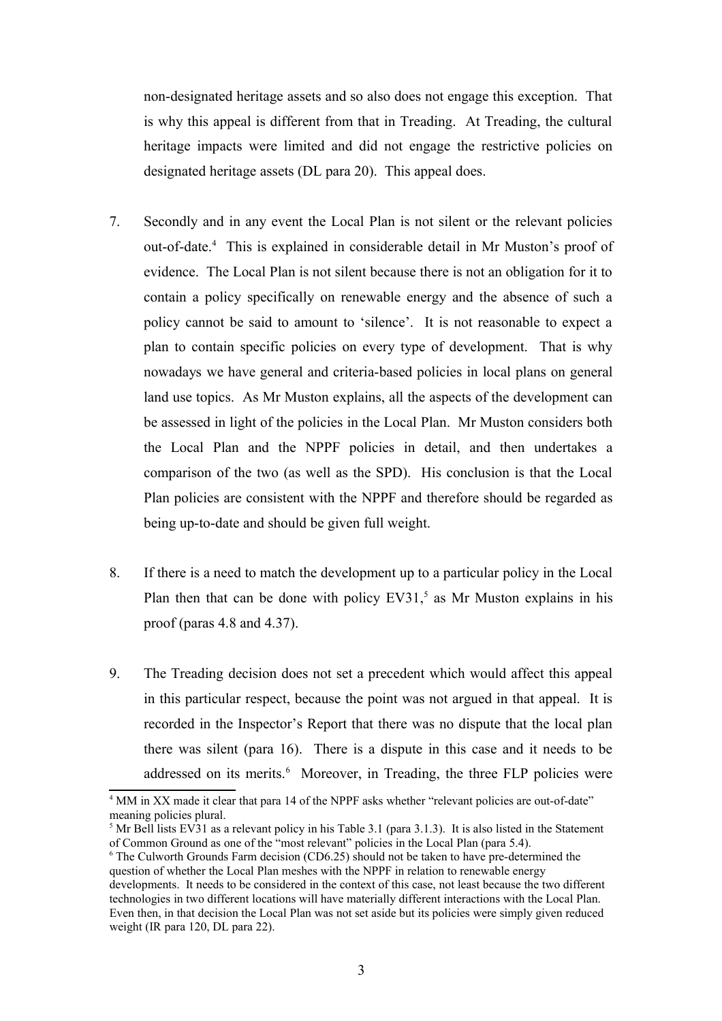non-designated heritage assets and so also does not engage this exception. That is why this appeal is different from that in Treading. At Treading, the cultural heritage impacts were limited and did not engage the restrictive policies on designated heritage assets (DL para 20). This appeal does.

- 7. Secondly and in any event the Local Plan is not silent or the relevant policies out-of-date.[4](#page-2-0) This is explained in considerable detail in Mr Muston's proof of evidence. The Local Plan is not silent because there is not an obligation for it to contain a policy specifically on renewable energy and the absence of such a policy cannot be said to amount to 'silence'. It is not reasonable to expect a plan to contain specific policies on every type of development. That is why nowadays we have general and criteria-based policies in local plans on general land use topics. As Mr Muston explains, all the aspects of the development can be assessed in light of the policies in the Local Plan. Mr Muston considers both the Local Plan and the NPPF policies in detail, and then undertakes a comparison of the two (as well as the SPD). His conclusion is that the Local Plan policies are consistent with the NPPF and therefore should be regarded as being up-to-date and should be given full weight.
- 8. If there is a need to match the development up to a particular policy in the Local Plan then that can be done with policy  $EV31<sup>5</sup>$  $EV31<sup>5</sup>$  $EV31<sup>5</sup>$  as Mr Muston explains in his proof (paras 4.8 and 4.37).
- 9. The Treading decision does not set a precedent which would affect this appeal in this particular respect, because the point was not argued in that appeal. It is recorded in the Inspector's Report that there was no dispute that the local plan there was silent (para 16). There is a dispute in this case and it needs to be addressed on its merits.<sup>[6](#page-2-2)</sup> Moreover, in Treading, the three FLP policies were

<span id="page-2-0"></span><sup>&</sup>lt;sup>4</sup> MM in XX made it clear that para 14 of the NPPF asks whether "relevant policies are out-of-date" meaning policies plural.

<span id="page-2-1"></span><sup>&</sup>lt;sup>5</sup> Mr Bell lists EV31 as a relevant policy in his Table 3.1 (para 3.1.3). It is also listed in the Statement of Common Ground as one of the "most relevant" policies in the Local Plan (para 5.4).

<span id="page-2-2"></span><sup>6</sup> The Culworth Grounds Farm decision (CD6.25) should not be taken to have pre-determined the question of whether the Local Plan meshes with the NPPF in relation to renewable energy developments. It needs to be considered in the context of this case, not least because the two different technologies in two different locations will have materially different interactions with the Local Plan. Even then, in that decision the Local Plan was not set aside but its policies were simply given reduced weight (IR para 120, DL para 22).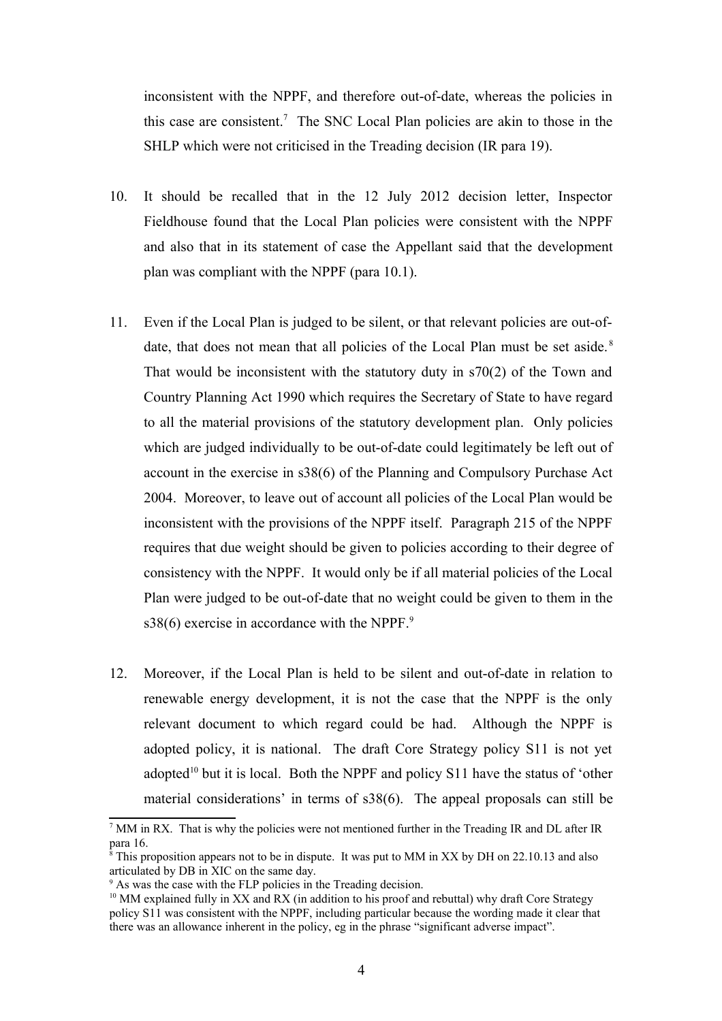inconsistent with the NPPF, and therefore out-of-date, whereas the policies in this case are consistent.<sup>[7](#page-3-0)</sup> The SNC Local Plan policies are akin to those in the SHLP which were not criticised in the Treading decision (IR para 19).

- 10. It should be recalled that in the 12 July 2012 decision letter, Inspector Fieldhouse found that the Local Plan policies were consistent with the NPPF and also that in its statement of case the Appellant said that the development plan was compliant with the NPPF (para 10.1).
- 11. Even if the Local Plan is judged to be silent, or that relevant policies are out-of-date, that does not mean that all policies of the Local Plan must be set aside.<sup>[8](#page-3-1)</sup> That would be inconsistent with the statutory duty in s70(2) of the Town and Country Planning Act 1990 which requires the Secretary of State to have regard to all the material provisions of the statutory development plan. Only policies which are judged individually to be out-of-date could legitimately be left out of account in the exercise in s38(6) of the Planning and Compulsory Purchase Act 2004. Moreover, to leave out of account all policies of the Local Plan would be inconsistent with the provisions of the NPPF itself. Paragraph 215 of the NPPF requires that due weight should be given to policies according to their degree of consistency with the NPPF. It would only be if all material policies of the Local Plan were judged to be out-of-date that no weight could be given to them in the s38(6) exercise in accordance with the NPPF. $9$
- 12. Moreover, if the Local Plan is held to be silent and out-of-date in relation to renewable energy development, it is not the case that the NPPF is the only relevant document to which regard could be had. Although the NPPF is adopted policy, it is national. The draft Core Strategy policy S11 is not yet adopted<sup>[10](#page-3-3)</sup> but it is local. Both the NPPF and policy  $S11$  have the status of 'other material considerations' in terms of s38(6). The appeal proposals can still be

<span id="page-3-0"></span><sup>&</sup>lt;sup>7</sup> MM in RX. That is why the policies were not mentioned further in the Treading IR and DL after IR para 16.

<span id="page-3-1"></span><sup>&</sup>lt;sup>8</sup> This proposition appears not to be in dispute. It was put to MM in XX by DH on 22.10.13 and also articulated by DB in XIC on the same day.

<span id="page-3-2"></span><sup>9</sup> As was the case with the FLP policies in the Treading decision.

<span id="page-3-3"></span> $10$  MM explained fully in XX and RX (in addition to his proof and rebuttal) why draft Core Strategy policy S11 was consistent with the NPPF, including particular because the wording made it clear that there was an allowance inherent in the policy, eg in the phrase "significant adverse impact".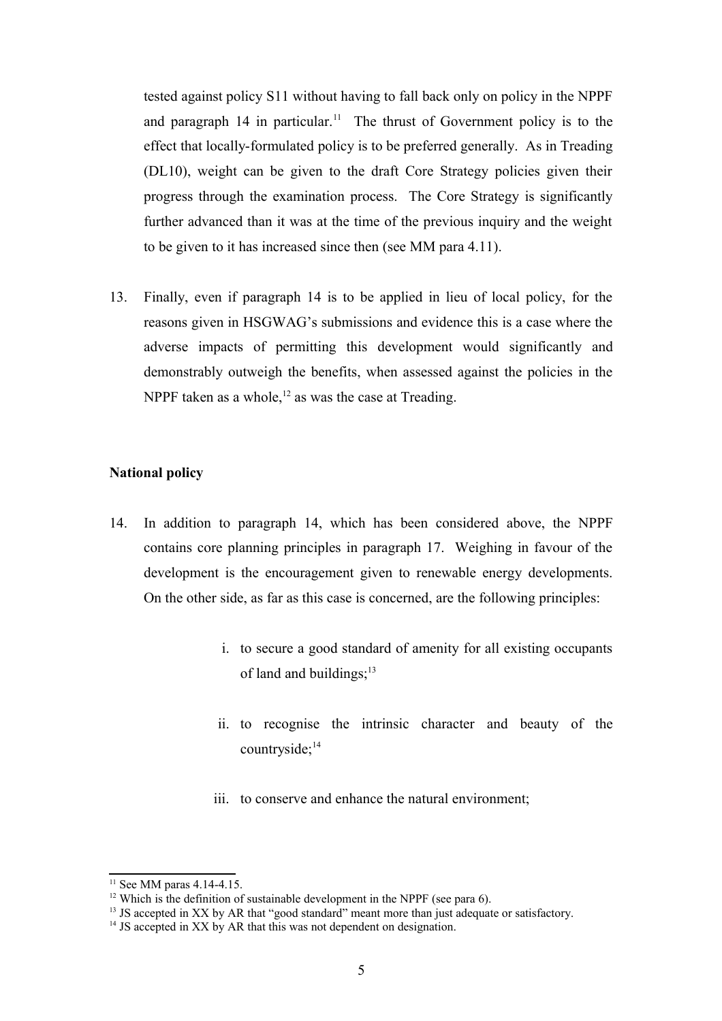tested against policy S11 without having to fall back only on policy in the NPPF and paragraph 14 in particular.<sup>[11](#page-4-0)</sup> The thrust of Government policy is to the effect that locally-formulated policy is to be preferred generally. As in Treading (DL10), weight can be given to the draft Core Strategy policies given their progress through the examination process. The Core Strategy is significantly further advanced than it was at the time of the previous inquiry and the weight to be given to it has increased since then (see MM para 4.11).

13. Finally, even if paragraph 14 is to be applied in lieu of local policy, for the reasons given in HSGWAG's submissions and evidence this is a case where the adverse impacts of permitting this development would significantly and demonstrably outweigh the benefits, when assessed against the policies in the NPPF taken as a whole,  $12$  as was the case at Treading.

# **National policy**

- 14. In addition to paragraph 14, which has been considered above, the NPPF contains core planning principles in paragraph 17. Weighing in favour of the development is the encouragement given to renewable energy developments. On the other side, as far as this case is concerned, are the following principles:
	- i. to secure a good standard of amenity for all existing occupants of land and buildings; $^{13}$  $^{13}$  $^{13}$
	- ii. to recognise the intrinsic character and beauty of the countryside;<sup>[14](#page-4-3)</sup>
	- iii. to conserve and enhance the natural environment;

<span id="page-4-0"></span> $11$  See MM paras 4.14-4.15.

<span id="page-4-1"></span><sup>&</sup>lt;sup>12</sup> Which is the definition of sustainable development in the NPPF (see para 6).

<span id="page-4-2"></span><sup>&</sup>lt;sup>13</sup> JS accepted in XX by AR that "good standard" meant more than just adequate or satisfactory.

<span id="page-4-3"></span><sup>&</sup>lt;sup>14</sup> JS accepted in XX by AR that this was not dependent on designation.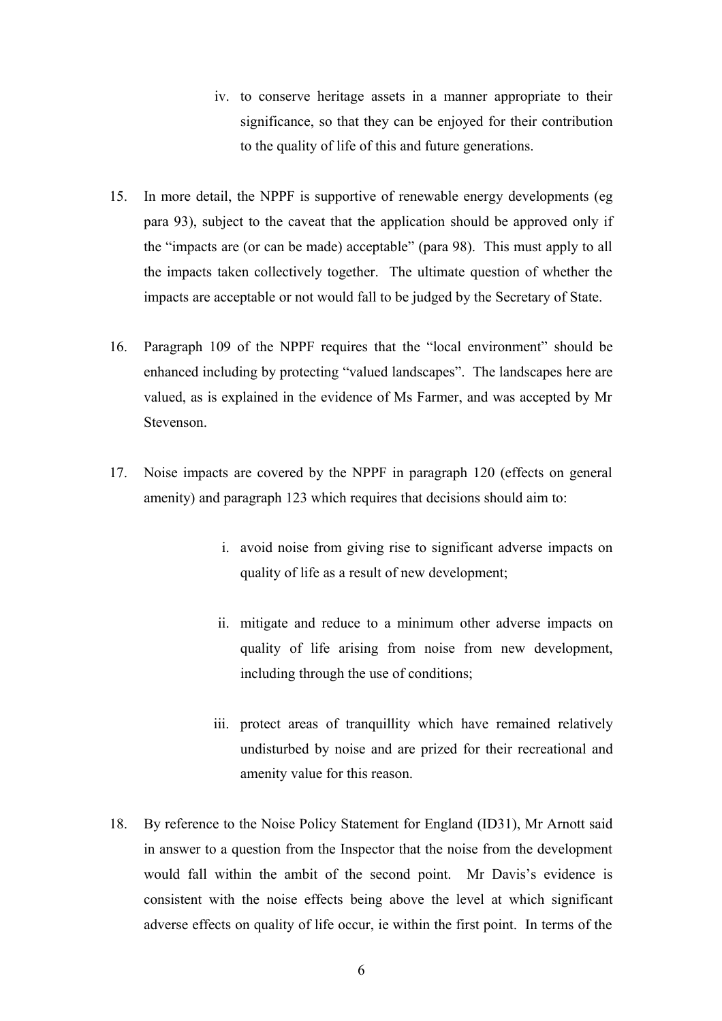- iv. to conserve heritage assets in a manner appropriate to their significance, so that they can be enjoyed for their contribution to the quality of life of this and future generations.
- 15. In more detail, the NPPF is supportive of renewable energy developments (eg para 93), subject to the caveat that the application should be approved only if the "impacts are (or can be made) acceptable" (para 98). This must apply to all the impacts taken collectively together. The ultimate question of whether the impacts are acceptable or not would fall to be judged by the Secretary of State.
- 16. Paragraph 109 of the NPPF requires that the "local environment" should be enhanced including by protecting "valued landscapes". The landscapes here are valued, as is explained in the evidence of Ms Farmer, and was accepted by Mr **Stevenson**
- 17. Noise impacts are covered by the NPPF in paragraph 120 (effects on general amenity) and paragraph 123 which requires that decisions should aim to:
	- i. avoid noise from giving rise to significant adverse impacts on quality of life as a result of new development;
	- ii. mitigate and reduce to a minimum other adverse impacts on quality of life arising from noise from new development, including through the use of conditions;
	- iii. protect areas of tranquillity which have remained relatively undisturbed by noise and are prized for their recreational and amenity value for this reason.
- 18. By reference to the Noise Policy Statement for England (ID31), Mr Arnott said in answer to a question from the Inspector that the noise from the development would fall within the ambit of the second point. Mr Davis's evidence is consistent with the noise effects being above the level at which significant adverse effects on quality of life occur, ie within the first point. In terms of the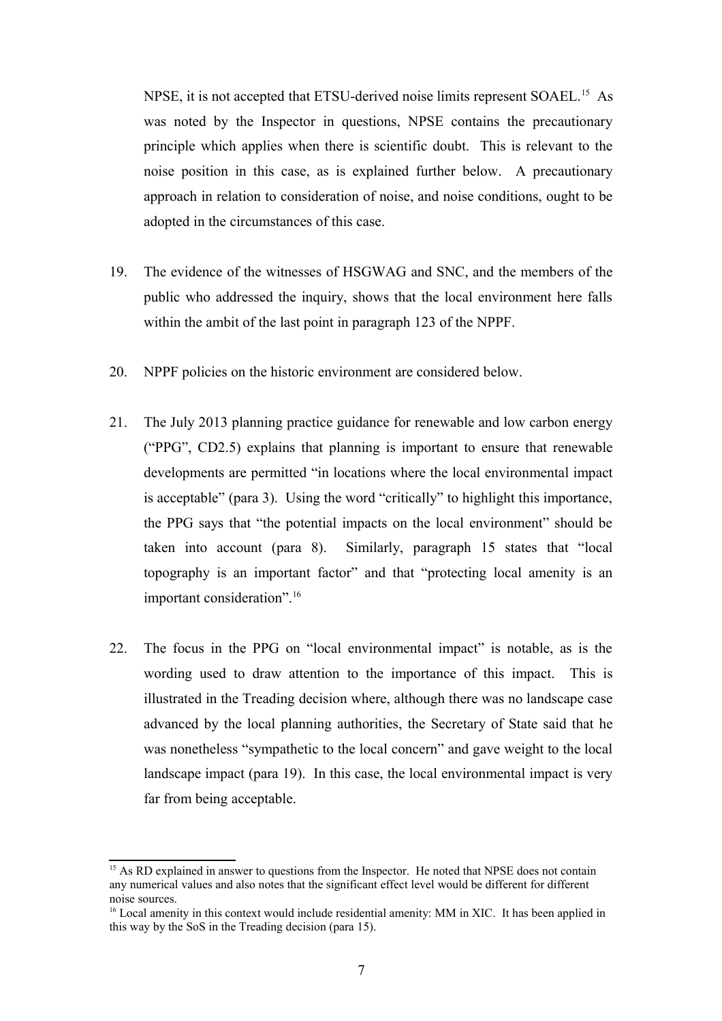NPSE, it is not accepted that ETSU-derived noise limits represent SOAEL.<sup>[15](#page-6-0)</sup> As was noted by the Inspector in questions, NPSE contains the precautionary principle which applies when there is scientific doubt. This is relevant to the noise position in this case, as is explained further below. A precautionary approach in relation to consideration of noise, and noise conditions, ought to be adopted in the circumstances of this case.

- 19. The evidence of the witnesses of HSGWAG and SNC, and the members of the public who addressed the inquiry, shows that the local environment here falls within the ambit of the last point in paragraph 123 of the NPPF.
- 20. NPPF policies on the historic environment are considered below.
- 21. The July 2013 planning practice guidance for renewable and low carbon energy ("PPG", CD2.5) explains that planning is important to ensure that renewable developments are permitted "in locations where the local environmental impact is acceptable" (para 3). Using the word "critically" to highlight this importance, the PPG says that "the potential impacts on the local environment" should be taken into account (para 8). Similarly, paragraph 15 states that "local topography is an important factor" and that "protecting local amenity is an important consideration".<sup>[16](#page-6-1)</sup>
- 22. The focus in the PPG on "local environmental impact" is notable, as is the wording used to draw attention to the importance of this impact. This is illustrated in the Treading decision where, although there was no landscape case advanced by the local planning authorities, the Secretary of State said that he was nonetheless "sympathetic to the local concern" and gave weight to the local landscape impact (para 19). In this case, the local environmental impact is very far from being acceptable.

<span id="page-6-0"></span><sup>&</sup>lt;sup>15</sup> As RD explained in answer to questions from the Inspector. He noted that NPSE does not contain any numerical values and also notes that the significant effect level would be different for different noise sources.

<span id="page-6-1"></span><sup>&</sup>lt;sup>16</sup> Local amenity in this context would include residential amenity: MM in XIC. It has been applied in this way by the SoS in the Treading decision (para 15).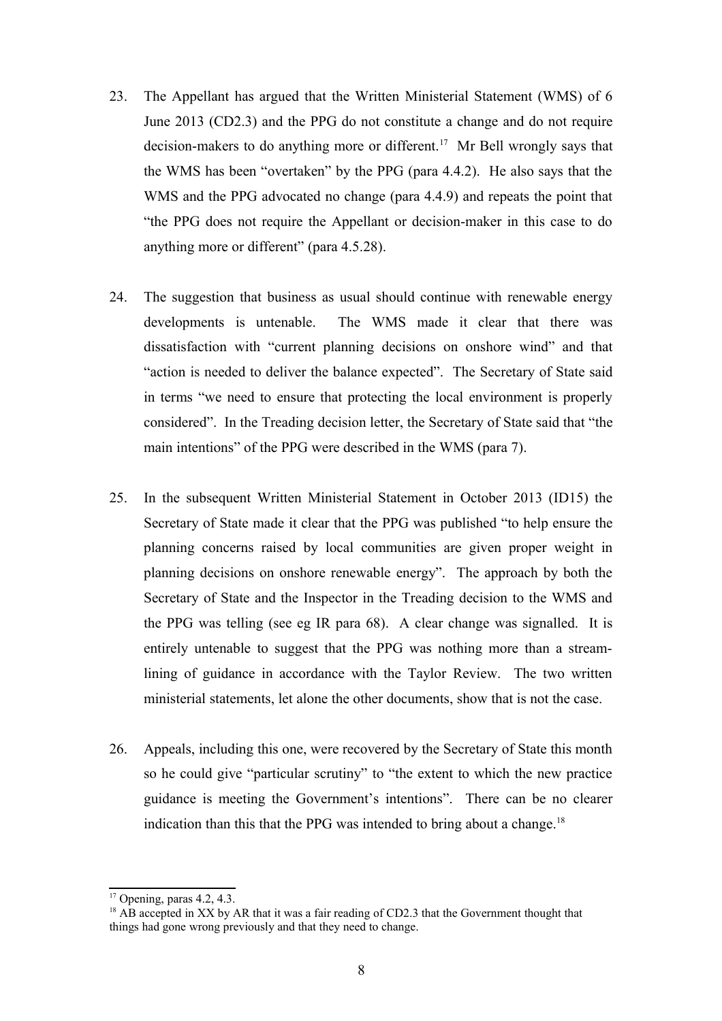- 23. The Appellant has argued that the Written Ministerial Statement (WMS) of 6 June 2013 (CD2.3) and the PPG do not constitute a change and do not require decision-makers to do anything more or different.<sup>[17](#page-7-0)</sup> Mr Bell wrongly says that the WMS has been "overtaken" by the PPG (para 4.4.2). He also says that the WMS and the PPG advocated no change (para 4.4.9) and repeats the point that "the PPG does not require the Appellant or decision-maker in this case to do anything more or different" (para 4.5.28).
- 24. The suggestion that business as usual should continue with renewable energy developments is untenable. The WMS made it clear that there was dissatisfaction with "current planning decisions on onshore wind" and that "action is needed to deliver the balance expected". The Secretary of State said in terms "we need to ensure that protecting the local environment is properly considered". In the Treading decision letter, the Secretary of State said that "the main intentions" of the PPG were described in the WMS (para 7).
- 25. In the subsequent Written Ministerial Statement in October 2013 (ID15) the Secretary of State made it clear that the PPG was published "to help ensure the planning concerns raised by local communities are given proper weight in planning decisions on onshore renewable energy". The approach by both the Secretary of State and the Inspector in the Treading decision to the WMS and the PPG was telling (see eg IR para 68). A clear change was signalled. It is entirely untenable to suggest that the PPG was nothing more than a streamlining of guidance in accordance with the Taylor Review. The two written ministerial statements, let alone the other documents, show that is not the case.
- 26. Appeals, including this one, were recovered by the Secretary of State this month so he could give "particular scrutiny" to "the extent to which the new practice guidance is meeting the Government's intentions". There can be no clearer indication than this that the PPG was intended to bring about a change.<sup>[18](#page-7-1)</sup>

<span id="page-7-0"></span> $17$  Opening, paras 4.2, 4.3.

<span id="page-7-1"></span> $18$  AB accepted in XX by AR that it was a fair reading of CD2.3 that the Government thought that things had gone wrong previously and that they need to change.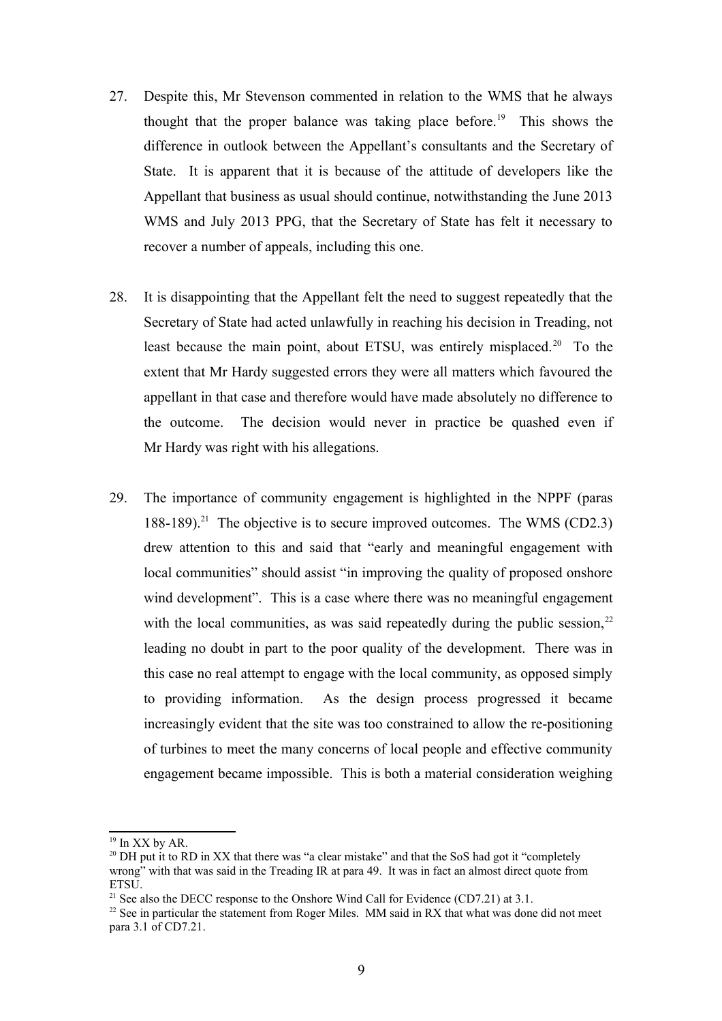- 27. Despite this, Mr Stevenson commented in relation to the WMS that he always thought that the proper balance was taking place before.<sup>[19](#page-8-0)</sup> This shows the difference in outlook between the Appellant's consultants and the Secretary of State. It is apparent that it is because of the attitude of developers like the Appellant that business as usual should continue, notwithstanding the June 2013 WMS and July 2013 PPG, that the Secretary of State has felt it necessary to recover a number of appeals, including this one.
- 28. It is disappointing that the Appellant felt the need to suggest repeatedly that the Secretary of State had acted unlawfully in reaching his decision in Treading, not least because the main point, about ETSU, was entirely misplaced.<sup>[20](#page-8-1)</sup> To the extent that Mr Hardy suggested errors they were all matters which favoured the appellant in that case and therefore would have made absolutely no difference to the outcome. The decision would never in practice be quashed even if Mr Hardy was right with his allegations.
- 29. The importance of community engagement is highlighted in the NPPF (paras 188-189).<sup>[21](#page-8-2)</sup> The objective is to secure improved outcomes. The WMS (CD2.3) drew attention to this and said that "early and meaningful engagement with local communities" should assist "in improving the quality of proposed onshore wind development". This is a case where there was no meaningful engagement with the local communities, as was said repeatedly during the public session,  $2^2$ leading no doubt in part to the poor quality of the development. There was in this case no real attempt to engage with the local community, as opposed simply to providing information. As the design process progressed it became increasingly evident that the site was too constrained to allow the re-positioning of turbines to meet the many concerns of local people and effective community engagement became impossible. This is both a material consideration weighing

<span id="page-8-0"></span><sup>&</sup>lt;sup>19</sup> In XX by AR.

<span id="page-8-1"></span> $20$  DH put it to RD in XX that there was "a clear mistake" and that the SoS had got it "completely" wrong" with that was said in the Treading IR at para 49. It was in fact an almost direct quote from **ETSU** 

<span id="page-8-2"></span><sup>&</sup>lt;sup>21</sup> See also the DECC response to the Onshore Wind Call for Evidence (CD7.21) at 3.1.

<span id="page-8-3"></span><sup>&</sup>lt;sup>22</sup> See in particular the statement from Roger Miles. MM said in RX that what was done did not meet para 3.1 of CD7.21.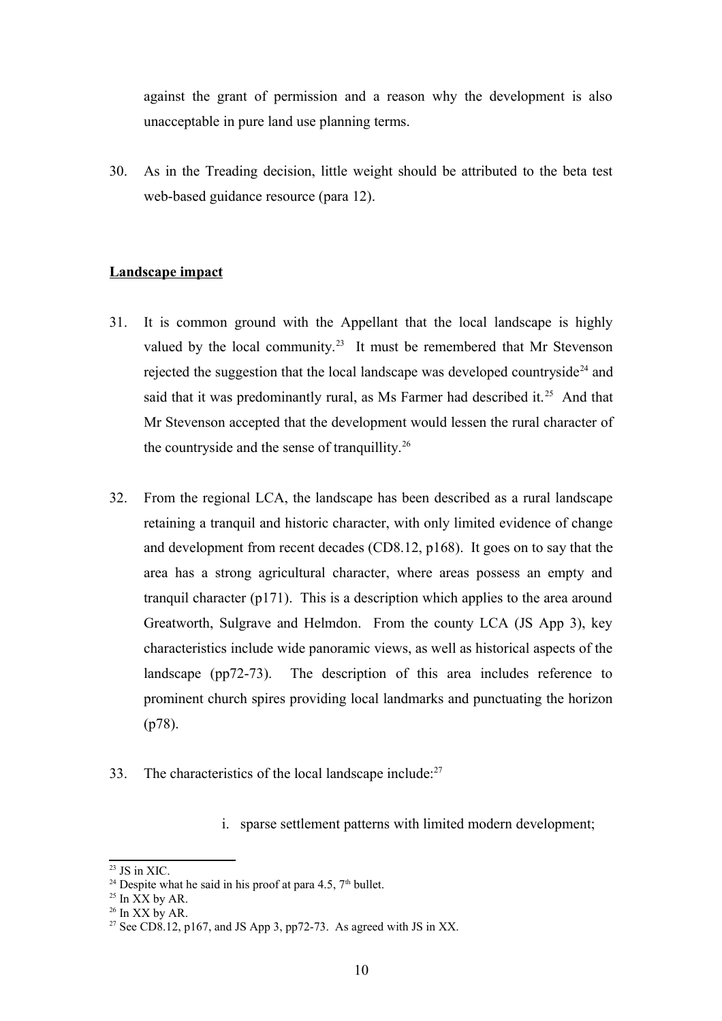against the grant of permission and a reason why the development is also unacceptable in pure land use planning terms.

30. As in the Treading decision, little weight should be attributed to the beta test web-based guidance resource (para 12).

## **Landscape impact**

- 31. It is common ground with the Appellant that the local landscape is highly valued by the local community.<sup>[23](#page-9-0)</sup> It must be remembered that Mr Stevenson rejected the suggestion that the local landscape was developed countryside<sup>[24](#page-9-1)</sup> and said that it was predominantly rural, as Ms Farmer had described it.<sup>[25](#page-9-2)</sup> And that Mr Stevenson accepted that the development would lessen the rural character of the countryside and the sense of tranquillity.<sup>[26](#page-9-3)</sup>
- 32. From the regional LCA, the landscape has been described as a rural landscape retaining a tranquil and historic character, with only limited evidence of change and development from recent decades (CD8.12, p168). It goes on to say that the area has a strong agricultural character, where areas possess an empty and tranquil character (p171). This is a description which applies to the area around Greatworth, Sulgrave and Helmdon. From the county LCA (JS App 3), key characteristics include wide panoramic views, as well as historical aspects of the landscape (pp72-73). The description of this area includes reference to prominent church spires providing local landmarks and punctuating the horizon (p78).
- 33. The characteristics of the local landscape include: $27$

i. sparse settlement patterns with limited modern development;

<span id="page-9-0"></span> $23$  JS in XIC.

<span id="page-9-1"></span><sup>&</sup>lt;sup>24</sup> Despite what he said in his proof at para 4.5,  $7<sup>th</sup>$  bullet.

<span id="page-9-2"></span> $25$  In  $\overline{XX}$  by AR.

<span id="page-9-3"></span> $26$  In XX by AR.

<span id="page-9-4"></span><sup>&</sup>lt;sup>27</sup> See CD8.12, p167, and JS App 3, pp72-73. As agreed with JS in XX.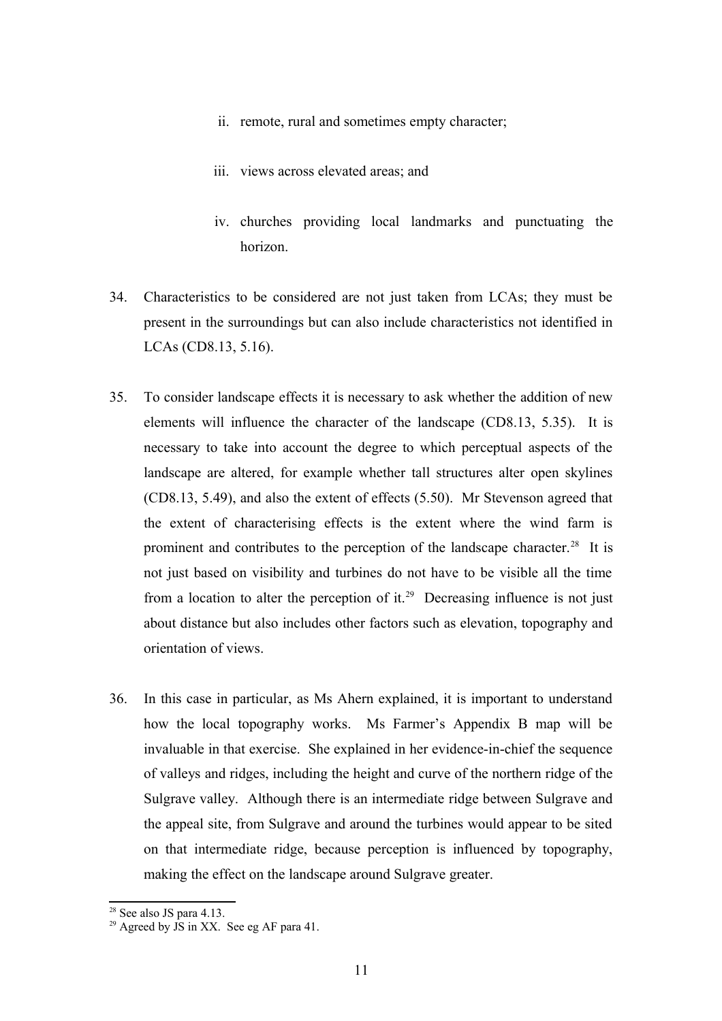- ii. remote, rural and sometimes empty character;
- iii. views across elevated areas; and
- iv. churches providing local landmarks and punctuating the horizon.
- 34. Characteristics to be considered are not just taken from LCAs; they must be present in the surroundings but can also include characteristics not identified in LCAs (CD8.13, 5.16).
- 35. To consider landscape effects it is necessary to ask whether the addition of new elements will influence the character of the landscape (CD8.13, 5.35). It is necessary to take into account the degree to which perceptual aspects of the landscape are altered, for example whether tall structures alter open skylines (CD8.13, 5.49), and also the extent of effects (5.50). Mr Stevenson agreed that the extent of characterising effects is the extent where the wind farm is prominent and contributes to the perception of the landscape character.<sup>[28](#page-10-0)</sup> It is not just based on visibility and turbines do not have to be visible all the time from a location to alter the perception of it.<sup>[29](#page-10-1)</sup> Decreasing influence is not just about distance but also includes other factors such as elevation, topography and orientation of views.
- 36. In this case in particular, as Ms Ahern explained, it is important to understand how the local topography works. Ms Farmer's Appendix B map will be invaluable in that exercise. She explained in her evidence-in-chief the sequence of valleys and ridges, including the height and curve of the northern ridge of the Sulgrave valley. Although there is an intermediate ridge between Sulgrave and the appeal site, from Sulgrave and around the turbines would appear to be sited on that intermediate ridge, because perception is influenced by topography, making the effect on the landscape around Sulgrave greater.

<span id="page-10-0"></span> $28$  See also JS para 4.13.

<span id="page-10-1"></span><sup>&</sup>lt;sup>29</sup> Agreed by JS in XX. See eg AF para 41.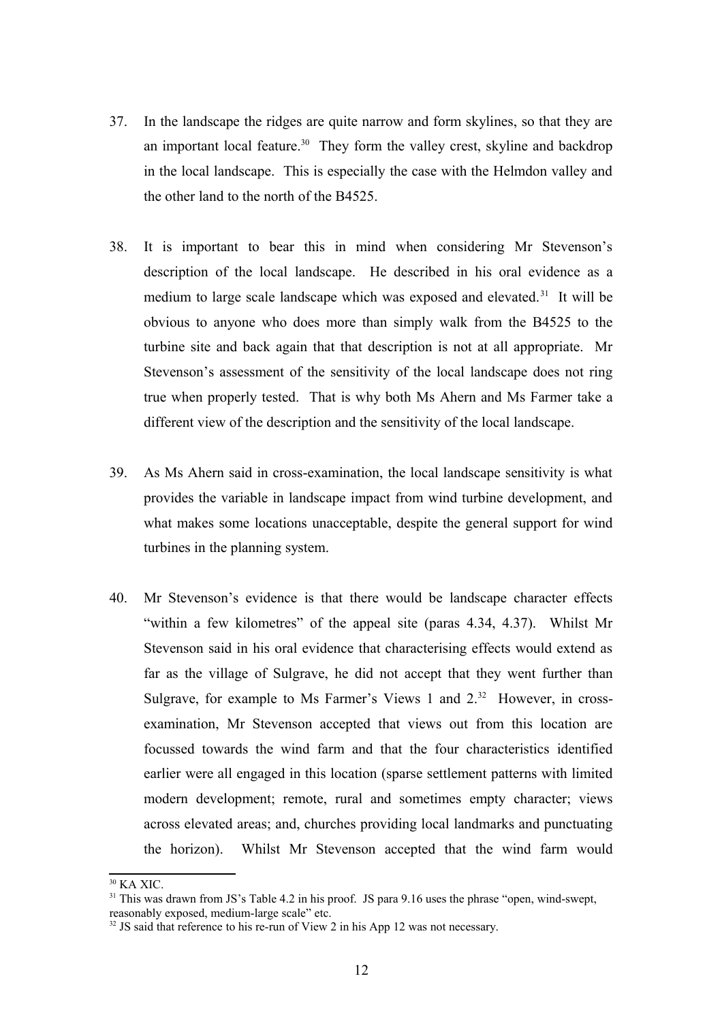- 37. In the landscape the ridges are quite narrow and form skylines, so that they are an important local feature.<sup>[30](#page-11-0)</sup> They form the valley crest, skyline and backdrop in the local landscape. This is especially the case with the Helmdon valley and the other land to the north of the B4525.
- 38. It is important to bear this in mind when considering Mr Stevenson's description of the local landscape. He described in his oral evidence as a medium to large scale landscape which was exposed and elevated.<sup>[31](#page-11-1)</sup> It will be obvious to anyone who does more than simply walk from the B4525 to the turbine site and back again that that description is not at all appropriate. Mr Stevenson's assessment of the sensitivity of the local landscape does not ring true when properly tested. That is why both Ms Ahern and Ms Farmer take a different view of the description and the sensitivity of the local landscape.
- 39. As Ms Ahern said in cross-examination, the local landscape sensitivity is what provides the variable in landscape impact from wind turbine development, and what makes some locations unacceptable, despite the general support for wind turbines in the planning system.
- 40. Mr Stevenson's evidence is that there would be landscape character effects "within a few kilometres" of the appeal site (paras 4.34, 4.37). Whilst Mr Stevenson said in his oral evidence that characterising effects would extend as far as the village of Sulgrave, he did not accept that they went further than Sulgrave, for example to Ms Farmer's Views 1 and  $2^{32}$  $2^{32}$  $2^{32}$  However, in crossexamination, Mr Stevenson accepted that views out from this location are focussed towards the wind farm and that the four characteristics identified earlier were all engaged in this location (sparse settlement patterns with limited modern development; remote, rural and sometimes empty character; views across elevated areas; and, churches providing local landmarks and punctuating the horizon). Whilst Mr Stevenson accepted that the wind farm would

<span id="page-11-0"></span> $30$  KA XIC.

<span id="page-11-1"></span><sup>&</sup>lt;sup>31</sup> This was drawn from JS's Table 4.2 in his proof. JS para 9.16 uses the phrase "open, wind-swept,

reasonably exposed, medium-large scale" etc.

<span id="page-11-2"></span><sup>&</sup>lt;sup>32</sup> JS said that reference to his re-run of View 2 in his App 12 was not necessary.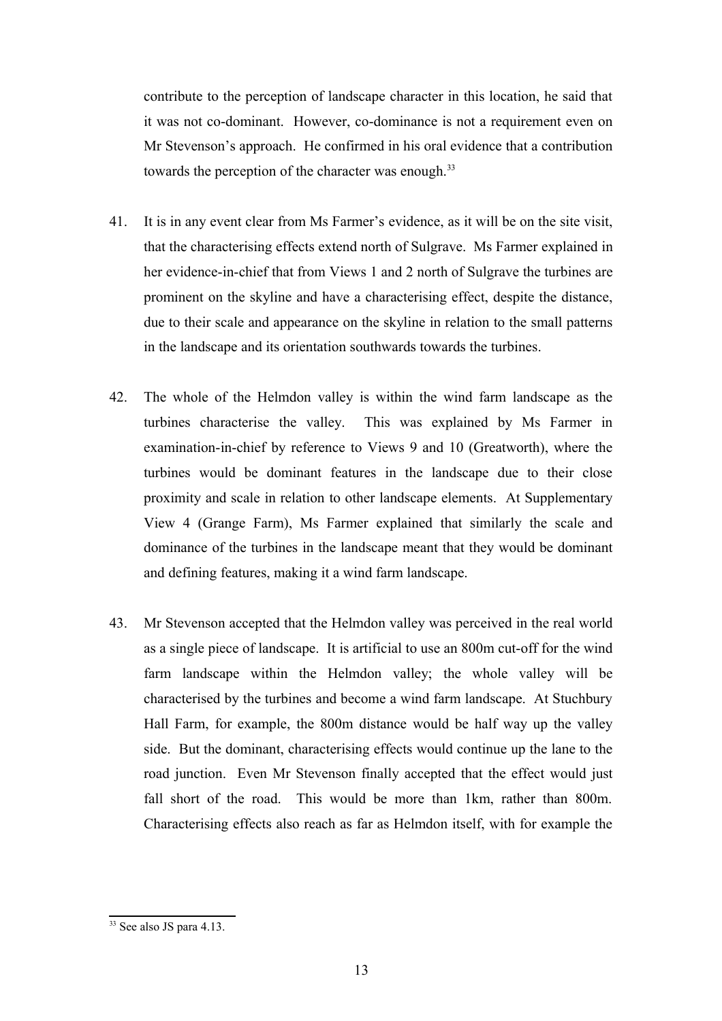contribute to the perception of landscape character in this location, he said that it was not co-dominant. However, co-dominance is not a requirement even on Mr Stevenson's approach. He confirmed in his oral evidence that a contribution towards the perception of the character was enough.<sup>[33](#page-12-0)</sup>

- 41. It is in any event clear from Ms Farmer's evidence, as it will be on the site visit, that the characterising effects extend north of Sulgrave. Ms Farmer explained in her evidence-in-chief that from Views 1 and 2 north of Sulgrave the turbines are prominent on the skyline and have a characterising effect, despite the distance, due to their scale and appearance on the skyline in relation to the small patterns in the landscape and its orientation southwards towards the turbines.
- 42. The whole of the Helmdon valley is within the wind farm landscape as the turbines characterise the valley. This was explained by Ms Farmer in examination-in-chief by reference to Views 9 and 10 (Greatworth), where the turbines would be dominant features in the landscape due to their close proximity and scale in relation to other landscape elements. At Supplementary View 4 (Grange Farm), Ms Farmer explained that similarly the scale and dominance of the turbines in the landscape meant that they would be dominant and defining features, making it a wind farm landscape.
- 43. Mr Stevenson accepted that the Helmdon valley was perceived in the real world as a single piece of landscape. It is artificial to use an 800m cut-off for the wind farm landscape within the Helmdon valley; the whole valley will be characterised by the turbines and become a wind farm landscape. At Stuchbury Hall Farm, for example, the 800m distance would be half way up the valley side. But the dominant, characterising effects would continue up the lane to the road junction. Even Mr Stevenson finally accepted that the effect would just fall short of the road. This would be more than 1km, rather than 800m. Characterising effects also reach as far as Helmdon itself, with for example the

<span id="page-12-0"></span><sup>33</sup> See also JS para 4.13.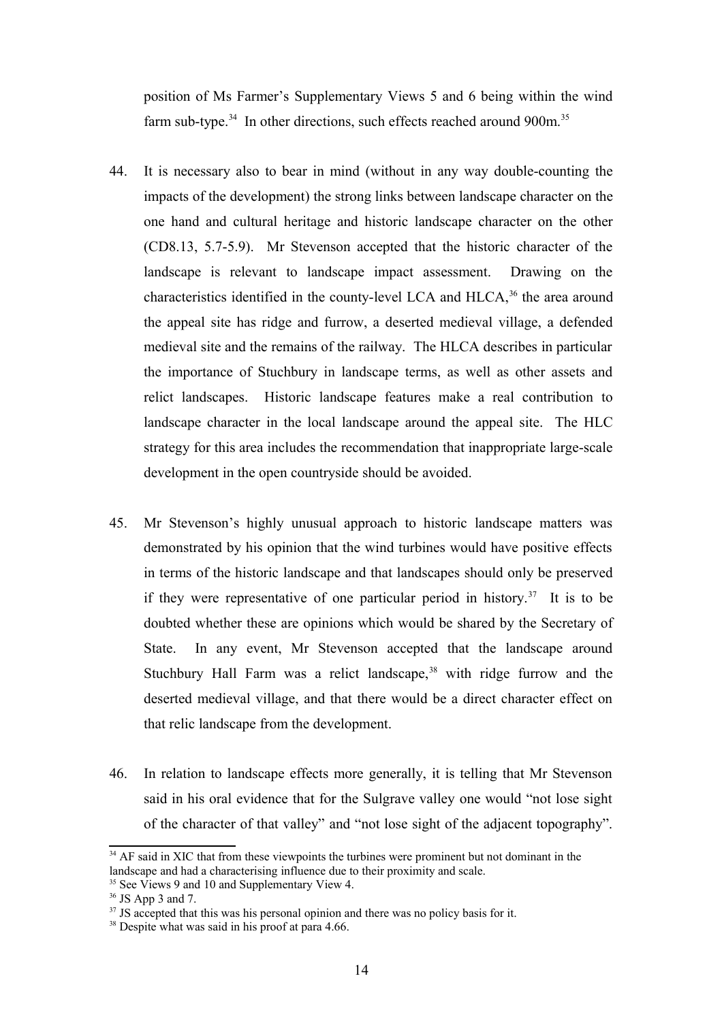position of Ms Farmer's Supplementary Views 5 and 6 being within the wind farm sub-type. $34$  In other directions, such effects reached around 900m. $35$ 

- 44. It is necessary also to bear in mind (without in any way double-counting the impacts of the development) the strong links between landscape character on the one hand and cultural heritage and historic landscape character on the other (CD8.13, 5.7-5.9). Mr Stevenson accepted that the historic character of the landscape is relevant to landscape impact assessment. Drawing on the characteristics identified in the county-level LCA and  $HLLCA$ ,<sup>[36](#page-13-2)</sup> the area around the appeal site has ridge and furrow, a deserted medieval village, a defended medieval site and the remains of the railway. The HLCA describes in particular the importance of Stuchbury in landscape terms, as well as other assets and relict landscapes. Historic landscape features make a real contribution to landscape character in the local landscape around the appeal site. The HLC strategy for this area includes the recommendation that inappropriate large-scale development in the open countryside should be avoided.
- 45. Mr Stevenson's highly unusual approach to historic landscape matters was demonstrated by his opinion that the wind turbines would have positive effects in terms of the historic landscape and that landscapes should only be preserved if they were representative of one particular period in history.<sup>[37](#page-13-3)</sup> It is to be doubted whether these are opinions which would be shared by the Secretary of State. In any event, Mr Stevenson accepted that the landscape around Stuchbury Hall Farm was a relict landscape,  $38$  with ridge furrow and the deserted medieval village, and that there would be a direct character effect on that relic landscape from the development.
- 46. In relation to landscape effects more generally, it is telling that Mr Stevenson said in his oral evidence that for the Sulgrave valley one would "not lose sight of the character of that valley" and "not lose sight of the adjacent topography".

<span id="page-13-0"></span><sup>&</sup>lt;sup>34</sup> AF said in XIC that from these viewpoints the turbines were prominent but not dominant in the landscape and had a characterising influence due to their proximity and scale. <sup>35</sup> See Views 9 and 10 and Supplementary View 4.

<span id="page-13-2"></span><span id="page-13-1"></span> $36$  JS App 3 and 7.

<span id="page-13-3"></span><sup>&</sup>lt;sup>37</sup> JS accepted that this was his personal opinion and there was no policy basis for it.

<span id="page-13-4"></span><sup>&</sup>lt;sup>38</sup> Despite what was said in his proof at para 4.66.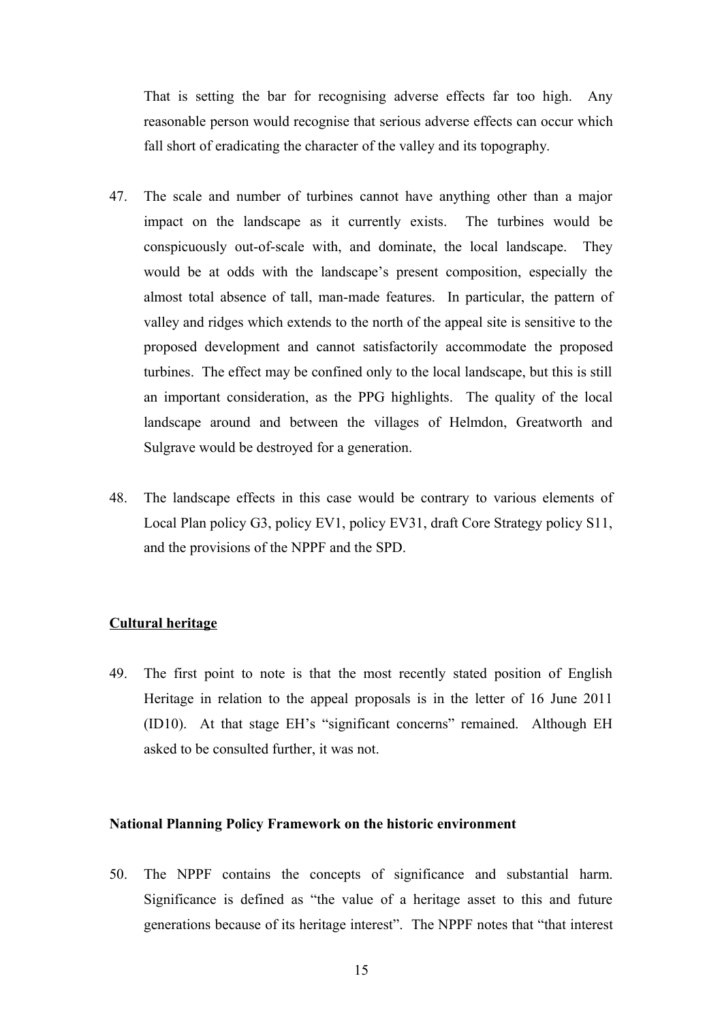That is setting the bar for recognising adverse effects far too high. Any reasonable person would recognise that serious adverse effects can occur which fall short of eradicating the character of the valley and its topography.

- 47. The scale and number of turbines cannot have anything other than a major impact on the landscape as it currently exists. The turbines would be conspicuously out-of-scale with, and dominate, the local landscape. They would be at odds with the landscape's present composition, especially the almost total absence of tall, man-made features. In particular, the pattern of valley and ridges which extends to the north of the appeal site is sensitive to the proposed development and cannot satisfactorily accommodate the proposed turbines. The effect may be confined only to the local landscape, but this is still an important consideration, as the PPG highlights. The quality of the local landscape around and between the villages of Helmdon, Greatworth and Sulgrave would be destroyed for a generation.
- 48. The landscape effects in this case would be contrary to various elements of Local Plan policy G3, policy EV1, policy EV31, draft Core Strategy policy S11, and the provisions of the NPPF and the SPD.

#### **Cultural heritage**

49. The first point to note is that the most recently stated position of English Heritage in relation to the appeal proposals is in the letter of 16 June 2011 (ID10). At that stage EH's "significant concerns" remained. Although EH asked to be consulted further, it was not.

## **National Planning Policy Framework on the historic environment**

50. The NPPF contains the concepts of significance and substantial harm. Significance is defined as "the value of a heritage asset to this and future generations because of its heritage interest". The NPPF notes that "that interest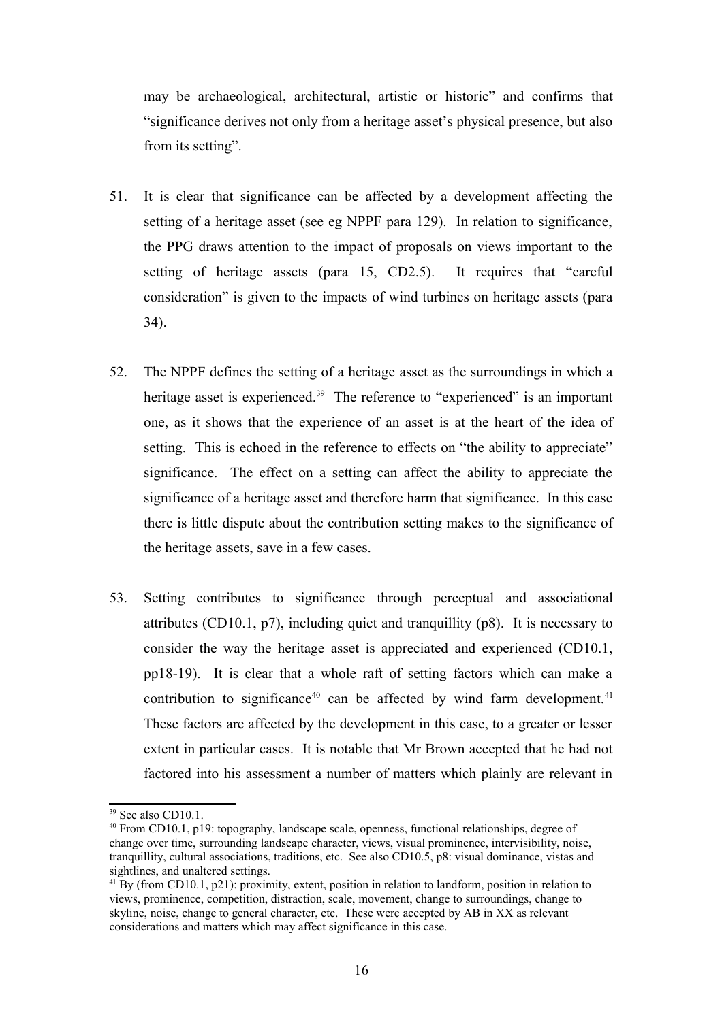may be archaeological, architectural, artistic or historic" and confirms that "significance derives not only from a heritage asset's physical presence, but also from its setting".

- 51. It is clear that significance can be affected by a development affecting the setting of a heritage asset (see eg NPPF para 129). In relation to significance, the PPG draws attention to the impact of proposals on views important to the setting of heritage assets (para 15, CD2.5). It requires that "careful consideration" is given to the impacts of wind turbines on heritage assets (para 34).
- 52. The NPPF defines the setting of a heritage asset as the surroundings in which a heritage asset is experienced.<sup>[39](#page-15-0)</sup> The reference to "experienced" is an important one, as it shows that the experience of an asset is at the heart of the idea of setting. This is echoed in the reference to effects on "the ability to appreciate" significance. The effect on a setting can affect the ability to appreciate the significance of a heritage asset and therefore harm that significance. In this case there is little dispute about the contribution setting makes to the significance of the heritage assets, save in a few cases.
- 53. Setting contributes to significance through perceptual and associational attributes (CD10.1, p7), including quiet and tranquillity (p8). It is necessary to consider the way the heritage asset is appreciated and experienced (CD10.1, pp18-19). It is clear that a whole raft of setting factors which can make a contribution to significance<sup>[40](#page-15-1)</sup> can be affected by wind farm development.<sup>[41](#page-15-2)</sup> These factors are affected by the development in this case, to a greater or lesser extent in particular cases. It is notable that Mr Brown accepted that he had not factored into his assessment a number of matters which plainly are relevant in

<span id="page-15-0"></span><sup>&</sup>lt;sup>39</sup> See also CD10.1.

<span id="page-15-1"></span><sup>40</sup> From CD10.1, p19: topography, landscape scale, openness, functional relationships, degree of change over time, surrounding landscape character, views, visual prominence, intervisibility, noise, tranquillity, cultural associations, traditions, etc. See also CD10.5, p8: visual dominance, vistas and sightlines, and unaltered settings.

<span id="page-15-2"></span><sup>&</sup>lt;sup>41</sup> By (from CD10.1, p21): proximity, extent, position in relation to landform, position in relation to views, prominence, competition, distraction, scale, movement, change to surroundings, change to skyline, noise, change to general character, etc. These were accepted by AB in XX as relevant considerations and matters which may affect significance in this case.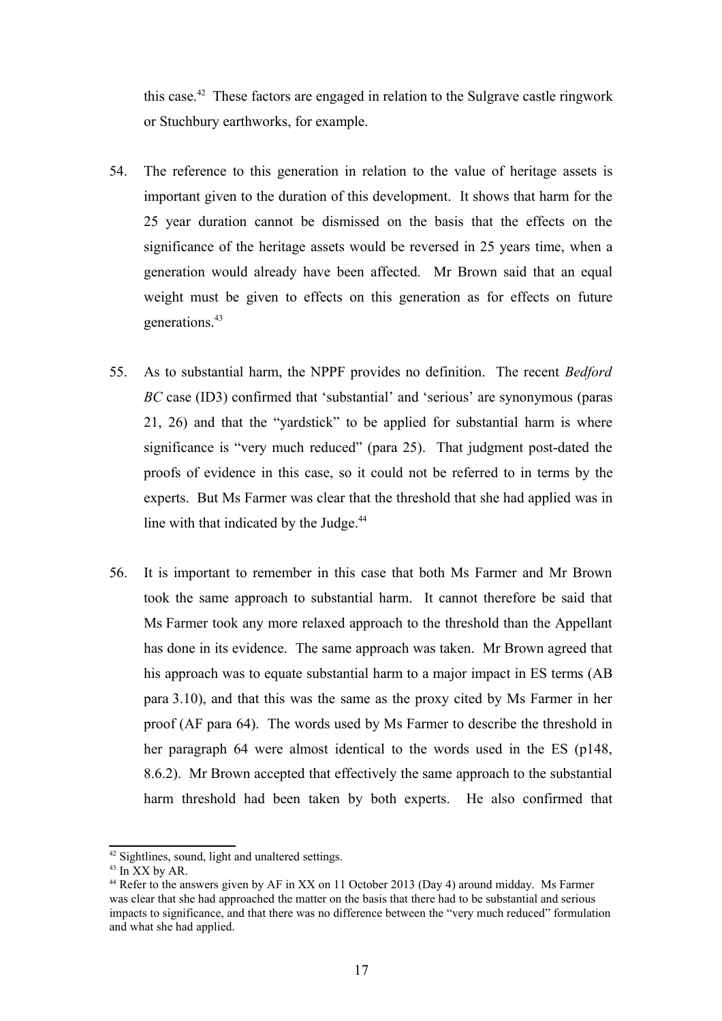this case.<sup>[42](#page-16-0)</sup> These factors are engaged in relation to the Sulgrave castle ringwork or Stuchbury earthworks, for example.

- 54. The reference to this generation in relation to the value of heritage assets is important given to the duration of this development. It shows that harm for the 25 year duration cannot be dismissed on the basis that the effects on the significance of the heritage assets would be reversed in 25 years time, when a generation would already have been affected. Mr Brown said that an equal weight must be given to effects on this generation as for effects on future generations.<sup>[43](#page-16-1)</sup>
- 55. As to substantial harm, the NPPF provides no definition. The recent *Bedford BC* case (ID3) confirmed that 'substantial' and 'serious' are synonymous (paras 21, 26) and that the "yardstick" to be applied for substantial harm is where significance is "very much reduced" (para 25). That judgment post-dated the proofs of evidence in this case, so it could not be referred to in terms by the experts. But Ms Farmer was clear that the threshold that she had applied was in line with that indicated by the Judge.<sup>[44](#page-16-2)</sup>
- 56. It is important to remember in this case that both Ms Farmer and Mr Brown took the same approach to substantial harm. It cannot therefore be said that Ms Farmer took any more relaxed approach to the threshold than the Appellant has done in its evidence. The same approach was taken. Mr Brown agreed that his approach was to equate substantial harm to a major impact in ES terms (AB para 3.10), and that this was the same as the proxy cited by Ms Farmer in her proof (AF para 64). The words used by Ms Farmer to describe the threshold in her paragraph 64 were almost identical to the words used in the ES (p148, 8.6.2). Mr Brown accepted that effectively the same approach to the substantial harm threshold had been taken by both experts. He also confirmed that

<span id="page-16-0"></span><sup>42</sup> Sightlines, sound, light and unaltered settings.

<span id="page-16-1"></span> $43$  In  $XX$  by AR.

<span id="page-16-2"></span><sup>44</sup> Refer to the answers given by AF in XX on 11 October 2013 (Day 4) around midday. Ms Farmer was clear that she had approached the matter on the basis that there had to be substantial and serious impacts to significance, and that there was no difference between the "very much reduced" formulation and what she had applied.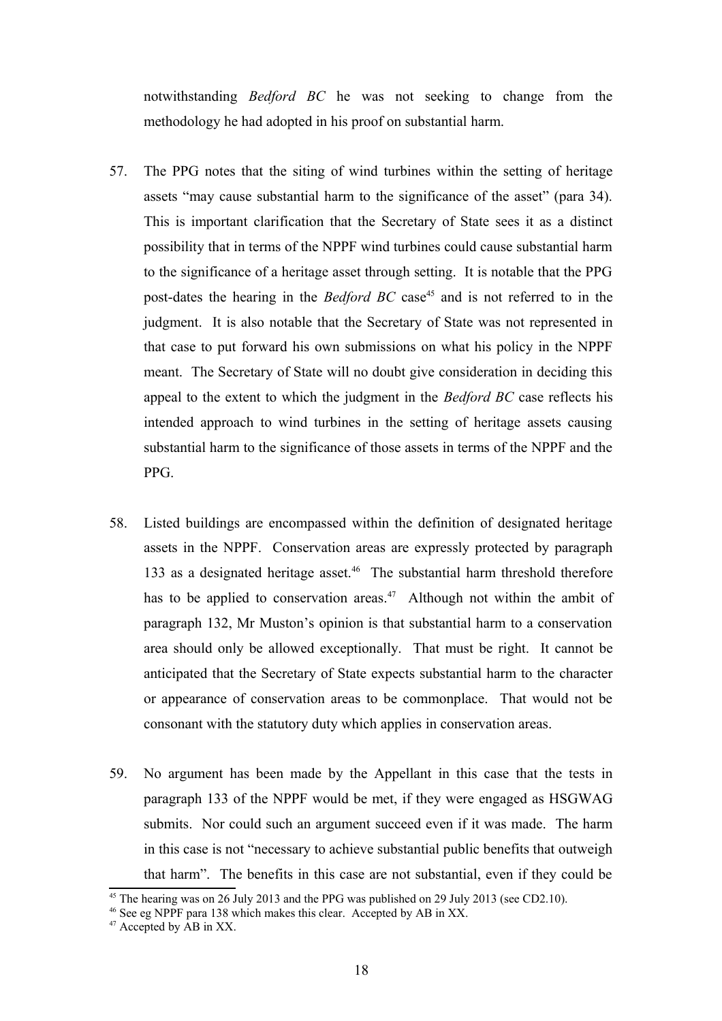notwithstanding *Bedford BC* he was not seeking to change from the methodology he had adopted in his proof on substantial harm.

- 57. The PPG notes that the siting of wind turbines within the setting of heritage assets "may cause substantial harm to the significance of the asset" (para 34). This is important clarification that the Secretary of State sees it as a distinct possibility that in terms of the NPPF wind turbines could cause substantial harm to the significance of a heritage asset through setting. It is notable that the PPG post-dates the hearing in the *Bedford BC* case<sup>[45](#page-17-0)</sup> and is not referred to in the judgment. It is also notable that the Secretary of State was not represented in that case to put forward his own submissions on what his policy in the NPPF meant. The Secretary of State will no doubt give consideration in deciding this appeal to the extent to which the judgment in the *Bedford BC* case reflects his intended approach to wind turbines in the setting of heritage assets causing substantial harm to the significance of those assets in terms of the NPPF and the PPG.
- 58. Listed buildings are encompassed within the definition of designated heritage assets in the NPPF. Conservation areas are expressly protected by paragraph 133 as a designated heritage asset.<sup>[46](#page-17-1)</sup> The substantial harm threshold therefore has to be applied to conservation areas.<sup>[47](#page-17-2)</sup> Although not within the ambit of paragraph 132, Mr Muston's opinion is that substantial harm to a conservation area should only be allowed exceptionally. That must be right. It cannot be anticipated that the Secretary of State expects substantial harm to the character or appearance of conservation areas to be commonplace. That would not be consonant with the statutory duty which applies in conservation areas.
- 59. No argument has been made by the Appellant in this case that the tests in paragraph 133 of the NPPF would be met, if they were engaged as HSGWAG submits. Nor could such an argument succeed even if it was made. The harm in this case is not "necessary to achieve substantial public benefits that outweigh that harm". The benefits in this case are not substantial, even if they could be

<span id="page-17-0"></span><sup>&</sup>lt;sup>45</sup> The hearing was on 26 July 2013 and the PPG was published on 29 July 2013 (see CD2.10).

<span id="page-17-1"></span><sup>46</sup> See eg NPPF para 138 which makes this clear. Accepted by AB in XX.

<span id="page-17-2"></span><sup>&</sup>lt;sup>47</sup> Accepted by AB in XX.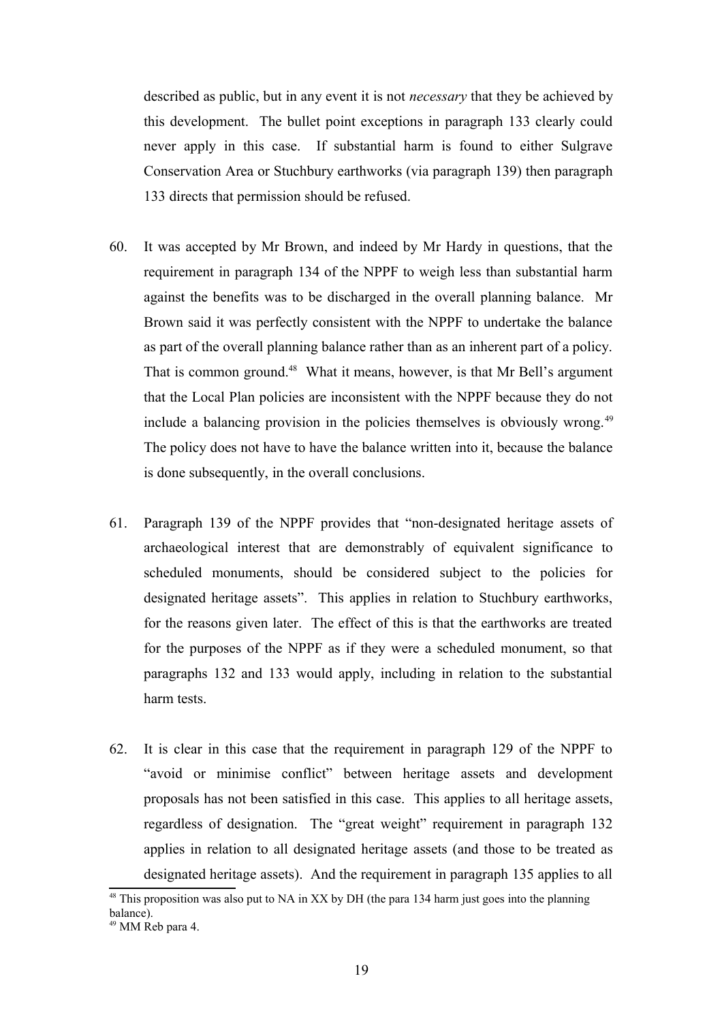described as public, but in any event it is not *necessary* that they be achieved by this development. The bullet point exceptions in paragraph 133 clearly could never apply in this case. If substantial harm is found to either Sulgrave Conservation Area or Stuchbury earthworks (via paragraph 139) then paragraph 133 directs that permission should be refused.

- 60. It was accepted by Mr Brown, and indeed by Mr Hardy in questions, that the requirement in paragraph 134 of the NPPF to weigh less than substantial harm against the benefits was to be discharged in the overall planning balance. Mr Brown said it was perfectly consistent with the NPPF to undertake the balance as part of the overall planning balance rather than as an inherent part of a policy. That is common ground.<sup>[48](#page-18-0)</sup> What it means, however, is that Mr Bell's argument that the Local Plan policies are inconsistent with the NPPF because they do not include a balancing provision in the policies themselves is obviously wrong.<sup>[49](#page-18-1)</sup> The policy does not have to have the balance written into it, because the balance is done subsequently, in the overall conclusions.
- 61. Paragraph 139 of the NPPF provides that "non-designated heritage assets of archaeological interest that are demonstrably of equivalent significance to scheduled monuments, should be considered subject to the policies for designated heritage assets". This applies in relation to Stuchbury earthworks, for the reasons given later. The effect of this is that the earthworks are treated for the purposes of the NPPF as if they were a scheduled monument, so that paragraphs 132 and 133 would apply, including in relation to the substantial harm tests.
- 62. It is clear in this case that the requirement in paragraph 129 of the NPPF to "avoid or minimise conflict" between heritage assets and development proposals has not been satisfied in this case. This applies to all heritage assets, regardless of designation. The "great weight" requirement in paragraph 132 applies in relation to all designated heritage assets (and those to be treated as designated heritage assets). And the requirement in paragraph 135 applies to all

<span id="page-18-0"></span><sup>&</sup>lt;sup>48</sup> This proposition was also put to NA in XX by DH (the para 134 harm just goes into the planning balance).

<span id="page-18-1"></span><sup>49</sup> MM Reb para 4.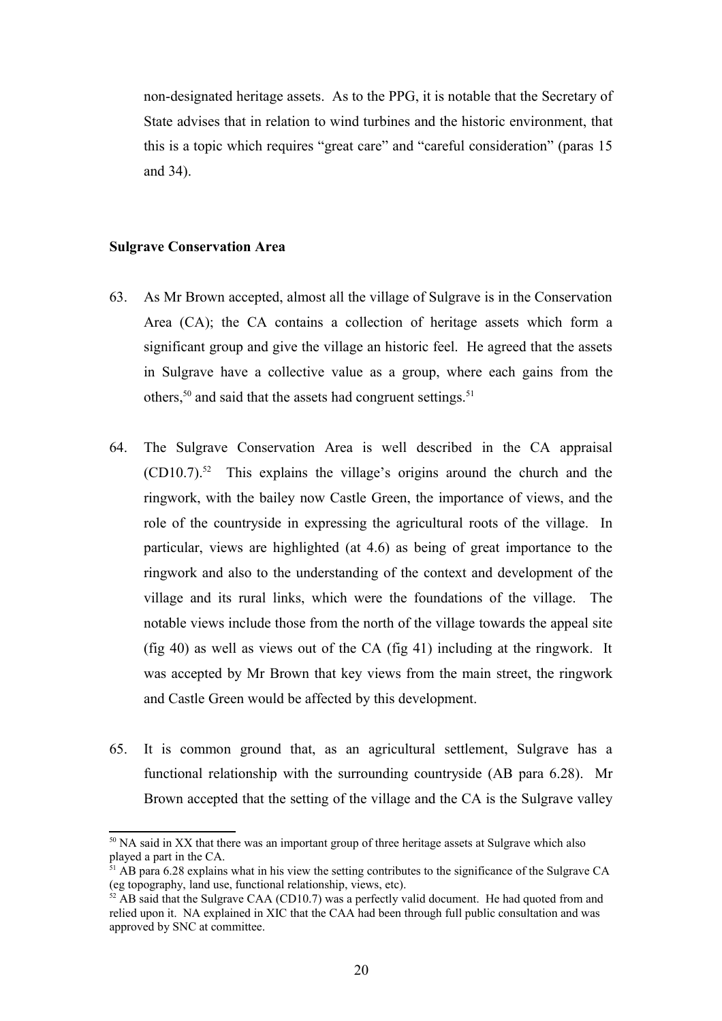non-designated heritage assets. As to the PPG, it is notable that the Secretary of State advises that in relation to wind turbines and the historic environment, that this is a topic which requires "great care" and "careful consideration" (paras 15 and 34).

## **Sulgrave Conservation Area**

- 63. As Mr Brown accepted, almost all the village of Sulgrave is in the Conservation Area (CA); the CA contains a collection of heritage assets which form a significant group and give the village an historic feel. He agreed that the assets in Sulgrave have a collective value as a group, where each gains from the others,<sup>[50](#page-19-0)</sup> and said that the assets had congruent settings.<sup>[51](#page-19-1)</sup>
- 64. The Sulgrave Conservation Area is well described in the CA appraisal  $(CD10.7).$ <sup>[52](#page-19-2)</sup> This explains the village's origins around the church and the ringwork, with the bailey now Castle Green, the importance of views, and the role of the countryside in expressing the agricultural roots of the village. In particular, views are highlighted (at 4.6) as being of great importance to the ringwork and also to the understanding of the context and development of the village and its rural links, which were the foundations of the village. The notable views include those from the north of the village towards the appeal site (fig 40) as well as views out of the CA (fig 41) including at the ringwork. It was accepted by Mr Brown that key views from the main street, the ringwork and Castle Green would be affected by this development.
- 65. It is common ground that, as an agricultural settlement, Sulgrave has a functional relationship with the surrounding countryside (AB para 6.28). Mr Brown accepted that the setting of the village and the CA is the Sulgrave valley

<span id="page-19-0"></span><sup>&</sup>lt;sup>50</sup> NA said in XX that there was an important group of three heritage assets at Sulgrave which also played a part in the CA.

<span id="page-19-1"></span> $31$  AB para 6.28 explains what in his view the setting contributes to the significance of the Sulgrave CA (eg topography, land use, functional relationship, views, etc).

<span id="page-19-2"></span> $52$  AB said that the Sulgrave CAA (CD10.7) was a perfectly valid document. He had quoted from and relied upon it. NA explained in XIC that the CAA had been through full public consultation and was approved by SNC at committee.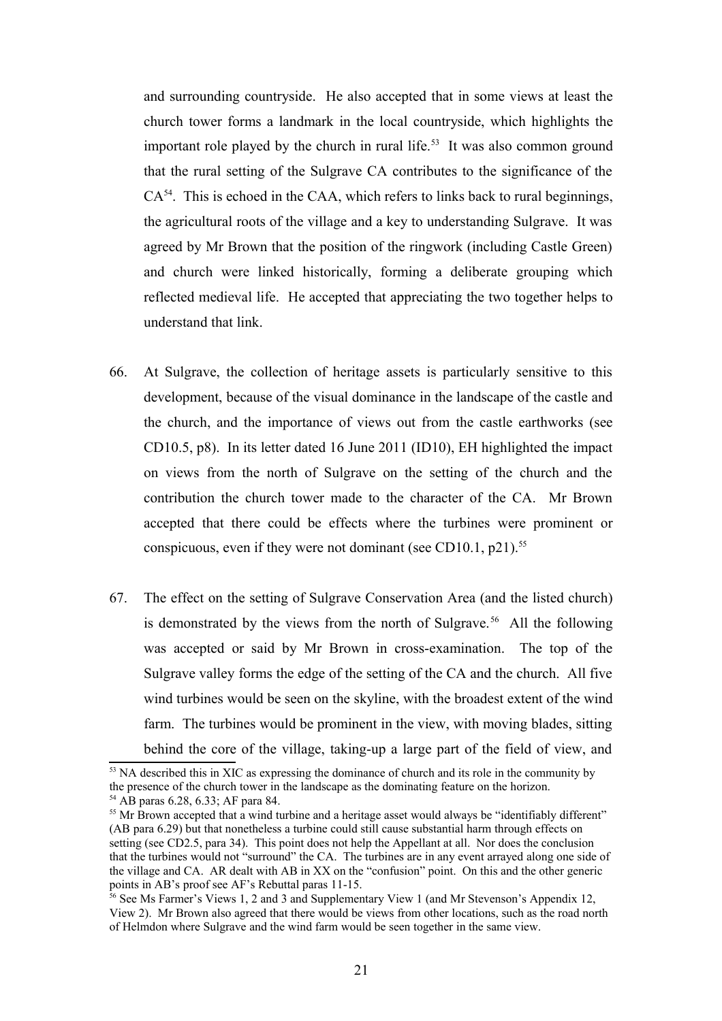and surrounding countryside. He also accepted that in some views at least the church tower forms a landmark in the local countryside, which highlights the important role played by the church in rural life.<sup>[53](#page-20-0)</sup> It was also common ground that the rural setting of the Sulgrave CA contributes to the significance of the  $CA<sup>54</sup>$  $CA<sup>54</sup>$  $CA<sup>54</sup>$ . This is echoed in the CAA, which refers to links back to rural beginnings, the agricultural roots of the village and a key to understanding Sulgrave. It was agreed by Mr Brown that the position of the ringwork (including Castle Green) and church were linked historically, forming a deliberate grouping which reflected medieval life. He accepted that appreciating the two together helps to understand that link.

- 66. At Sulgrave, the collection of heritage assets is particularly sensitive to this development, because of the visual dominance in the landscape of the castle and the church, and the importance of views out from the castle earthworks (see CD10.5, p8). In its letter dated 16 June 2011 (ID10), EH highlighted the impact on views from the north of Sulgrave on the setting of the church and the contribution the church tower made to the character of the CA. Mr Brown accepted that there could be effects where the turbines were prominent or conspicuous, even if they were not dominant (see CD10.1, p21).<sup>[55](#page-20-2)</sup>
- 67. The effect on the setting of Sulgrave Conservation Area (and the listed church) is demonstrated by the views from the north of Sulgrave.<sup>[56](#page-20-3)</sup> All the following was accepted or said by Mr Brown in cross-examination. The top of the Sulgrave valley forms the edge of the setting of the CA and the church. All five wind turbines would be seen on the skyline, with the broadest extent of the wind farm. The turbines would be prominent in the view, with moving blades, sitting behind the core of the village, taking-up a large part of the field of view, and

<span id="page-20-0"></span><sup>&</sup>lt;sup>53</sup> NA described this in XIC as expressing the dominance of church and its role in the community by the presence of the church tower in the landscape as the dominating feature on the horizon. <sup>54</sup> AB paras 6.28, 6.33; AF para 84.

<span id="page-20-2"></span><span id="page-20-1"></span><sup>&</sup>lt;sup>55</sup> Mr Brown accepted that a wind turbine and a heritage asset would always be "identifiably different" (AB para 6.29) but that nonetheless a turbine could still cause substantial harm through effects on setting (see CD2.5, para 34). This point does not help the Appellant at all. Nor does the conclusion that the turbines would not "surround" the CA. The turbines are in any event arrayed along one side of the village and CA. AR dealt with AB in XX on the "confusion" point. On this and the other generic points in AB's proof see AF's Rebuttal paras 11-15.

<span id="page-20-3"></span><sup>&</sup>lt;sup>56</sup> See Ms Farmer's Views 1, 2 and 3 and Supplementary View 1 (and Mr Stevenson's Appendix 12, View 2). Mr Brown also agreed that there would be views from other locations, such as the road north of Helmdon where Sulgrave and the wind farm would be seen together in the same view.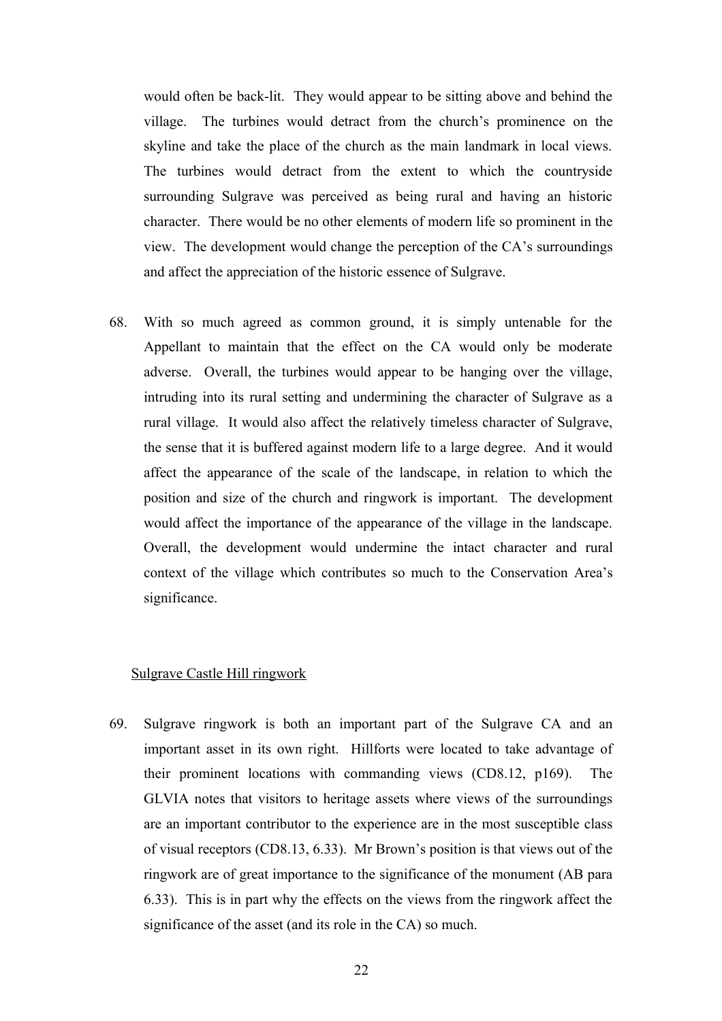would often be back-lit. They would appear to be sitting above and behind the village. The turbines would detract from the church's prominence on the skyline and take the place of the church as the main landmark in local views. The turbines would detract from the extent to which the countryside surrounding Sulgrave was perceived as being rural and having an historic character. There would be no other elements of modern life so prominent in the view. The development would change the perception of the CA's surroundings and affect the appreciation of the historic essence of Sulgrave.

68. With so much agreed as common ground, it is simply untenable for the Appellant to maintain that the effect on the CA would only be moderate adverse. Overall, the turbines would appear to be hanging over the village, intruding into its rural setting and undermining the character of Sulgrave as a rural village. It would also affect the relatively timeless character of Sulgrave, the sense that it is buffered against modern life to a large degree. And it would affect the appearance of the scale of the landscape, in relation to which the position and size of the church and ringwork is important. The development would affect the importance of the appearance of the village in the landscape. Overall, the development would undermine the intact character and rural context of the village which contributes so much to the Conservation Area's significance.

#### Sulgrave Castle Hill ringwork

69. Sulgrave ringwork is both an important part of the Sulgrave CA and an important asset in its own right. Hillforts were located to take advantage of their prominent locations with commanding views (CD8.12, p169). The GLVIA notes that visitors to heritage assets where views of the surroundings are an important contributor to the experience are in the most susceptible class of visual receptors (CD8.13, 6.33). Mr Brown's position is that views out of the ringwork are of great importance to the significance of the monument (AB para 6.33). This is in part why the effects on the views from the ringwork affect the significance of the asset (and its role in the CA) so much.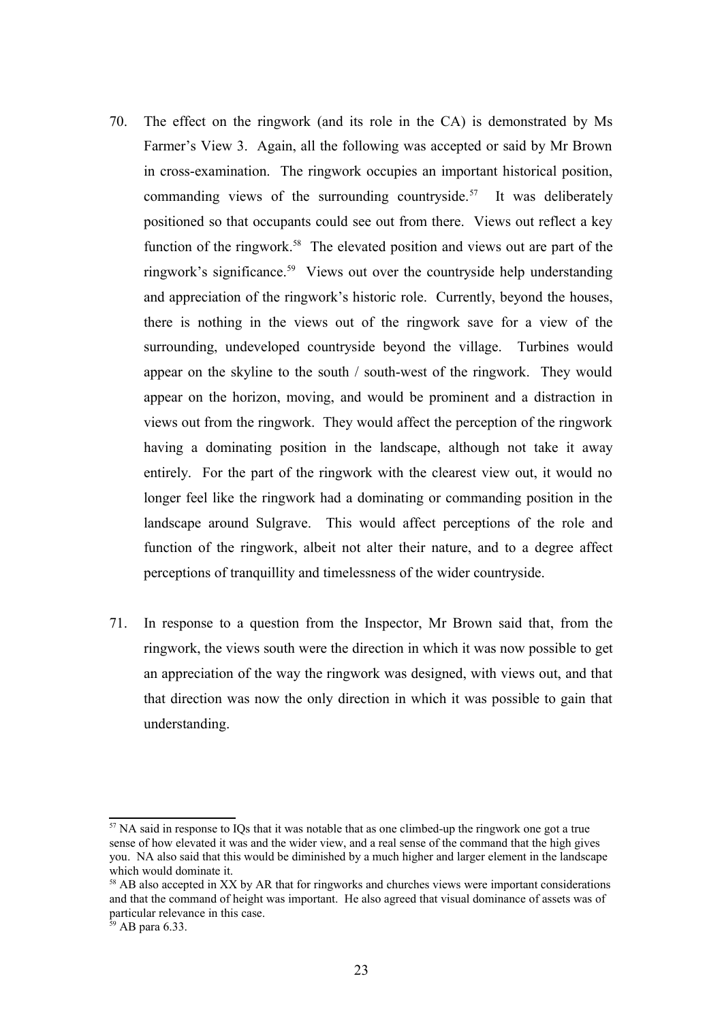- 70. The effect on the ringwork (and its role in the CA) is demonstrated by Ms Farmer's View 3. Again, all the following was accepted or said by Mr Brown in cross-examination. The ringwork occupies an important historical position, commanding views of the surrounding countryside.<sup>[57](#page-22-0)</sup> It was deliberately positioned so that occupants could see out from there. Views out reflect a key function of the ringwork.<sup>[58](#page-22-1)</sup> The elevated position and views out are part of the ringwork's significance.<sup>[59](#page-22-2)</sup> Views out over the countryside help understanding and appreciation of the ringwork's historic role. Currently, beyond the houses, there is nothing in the views out of the ringwork save for a view of the surrounding, undeveloped countryside beyond the village. Turbines would appear on the skyline to the south / south-west of the ringwork. They would appear on the horizon, moving, and would be prominent and a distraction in views out from the ringwork. They would affect the perception of the ringwork having a dominating position in the landscape, although not take it away entirely. For the part of the ringwork with the clearest view out, it would no longer feel like the ringwork had a dominating or commanding position in the landscape around Sulgrave. This would affect perceptions of the role and function of the ringwork, albeit not alter their nature, and to a degree affect perceptions of tranquillity and timelessness of the wider countryside.
- 71. In response to a question from the Inspector, Mr Brown said that, from the ringwork, the views south were the direction in which it was now possible to get an appreciation of the way the ringwork was designed, with views out, and that that direction was now the only direction in which it was possible to gain that understanding.

<span id="page-22-0"></span><sup>&</sup>lt;sup>57</sup> NA said in response to IQs that it was notable that as one climbed-up the ringwork one got a true sense of how elevated it was and the wider view, and a real sense of the command that the high gives you. NA also said that this would be diminished by a much higher and larger element in the landscape which would dominate it.

<span id="page-22-1"></span><sup>&</sup>lt;sup>58</sup> AB also accepted in XX by AR that for ringworks and churches views were important considerations and that the command of height was important. He also agreed that visual dominance of assets was of particular relevance in this case.

<span id="page-22-2"></span> $59$  AB para 6.33.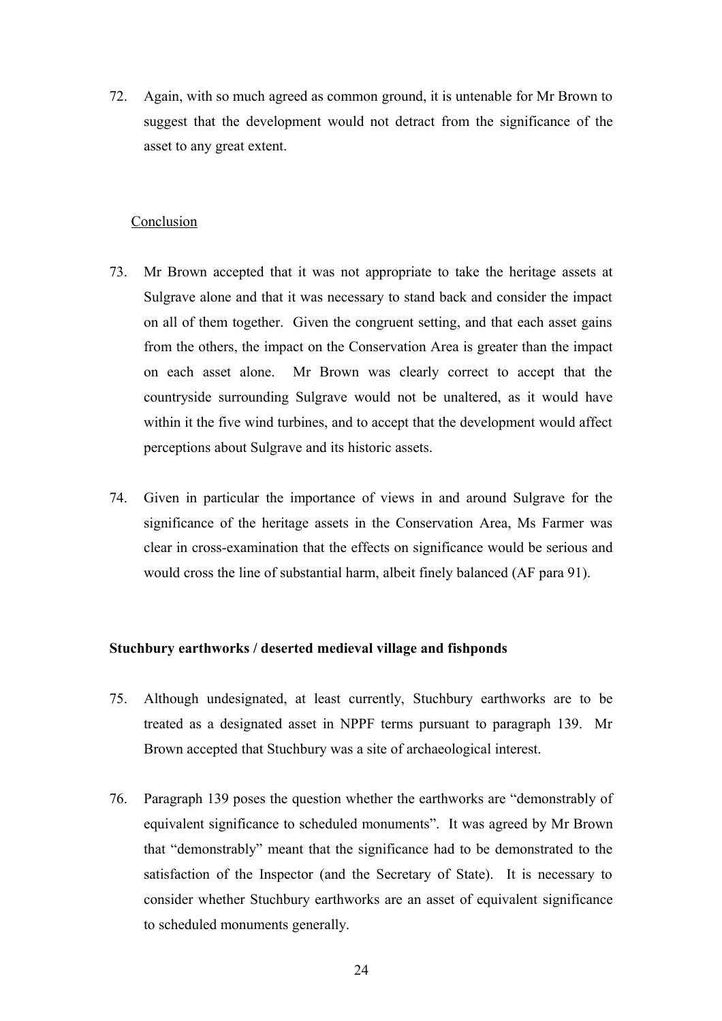72. Again, with so much agreed as common ground, it is untenable for Mr Brown to suggest that the development would not detract from the significance of the asset to any great extent.

#### Conclusion

- 73. Mr Brown accepted that it was not appropriate to take the heritage assets at Sulgrave alone and that it was necessary to stand back and consider the impact on all of them together. Given the congruent setting, and that each asset gains from the others, the impact on the Conservation Area is greater than the impact on each asset alone. Mr Brown was clearly correct to accept that the countryside surrounding Sulgrave would not be unaltered, as it would have within it the five wind turbines, and to accept that the development would affect perceptions about Sulgrave and its historic assets.
- 74. Given in particular the importance of views in and around Sulgrave for the significance of the heritage assets in the Conservation Area, Ms Farmer was clear in cross-examination that the effects on significance would be serious and would cross the line of substantial harm, albeit finely balanced (AF para 91).

## **Stuchbury earthworks / deserted medieval village and fishponds**

- 75. Although undesignated, at least currently, Stuchbury earthworks are to be treated as a designated asset in NPPF terms pursuant to paragraph 139. Mr Brown accepted that Stuchbury was a site of archaeological interest.
- 76. Paragraph 139 poses the question whether the earthworks are "demonstrably of equivalent significance to scheduled monuments". It was agreed by Mr Brown that "demonstrably" meant that the significance had to be demonstrated to the satisfaction of the Inspector (and the Secretary of State). It is necessary to consider whether Stuchbury earthworks are an asset of equivalent significance to scheduled monuments generally.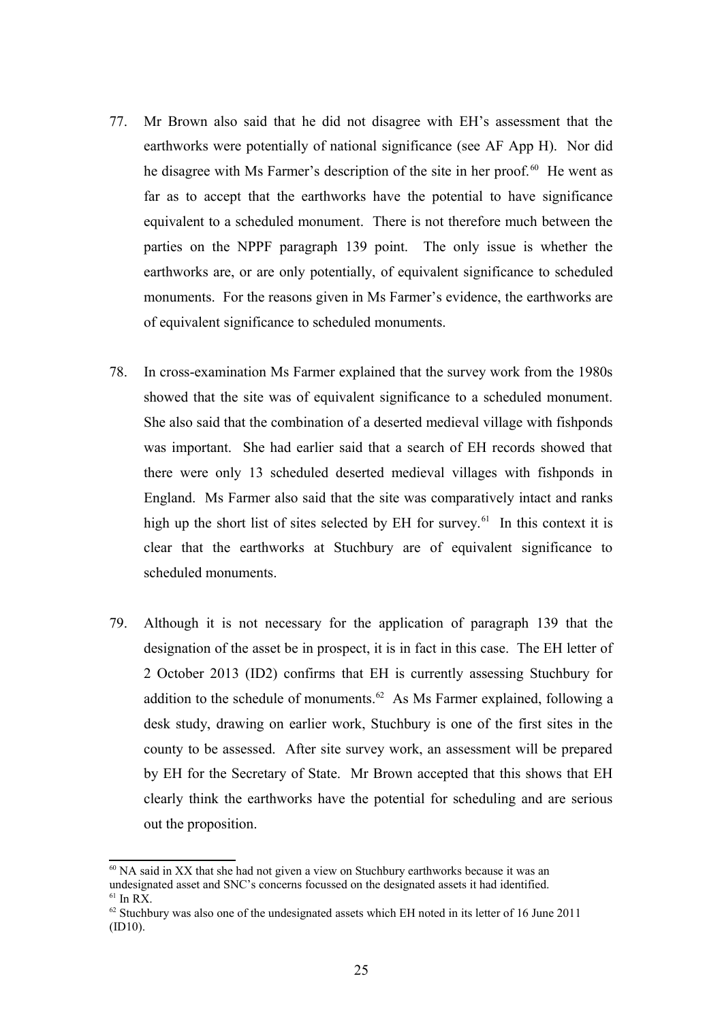- 77. Mr Brown also said that he did not disagree with EH's assessment that the earthworks were potentially of national significance (see AF App H). Nor did he disagree with Ms Farmer's description of the site in her proof.<sup>[60](#page-24-0)</sup> He went as far as to accept that the earthworks have the potential to have significance equivalent to a scheduled monument. There is not therefore much between the parties on the NPPF paragraph 139 point. The only issue is whether the earthworks are, or are only potentially, of equivalent significance to scheduled monuments. For the reasons given in Ms Farmer's evidence, the earthworks are of equivalent significance to scheduled monuments.
- 78. In cross-examination Ms Farmer explained that the survey work from the 1980s showed that the site was of equivalent significance to a scheduled monument. She also said that the combination of a deserted medieval village with fishponds was important. She had earlier said that a search of EH records showed that there were only 13 scheduled deserted medieval villages with fishponds in England. Ms Farmer also said that the site was comparatively intact and ranks high up the short list of sites selected by EH for survey.<sup>[61](#page-24-1)</sup> In this context it is clear that the earthworks at Stuchbury are of equivalent significance to scheduled monuments.
- 79. Although it is not necessary for the application of paragraph 139 that the designation of the asset be in prospect, it is in fact in this case. The EH letter of 2 October 2013 (ID2) confirms that EH is currently assessing Stuchbury for addition to the schedule of monuments.<sup>[62](#page-24-2)</sup> As Ms Farmer explained, following a desk study, drawing on earlier work, Stuchbury is one of the first sites in the county to be assessed. After site survey work, an assessment will be prepared by EH for the Secretary of State. Mr Brown accepted that this shows that EH clearly think the earthworks have the potential for scheduling and are serious out the proposition.

<span id="page-24-0"></span> $60$  NA said in XX that she had not given a view on Stuchbury earthworks because it was an undesignated asset and SNC's concerns focussed on the designated assets it had identified.  $61$  In RX.

<span id="page-24-2"></span><span id="page-24-1"></span><sup>&</sup>lt;sup>62</sup> Stuchbury was also one of the undesignated assets which EH noted in its letter of 16 June 2011 (ID10).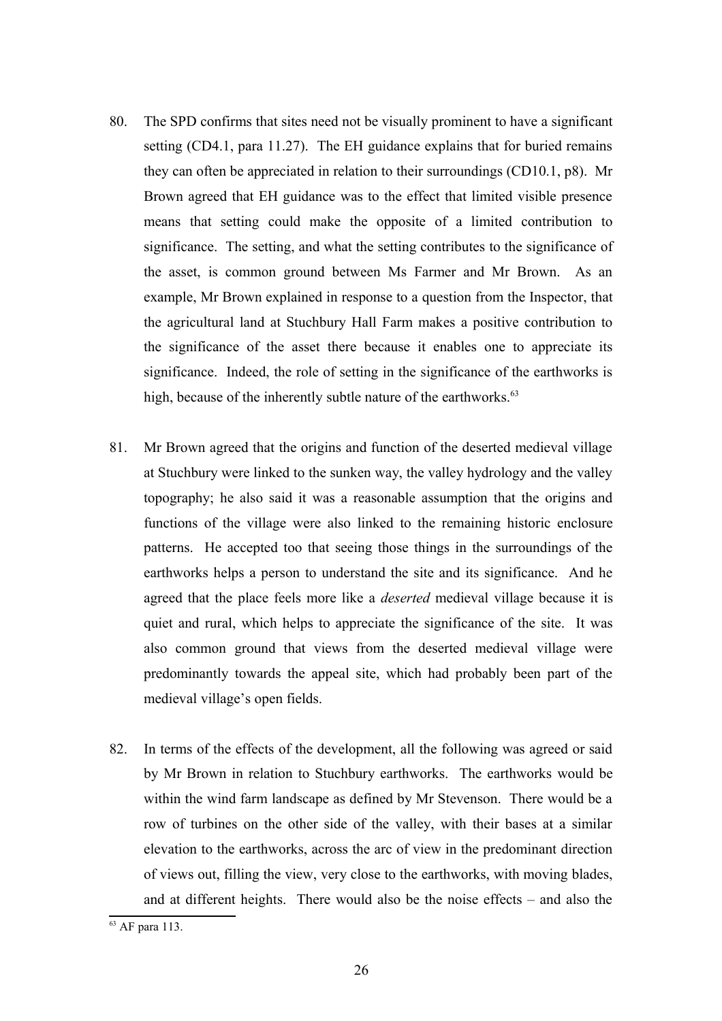- 80. The SPD confirms that sites need not be visually prominent to have a significant setting (CD4.1, para 11.27). The EH guidance explains that for buried remains they can often be appreciated in relation to their surroundings (CD10.1, p8). Mr Brown agreed that EH guidance was to the effect that limited visible presence means that setting could make the opposite of a limited contribution to significance. The setting, and what the setting contributes to the significance of the asset, is common ground between Ms Farmer and Mr Brown. As an example, Mr Brown explained in response to a question from the Inspector, that the agricultural land at Stuchbury Hall Farm makes a positive contribution to the significance of the asset there because it enables one to appreciate its significance. Indeed, the role of setting in the significance of the earthworks is high, because of the inherently subtle nature of the earthworks.<sup>[63](#page-25-0)</sup>
- 81. Mr Brown agreed that the origins and function of the deserted medieval village at Stuchbury were linked to the sunken way, the valley hydrology and the valley topography; he also said it was a reasonable assumption that the origins and functions of the village were also linked to the remaining historic enclosure patterns. He accepted too that seeing those things in the surroundings of the earthworks helps a person to understand the site and its significance. And he agreed that the place feels more like a *deserted* medieval village because it is quiet and rural, which helps to appreciate the significance of the site. It was also common ground that views from the deserted medieval village were predominantly towards the appeal site, which had probably been part of the medieval village's open fields.
- 82. In terms of the effects of the development, all the following was agreed or said by Mr Brown in relation to Stuchbury earthworks. The earthworks would be within the wind farm landscape as defined by Mr Stevenson. There would be a row of turbines on the other side of the valley, with their bases at a similar elevation to the earthworks, across the arc of view in the predominant direction of views out, filling the view, very close to the earthworks, with moving blades, and at different heights. There would also be the noise effects – and also the

<span id="page-25-0"></span><sup>63</sup> AF para 113.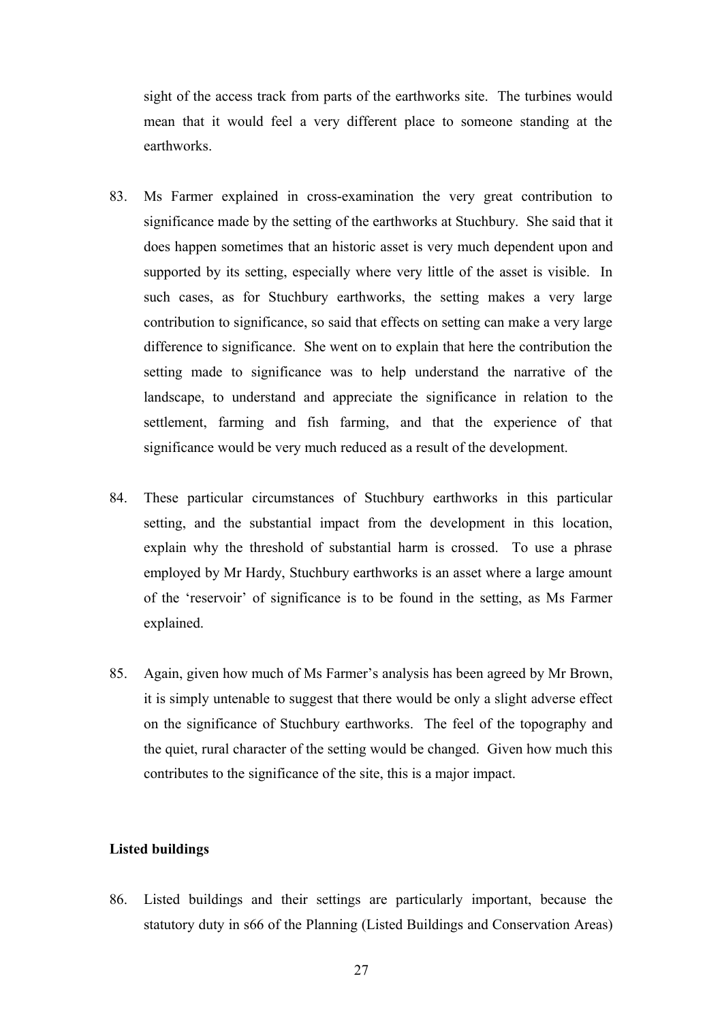sight of the access track from parts of the earthworks site. The turbines would mean that it would feel a very different place to someone standing at the earthworks.

- 83. Ms Farmer explained in cross-examination the very great contribution to significance made by the setting of the earthworks at Stuchbury. She said that it does happen sometimes that an historic asset is very much dependent upon and supported by its setting, especially where very little of the asset is visible. In such cases, as for Stuchbury earthworks, the setting makes a very large contribution to significance, so said that effects on setting can make a very large difference to significance. She went on to explain that here the contribution the setting made to significance was to help understand the narrative of the landscape, to understand and appreciate the significance in relation to the settlement, farming and fish farming, and that the experience of that significance would be very much reduced as a result of the development.
- 84. These particular circumstances of Stuchbury earthworks in this particular setting, and the substantial impact from the development in this location, explain why the threshold of substantial harm is crossed. To use a phrase employed by Mr Hardy, Stuchbury earthworks is an asset where a large amount of the 'reservoir' of significance is to be found in the setting, as Ms Farmer explained.
- 85. Again, given how much of Ms Farmer's analysis has been agreed by Mr Brown, it is simply untenable to suggest that there would be only a slight adverse effect on the significance of Stuchbury earthworks. The feel of the topography and the quiet, rural character of the setting would be changed. Given how much this contributes to the significance of the site, this is a major impact.

#### **Listed buildings**

86. Listed buildings and their settings are particularly important, because the statutory duty in s66 of the Planning (Listed Buildings and Conservation Areas)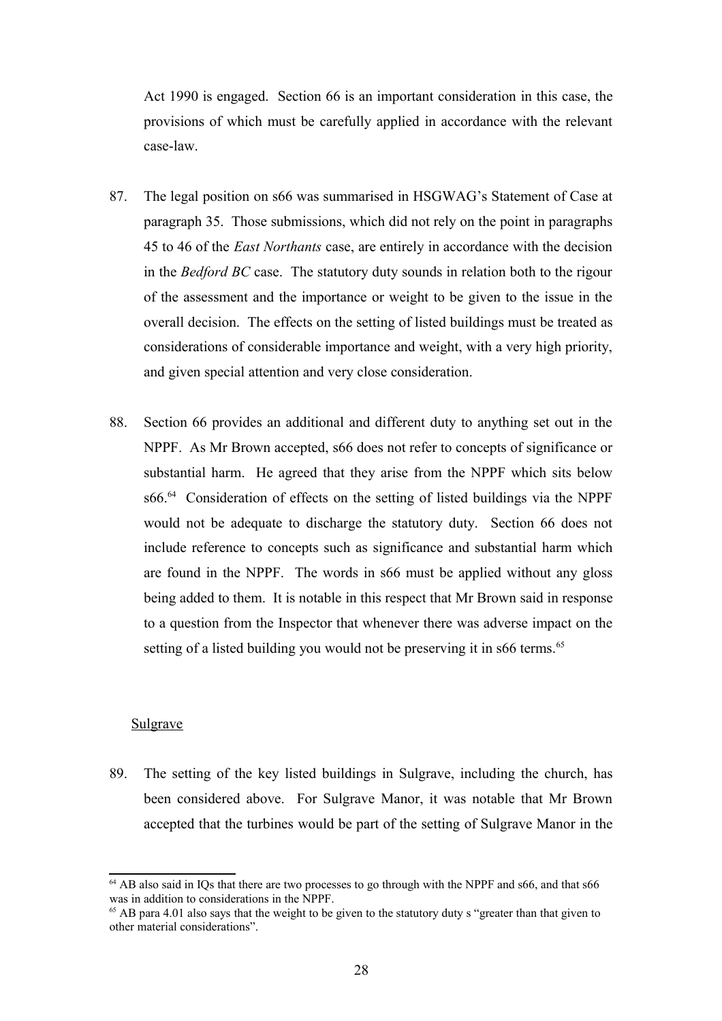Act 1990 is engaged. Section 66 is an important consideration in this case, the provisions of which must be carefully applied in accordance with the relevant case-law.

- 87. The legal position on s66 was summarised in HSGWAG's Statement of Case at paragraph 35. Those submissions, which did not rely on the point in paragraphs 45 to 46 of the *East Northants* case, are entirely in accordance with the decision in the *Bedford BC* case. The statutory duty sounds in relation both to the rigour of the assessment and the importance or weight to be given to the issue in the overall decision. The effects on the setting of listed buildings must be treated as considerations of considerable importance and weight, with a very high priority, and given special attention and very close consideration.
- 88. Section 66 provides an additional and different duty to anything set out in the NPPF. As Mr Brown accepted, s66 does not refer to concepts of significance or substantial harm. He agreed that they arise from the NPPF which sits below s66.<sup>[64](#page-27-0)</sup> Consideration of effects on the setting of listed buildings via the NPPF would not be adequate to discharge the statutory duty. Section 66 does not include reference to concepts such as significance and substantial harm which are found in the NPPF. The words in s66 must be applied without any gloss being added to them. It is notable in this respect that Mr Brown said in response to a question from the Inspector that whenever there was adverse impact on the setting of a listed building you would not be preserving it in s66 terms.<sup>[65](#page-27-1)</sup>

# Sulgrave

89. The setting of the key listed buildings in Sulgrave, including the church, has been considered above. For Sulgrave Manor, it was notable that Mr Brown accepted that the turbines would be part of the setting of Sulgrave Manor in the

<span id="page-27-0"></span><sup>&</sup>lt;sup>64</sup> AB also said in IOs that there are two processes to go through with the NPPF and s66, and that s66 was in addition to considerations in the NPPF.

<span id="page-27-1"></span><sup>&</sup>lt;sup>65</sup> AB para 4.01 also says that the weight to be given to the statutory duty s "greater than that given to other material considerations".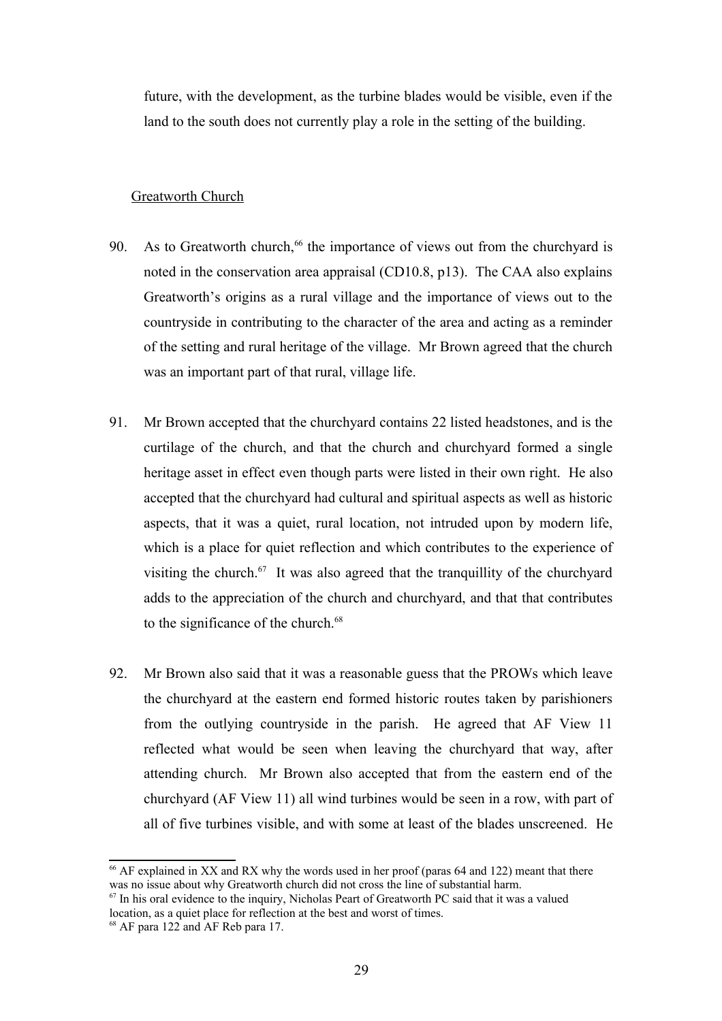future, with the development, as the turbine blades would be visible, even if the land to the south does not currently play a role in the setting of the building.

## Greatworth Church

- 90. As to Greatworth church, $66$  the importance of views out from the churchyard is noted in the conservation area appraisal (CD10.8, p13). The CAA also explains Greatworth's origins as a rural village and the importance of views out to the countryside in contributing to the character of the area and acting as a reminder of the setting and rural heritage of the village. Mr Brown agreed that the church was an important part of that rural, village life.
- 91. Mr Brown accepted that the churchyard contains 22 listed headstones, and is the curtilage of the church, and that the church and churchyard formed a single heritage asset in effect even though parts were listed in their own right. He also accepted that the churchyard had cultural and spiritual aspects as well as historic aspects, that it was a quiet, rural location, not intruded upon by modern life, which is a place for quiet reflection and which contributes to the experience of visiting the church.<sup>[67](#page-28-1)</sup> It was also agreed that the tranquillity of the churchyard adds to the appreciation of the church and churchyard, and that that contributes to the significance of the church.<sup>[68](#page-28-2)</sup>
- 92. Mr Brown also said that it was a reasonable guess that the PROWs which leave the churchyard at the eastern end formed historic routes taken by parishioners from the outlying countryside in the parish. He agreed that AF View 11 reflected what would be seen when leaving the churchyard that way, after attending church. Mr Brown also accepted that from the eastern end of the churchyard (AF View 11) all wind turbines would be seen in a row, with part of all of five turbines visible, and with some at least of the blades unscreened. He

<span id="page-28-0"></span> $66$  AF explained in XX and RX why the words used in her proof (paras 64 and 122) meant that there was no issue about why Greatworth church did not cross the line of substantial harm.

<span id="page-28-1"></span> $67$  In his oral evidence to the inquiry, Nicholas Peart of Greatworth PC said that it was a valued location, as a quiet place for reflection at the best and worst of times.

<span id="page-28-2"></span><sup>&</sup>lt;sup>68</sup> AF para 122 and AF Reb para 17.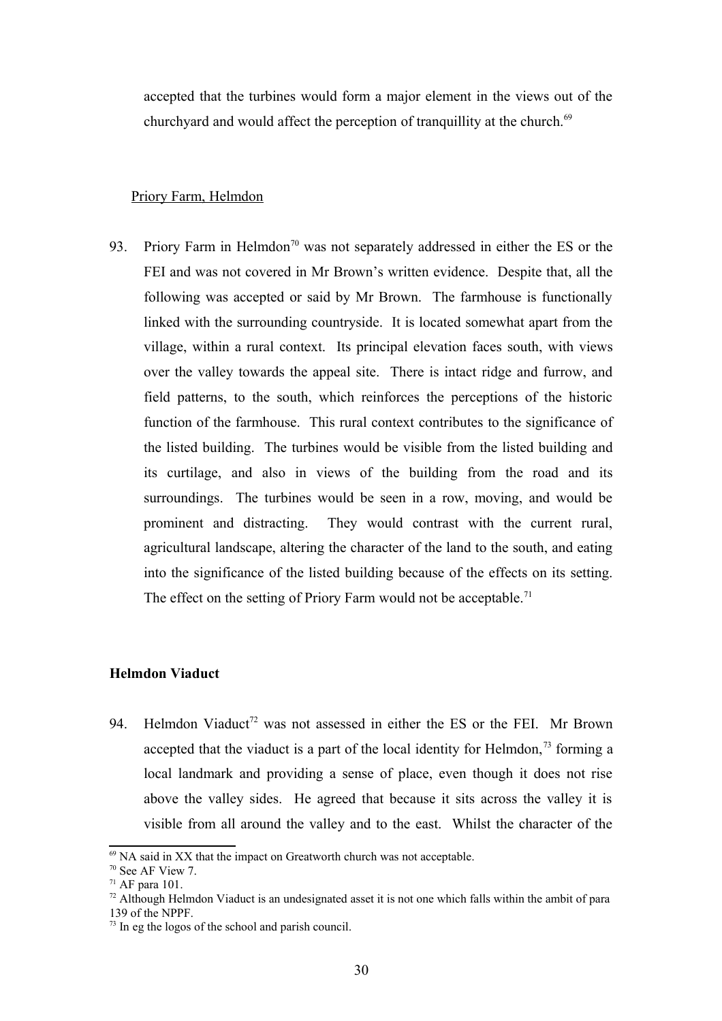accepted that the turbines would form a major element in the views out of the churchyard and would affect the perception of tranquillity at the church.<sup>[69](#page-29-0)</sup>

## Priory Farm, Helmdon

93. Priory Farm in Helmdon<sup>[70](#page-29-1)</sup> was not separately addressed in either the ES or the FEI and was not covered in Mr Brown's written evidence. Despite that, all the following was accepted or said by Mr Brown. The farmhouse is functionally linked with the surrounding countryside. It is located somewhat apart from the village, within a rural context. Its principal elevation faces south, with views over the valley towards the appeal site. There is intact ridge and furrow, and field patterns, to the south, which reinforces the perceptions of the historic function of the farmhouse. This rural context contributes to the significance of the listed building. The turbines would be visible from the listed building and its curtilage, and also in views of the building from the road and its surroundings. The turbines would be seen in a row, moving, and would be prominent and distracting. They would contrast with the current rural, agricultural landscape, altering the character of the land to the south, and eating into the significance of the listed building because of the effects on its setting. The effect on the setting of Priory Farm would not be acceptable.<sup>[71](#page-29-2)</sup>

#### **Helmdon Viaduct**

94. Helmdon Viaduct<sup>[72](#page-29-3)</sup> was not assessed in either the ES or the FEI. Mr Brown accepted that the viaduct is a part of the local identity for Helmdon,  $\frac{73}{12}$  $\frac{73}{12}$  $\frac{73}{12}$  forming a local landmark and providing a sense of place, even though it does not rise above the valley sides. He agreed that because it sits across the valley it is visible from all around the valley and to the east. Whilst the character of the

<span id="page-29-0"></span> $69$  NA said in XX that the impact on Greatworth church was not acceptable.

<span id="page-29-1"></span><sup>70</sup> See AF View 7.

<span id="page-29-2"></span> $71$  AF para 101.

<span id="page-29-3"></span> $72$  Although Helmdon Viaduct is an undesignated asset it is not one which falls within the ambit of para 139 of the NPPF.

<span id="page-29-4"></span> $73$  In eg the logos of the school and parish council.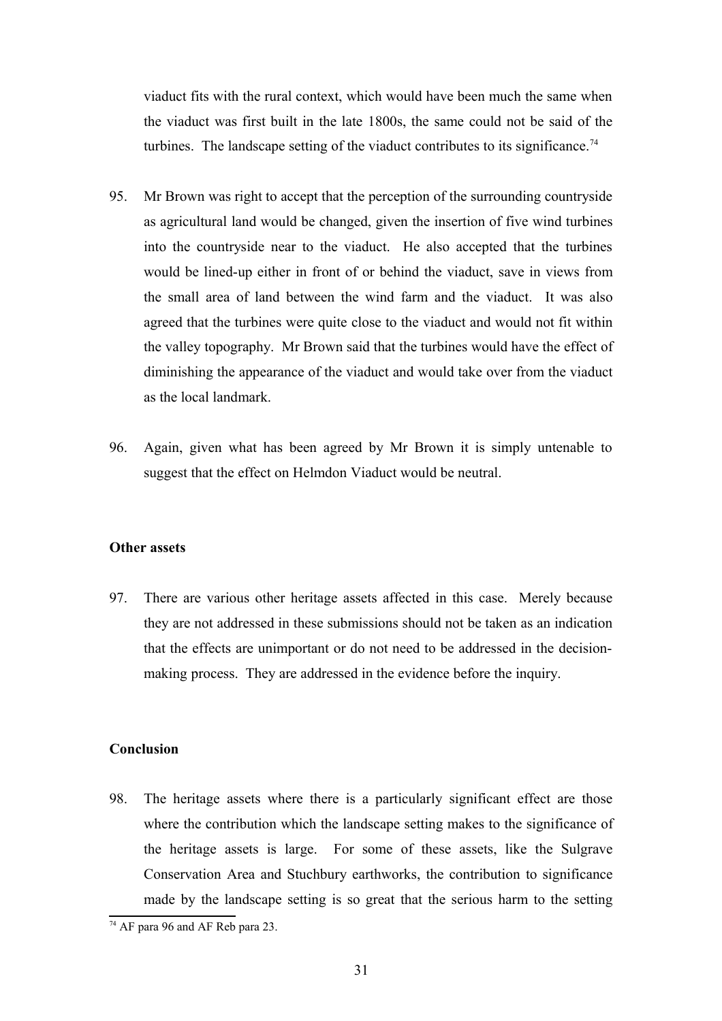viaduct fits with the rural context, which would have been much the same when the viaduct was first built in the late 1800s, the same could not be said of the turbines. The landscape setting of the viaduct contributes to its significance.<sup>[74](#page-30-0)</sup>

- 95. Mr Brown was right to accept that the perception of the surrounding countryside as agricultural land would be changed, given the insertion of five wind turbines into the countryside near to the viaduct. He also accepted that the turbines would be lined-up either in front of or behind the viaduct, save in views from the small area of land between the wind farm and the viaduct. It was also agreed that the turbines were quite close to the viaduct and would not fit within the valley topography. Mr Brown said that the turbines would have the effect of diminishing the appearance of the viaduct and would take over from the viaduct as the local landmark.
- 96. Again, given what has been agreed by Mr Brown it is simply untenable to suggest that the effect on Helmdon Viaduct would be neutral.

#### **Other assets**

97. There are various other heritage assets affected in this case. Merely because they are not addressed in these submissions should not be taken as an indication that the effects are unimportant or do not need to be addressed in the decisionmaking process. They are addressed in the evidence before the inquiry.

# **Conclusion**

98. The heritage assets where there is a particularly significant effect are those where the contribution which the landscape setting makes to the significance of the heritage assets is large. For some of these assets, like the Sulgrave Conservation Area and Stuchbury earthworks, the contribution to significance made by the landscape setting is so great that the serious harm to the setting

<span id="page-30-0"></span><sup>74</sup> AF para 96 and AF Reb para 23.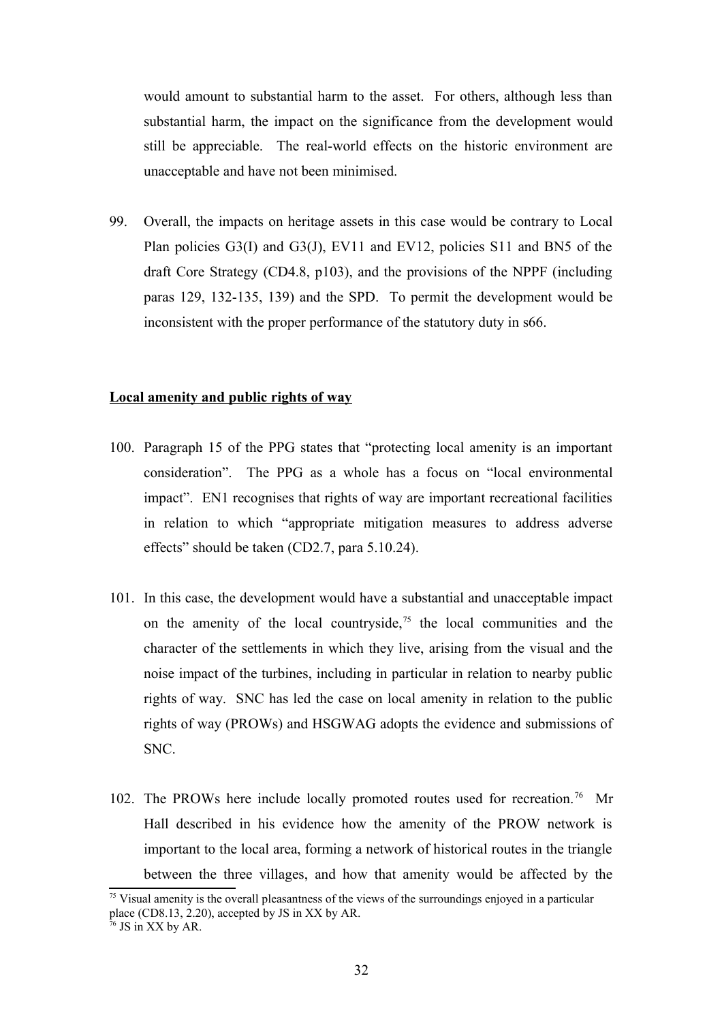would amount to substantial harm to the asset. For others, although less than substantial harm, the impact on the significance from the development would still be appreciable. The real-world effects on the historic environment are unacceptable and have not been minimised.

99. Overall, the impacts on heritage assets in this case would be contrary to Local Plan policies G3(I) and G3(J), EV11 and EV12, policies S11 and BN5 of the draft Core Strategy (CD4.8, p103), and the provisions of the NPPF (including paras 129, 132-135, 139) and the SPD. To permit the development would be inconsistent with the proper performance of the statutory duty in s66.

## **Local amenity and public rights of way**

- 100. Paragraph 15 of the PPG states that "protecting local amenity is an important consideration". The PPG as a whole has a focus on "local environmental impact". EN1 recognises that rights of way are important recreational facilities in relation to which "appropriate mitigation measures to address adverse effects" should be taken (CD2.7, para 5.10.24).
- 101. In this case, the development would have a substantial and unacceptable impact on the amenity of the local countryside,<sup>[75](#page-31-0)</sup> the local communities and the character of the settlements in which they live, arising from the visual and the noise impact of the turbines, including in particular in relation to nearby public rights of way. SNC has led the case on local amenity in relation to the public rights of way (PROWs) and HSGWAG adopts the evidence and submissions of SNC.
- 102. The PROWs here include locally promoted routes used for recreation.<sup>[76](#page-31-1)</sup> Mr Hall described in his evidence how the amenity of the PROW network is important to the local area, forming a network of historical routes in the triangle between the three villages, and how that amenity would be affected by the

<span id="page-31-0"></span> $75$  Visual amenity is the overall pleasantness of the views of the surroundings enjoyed in a particular place (CD8.13, 2.20), accepted by JS in XX by AR.

<span id="page-31-1"></span> $76$  JS in XX by AR.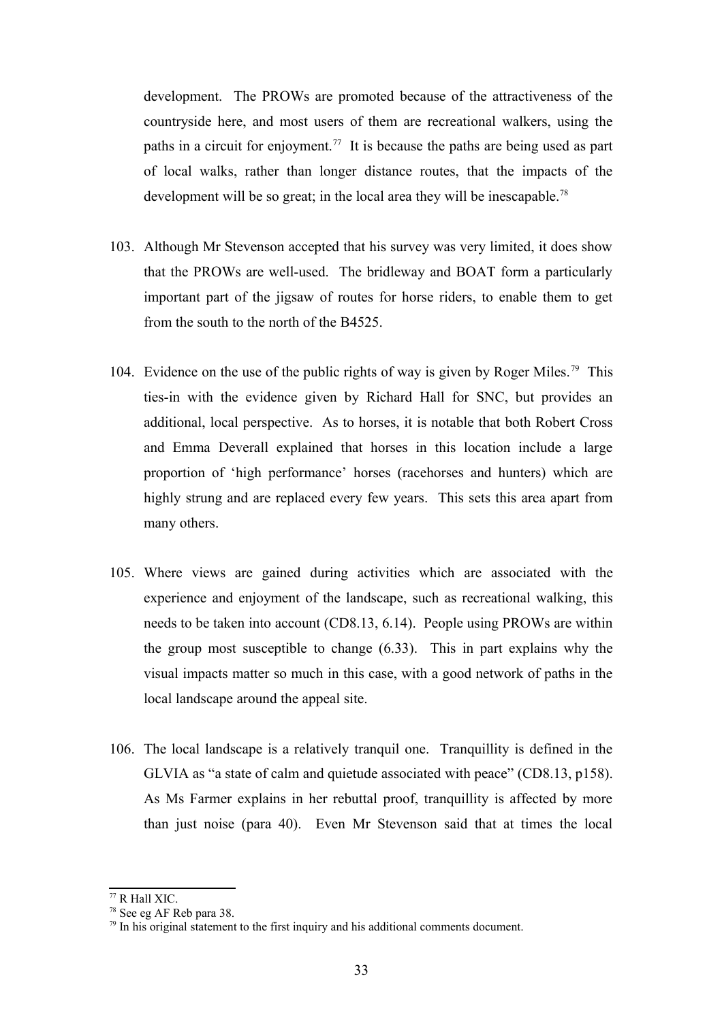development. The PROWs are promoted because of the attractiveness of the countryside here, and most users of them are recreational walkers, using the paths in a circuit for enjoyment.<sup>[77](#page-32-0)</sup> It is because the paths are being used as part of local walks, rather than longer distance routes, that the impacts of the development will be so great; in the local area they will be inescapable.<sup>[78](#page-32-1)</sup>

- 103. Although Mr Stevenson accepted that his survey was very limited, it does show that the PROWs are well-used. The bridleway and BOAT form a particularly important part of the jigsaw of routes for horse riders, to enable them to get from the south to the north of the B4525.
- 104. Evidence on the use of the public rights of way is given by Roger Miles.<sup>[79](#page-32-2)</sup> This ties-in with the evidence given by Richard Hall for SNC, but provides an additional, local perspective. As to horses, it is notable that both Robert Cross and Emma Deverall explained that horses in this location include a large proportion of 'high performance' horses (racehorses and hunters) which are highly strung and are replaced every few years. This sets this area apart from many others.
- 105. Where views are gained during activities which are associated with the experience and enjoyment of the landscape, such as recreational walking, this needs to be taken into account (CD8.13, 6.14). People using PROWs are within the group most susceptible to change (6.33). This in part explains why the visual impacts matter so much in this case, with a good network of paths in the local landscape around the appeal site.
- 106. The local landscape is a relatively tranquil one. Tranquillity is defined in the GLVIA as "a state of calm and quietude associated with peace" (CD8.13, p158). As Ms Farmer explains in her rebuttal proof, tranquillity is affected by more than just noise (para 40). Even Mr Stevenson said that at times the local

<span id="page-32-0"></span><sup>77</sup> R Hall XIC.

<span id="page-32-1"></span><sup>78</sup> See eg AF Reb para 38.

<span id="page-32-2"></span> $79$  In his original statement to the first inquiry and his additional comments document.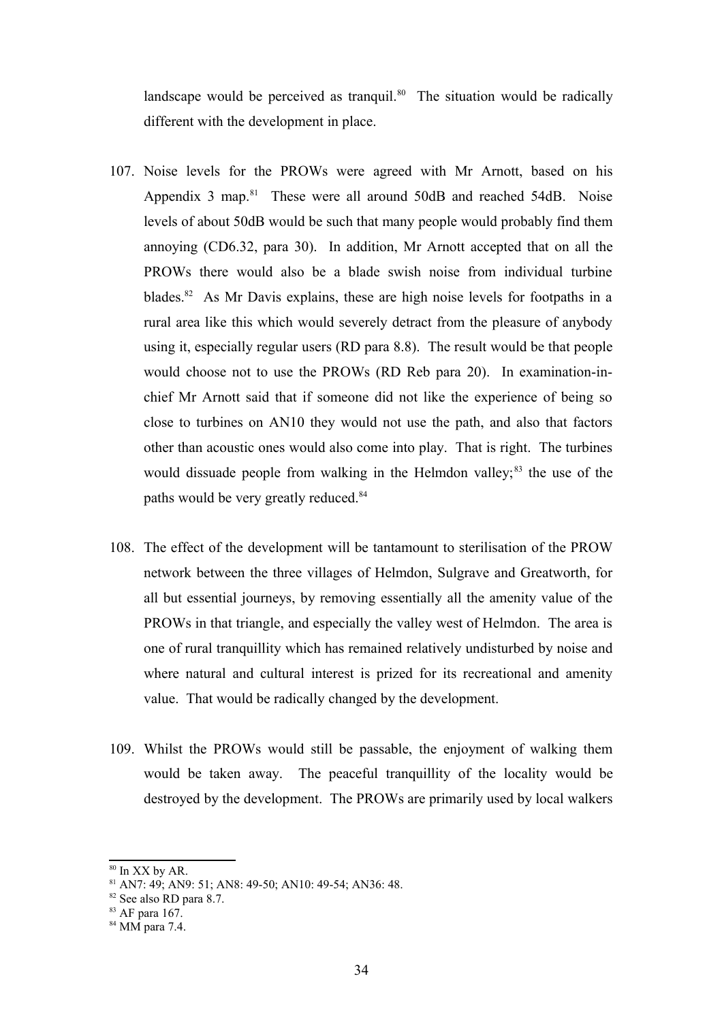landscape would be perceived as tranquil.<sup>[80](#page-33-0)</sup> The situation would be radically different with the development in place.

- 107. Noise levels for the PROWs were agreed with Mr Arnott, based on his Appendix 3 map. $81$  These were all around 50dB and reached 54dB. Noise levels of about 50dB would be such that many people would probably find them annoying (CD6.32, para 30). In addition, Mr Arnott accepted that on all the PROWs there would also be a blade swish noise from individual turbine blades.<sup>[82](#page-33-2)</sup> As Mr Davis explains, these are high noise levels for footpaths in a rural area like this which would severely detract from the pleasure of anybody using it, especially regular users (RD para 8.8). The result would be that people would choose not to use the PROWs (RD Reb para 20). In examination-inchief Mr Arnott said that if someone did not like the experience of being so close to turbines on AN10 they would not use the path, and also that factors other than acoustic ones would also come into play. That is right. The turbines would dissuade people from walking in the Helmdon valley; $^{83}$  $^{83}$  $^{83}$  the use of the paths would be very greatly reduced.<sup>[84](#page-33-4)</sup>
- 108. The effect of the development will be tantamount to sterilisation of the PROW network between the three villages of Helmdon, Sulgrave and Greatworth, for all but essential journeys, by removing essentially all the amenity value of the PROWs in that triangle, and especially the valley west of Helmdon. The area is one of rural tranquillity which has remained relatively undisturbed by noise and where natural and cultural interest is prized for its recreational and amenity value. That would be radically changed by the development.
- 109. Whilst the PROWs would still be passable, the enjoyment of walking them would be taken away. The peaceful tranquillity of the locality would be destroyed by the development. The PROWs are primarily used by local walkers

<span id="page-33-0"></span><sup>80</sup> In XX by AR.

<span id="page-33-1"></span><sup>81</sup> AN7: 49; AN9: 51; AN8: 49-50; AN10: 49-54; AN36: 48.

<span id="page-33-2"></span><sup>82</sup> See also RD para 8.7.

<span id="page-33-3"></span><sup>83</sup> AF para 167.

<span id="page-33-4"></span><sup>84</sup> MM para 7.4.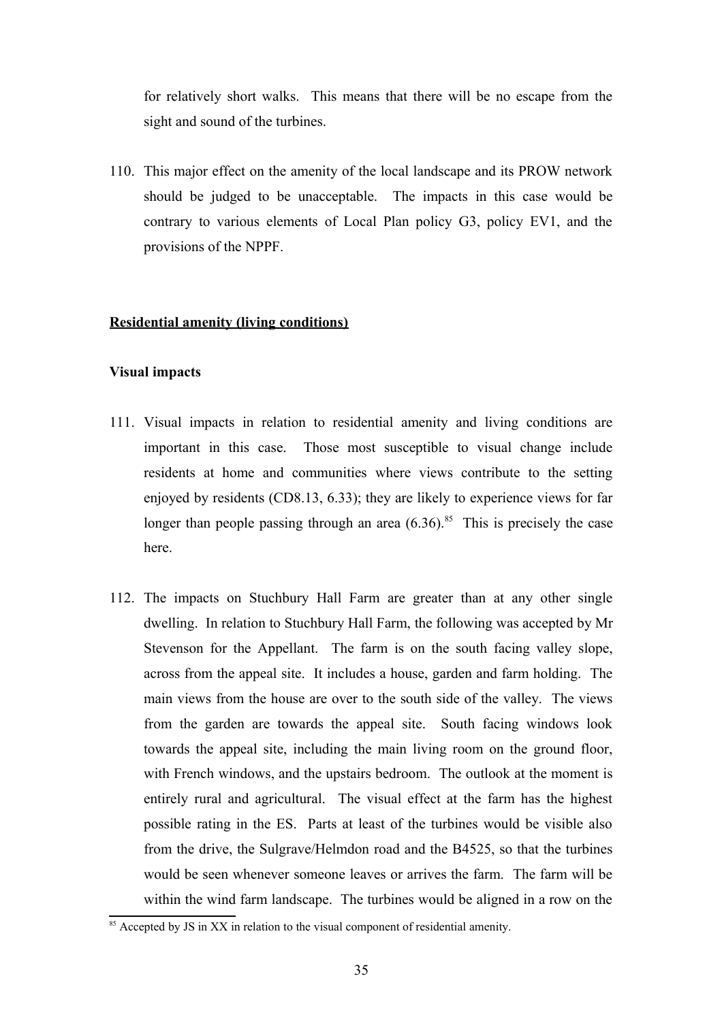for relatively short walks. This means that there will be no escape from the sight and sound of the turbines.

110. This major effect on the amenity of the local landscape and its PROW network should be judged to be unacceptable. The impacts in this case would be contrary to various elements of Local Plan policy G3, policy EV1, and the provisions of the NPPF.

# **Residential amenity (living conditions)**

## **Visual impacts**

- 111. Visual impacts in relation to residential amenity and living conditions are important in this case. Those most susceptible to visual change include residents at home and communities where views contribute to the setting enjoyed by residents (CD8.13, 6.33); they are likely to experience views for far longer than people passing through an area  $(6.36)$ .<sup>[85](#page-34-0)</sup> This is precisely the case here.
- 112. The impacts on Stuchbury Hall Farm are greater than at any other single dwelling. In relation to Stuchbury Hall Farm, the following was accepted by Mr Stevenson for the Appellant. The farm is on the south facing valley slope, across from the appeal site. It includes a house, garden and farm holding. The main views from the house are over to the south side of the valley. The views from the garden are towards the appeal site. South facing windows look towards the appeal site, including the main living room on the ground floor, with French windows, and the upstairs bedroom. The outlook at the moment is entirely rural and agricultural. The visual effect at the farm has the highest possible rating in the ES. Parts at least of the turbines would be visible also from the drive, the Sulgrave/Helmdon road and the B4525, so that the turbines would be seen whenever someone leaves or arrives the farm. The farm will be within the wind farm landscape. The turbines would be aligned in a row on the

<span id="page-34-0"></span> $85$  Accepted by JS in XX in relation to the visual component of residential amenity.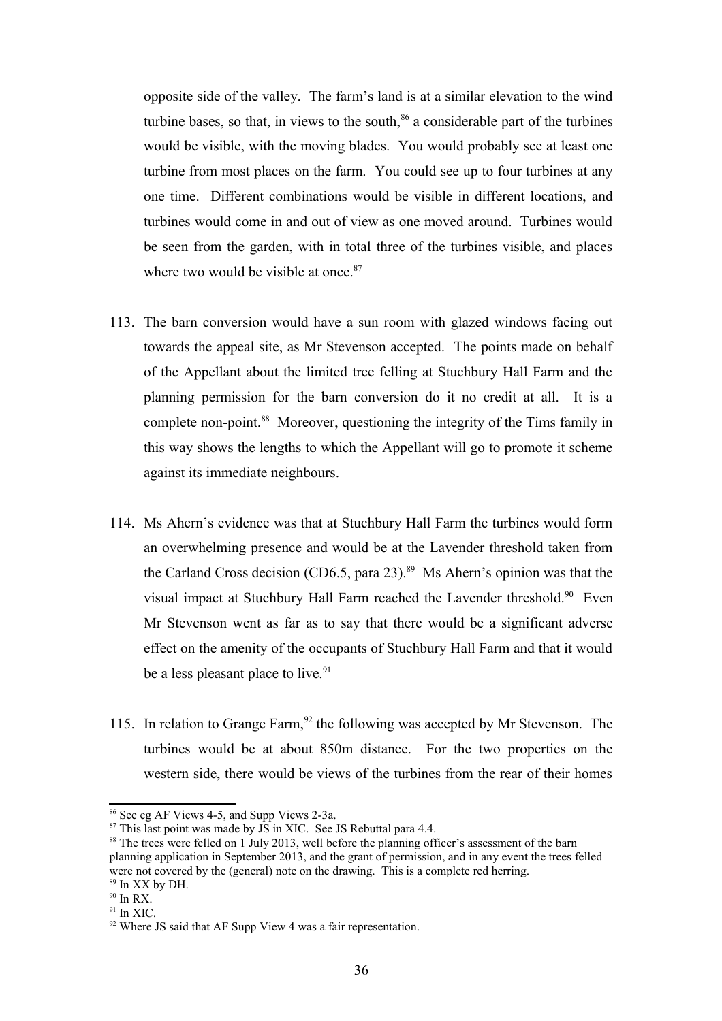opposite side of the valley. The farm's land is at a similar elevation to the wind turbine bases, so that, in views to the south, $86$  a considerable part of the turbines would be visible, with the moving blades. You would probably see at least one turbine from most places on the farm. You could see up to four turbines at any one time. Different combinations would be visible in different locations, and turbines would come in and out of view as one moved around. Turbines would be seen from the garden, with in total three of the turbines visible, and places where two would be visible at once.<sup>[87](#page-35-1)</sup>

- 113. The barn conversion would have a sun room with glazed windows facing out towards the appeal site, as Mr Stevenson accepted. The points made on behalf of the Appellant about the limited tree felling at Stuchbury Hall Farm and the planning permission for the barn conversion do it no credit at all. It is a complete non-point.<sup>[88](#page-35-2)</sup> Moreover, questioning the integrity of the Tims family in this way shows the lengths to which the Appellant will go to promote it scheme against its immediate neighbours.
- 114. Ms Ahern's evidence was that at Stuchbury Hall Farm the turbines would form an overwhelming presence and would be at the Lavender threshold taken from the Carland Cross decision (CD6.5, para 23).<sup>[89](#page-35-3)</sup> Ms Ahern's opinion was that the visual impact at Stuchbury Hall Farm reached the Lavender threshold.<sup>[90](#page-35-4)</sup> Even Mr Stevenson went as far as to say that there would be a significant adverse effect on the amenity of the occupants of Stuchbury Hall Farm and that it would be a less pleasant place to live.<sup>[91](#page-35-5)</sup>
- 115. In relation to Grange Farm, <sup>[92](#page-35-6)</sup> the following was accepted by Mr Stevenson. The turbines would be at about 850m distance. For the two properties on the western side, there would be views of the turbines from the rear of their homes

<span id="page-35-0"></span><sup>86</sup> See eg AF Views 4-5, and Supp Views 2-3a.

<span id="page-35-1"></span> $87$  This last point was made by JS in XIC. See JS Rebuttal para 4.4.

<span id="page-35-2"></span><sup>&</sup>lt;sup>88</sup> The trees were felled on 1 July 2013, well before the planning officer's assessment of the barn planning application in September 2013, and the grant of permission, and in any event the trees felled were not covered by the (general) note on the drawing. This is a complete red herring. <sup>89</sup> In XX by DH.

<span id="page-35-4"></span><span id="page-35-3"></span> $90$  In RX.

 $91$  In XIC.

<span id="page-35-5"></span>

<span id="page-35-6"></span> $92$  Where JS said that AF Supp View 4 was a fair representation.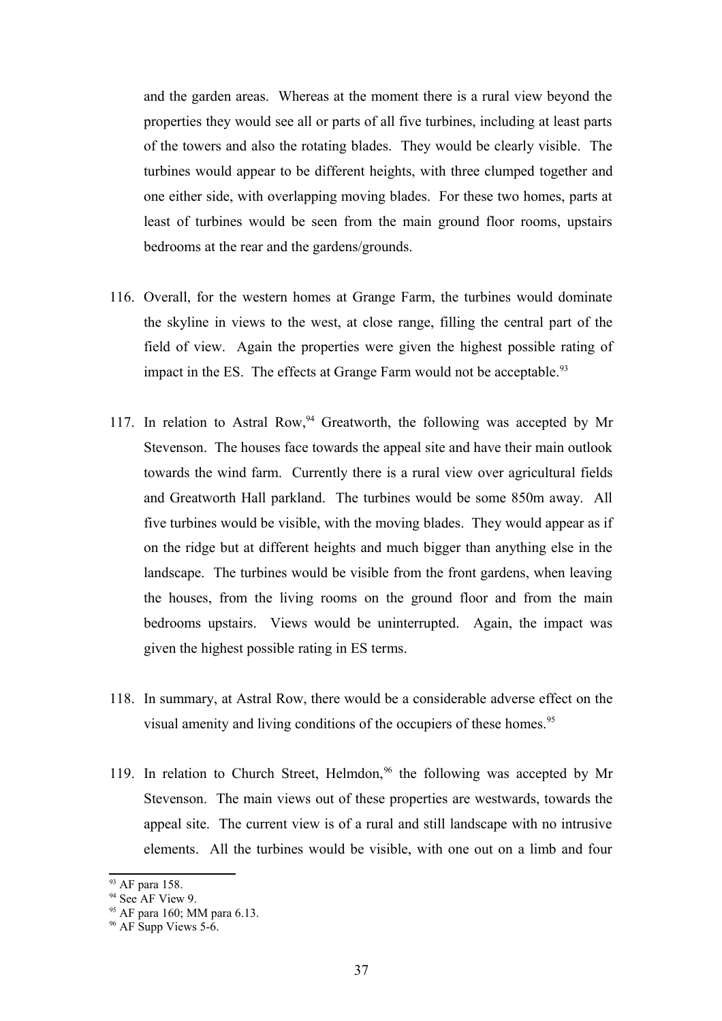and the garden areas. Whereas at the moment there is a rural view beyond the properties they would see all or parts of all five turbines, including at least parts of the towers and also the rotating blades. They would be clearly visible. The turbines would appear to be different heights, with three clumped together and one either side, with overlapping moving blades. For these two homes, parts at least of turbines would be seen from the main ground floor rooms, upstairs bedrooms at the rear and the gardens/grounds.

- 116. Overall, for the western homes at Grange Farm, the turbines would dominate the skyline in views to the west, at close range, filling the central part of the field of view. Again the properties were given the highest possible rating of impact in the ES. The effects at Grange Farm would not be acceptable.<sup>[93](#page-36-0)</sup>
- 117. In relation to Astral Row,  $94$  Greatworth, the following was accepted by Mr Stevenson. The houses face towards the appeal site and have their main outlook towards the wind farm. Currently there is a rural view over agricultural fields and Greatworth Hall parkland. The turbines would be some 850m away. All five turbines would be visible, with the moving blades. They would appear as if on the ridge but at different heights and much bigger than anything else in the landscape. The turbines would be visible from the front gardens, when leaving the houses, from the living rooms on the ground floor and from the main bedrooms upstairs. Views would be uninterrupted. Again, the impact was given the highest possible rating in ES terms.
- 118. In summary, at Astral Row, there would be a considerable adverse effect on the visual amenity and living conditions of the occupiers of these homes.<sup>[95](#page-36-2)</sup>
- 119. In relation to Church Street, Helmdon,  $96$  the following was accepted by Mr Stevenson. The main views out of these properties are westwards, towards the appeal site. The current view is of a rural and still landscape with no intrusive elements. All the turbines would be visible, with one out on a limb and four

<span id="page-36-0"></span><sup>93</sup> AF para 158.

<span id="page-36-1"></span><sup>&</sup>lt;sup>94</sup> See AF View 9.

<span id="page-36-2"></span><sup>95</sup> AF para 160; MM para 6.13.

<span id="page-36-3"></span> $96$  AF Supp Views 5-6.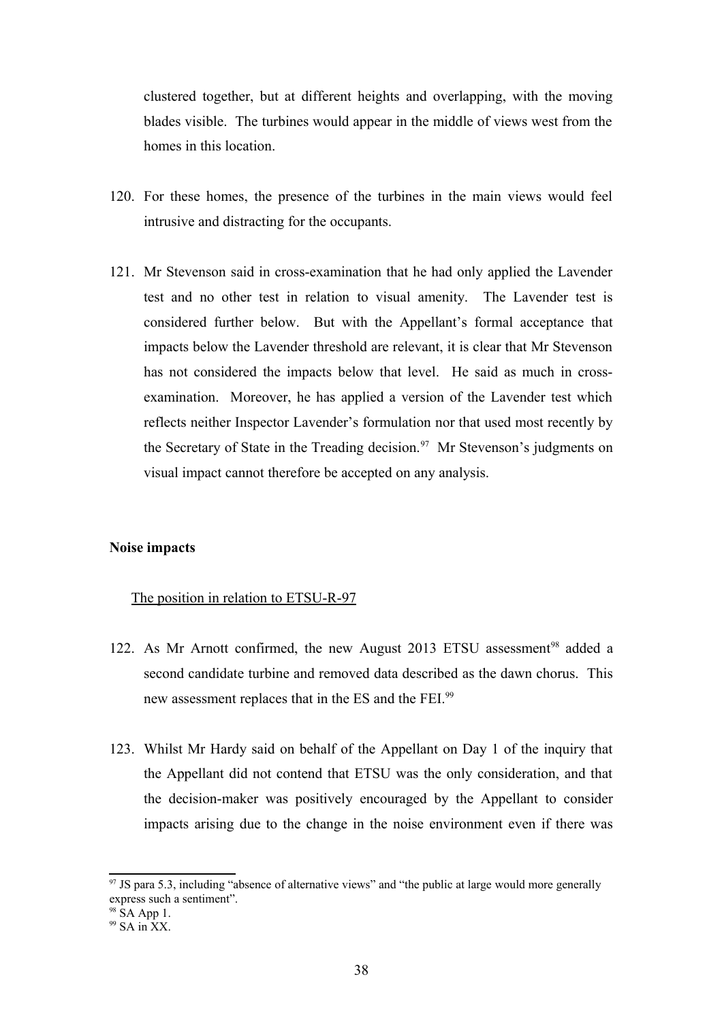clustered together, but at different heights and overlapping, with the moving blades visible. The turbines would appear in the middle of views west from the homes in this location.

- 120. For these homes, the presence of the turbines in the main views would feel intrusive and distracting for the occupants.
- 121. Mr Stevenson said in cross-examination that he had only applied the Lavender test and no other test in relation to visual amenity. The Lavender test is considered further below. But with the Appellant's formal acceptance that impacts below the Lavender threshold are relevant, it is clear that Mr Stevenson has not considered the impacts below that level. He said as much in crossexamination. Moreover, he has applied a version of the Lavender test which reflects neither Inspector Lavender's formulation nor that used most recently by the Secretary of State in the Treading decision.<sup>[97](#page-37-0)</sup> Mr Stevenson's judgments on visual impact cannot therefore be accepted on any analysis.

## **Noise impacts**

#### The position in relation to ETSU-R-97

- 122. As Mr Arnott confirmed, the new August 2013 ETSU assessment<sup>[98](#page-37-1)</sup> added a second candidate turbine and removed data described as the dawn chorus. This new assessment replaces that in the ES and the FEI.<sup>[99](#page-37-2)</sup>
- 123. Whilst Mr Hardy said on behalf of the Appellant on Day 1 of the inquiry that the Appellant did not contend that ETSU was the only consideration, and that the decision-maker was positively encouraged by the Appellant to consider impacts arising due to the change in the noise environment even if there was

<span id="page-37-0"></span> $97$  JS para 5.3, including "absence of alternative views" and "the public at large would more generally express such a sentiment".

<span id="page-37-1"></span> $98$  SA App 1.

<span id="page-37-2"></span> $99$  SA in  $\overline{XX}$ .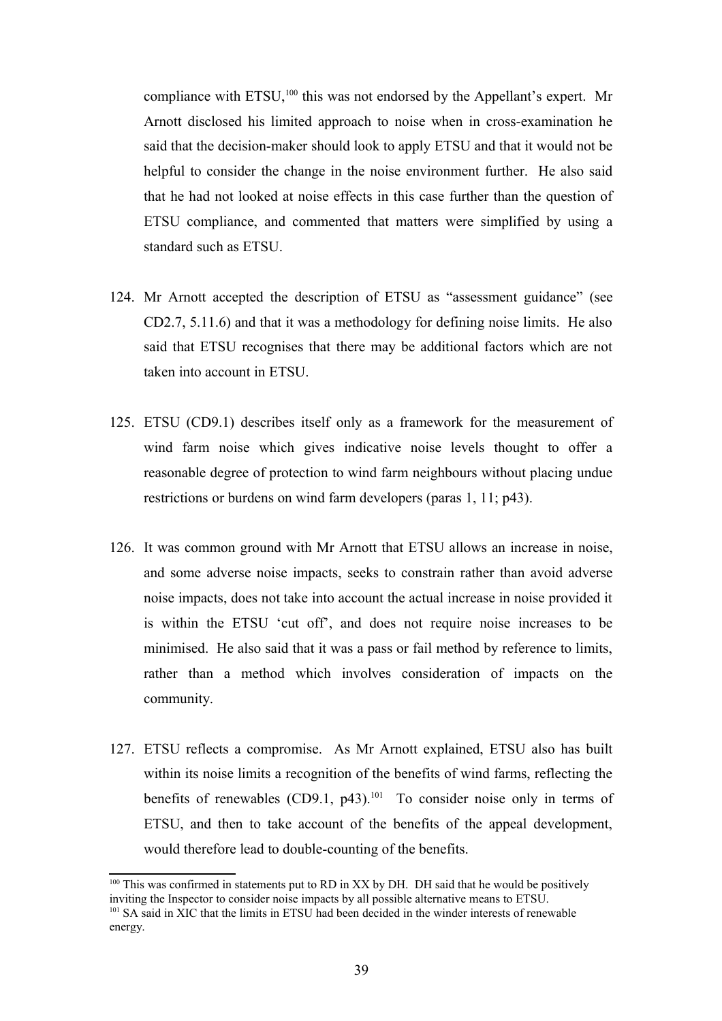compliance with ETSU,<sup>[100](#page-38-0)</sup> this was not endorsed by the Appellant's expert. Mr Arnott disclosed his limited approach to noise when in cross-examination he said that the decision-maker should look to apply ETSU and that it would not be helpful to consider the change in the noise environment further. He also said that he had not looked at noise effects in this case further than the question of ETSU compliance, and commented that matters were simplified by using a standard such as ETSU.

- 124. Mr Arnott accepted the description of ETSU as "assessment guidance" (see CD2.7, 5.11.6) and that it was a methodology for defining noise limits. He also said that ETSU recognises that there may be additional factors which are not taken into account in ETSU.
- 125. ETSU (CD9.1) describes itself only as a framework for the measurement of wind farm noise which gives indicative noise levels thought to offer a reasonable degree of protection to wind farm neighbours without placing undue restrictions or burdens on wind farm developers (paras 1, 11; p43).
- 126. It was common ground with Mr Arnott that ETSU allows an increase in noise, and some adverse noise impacts, seeks to constrain rather than avoid adverse noise impacts, does not take into account the actual increase in noise provided it is within the ETSU 'cut off', and does not require noise increases to be minimised. He also said that it was a pass or fail method by reference to limits, rather than a method which involves consideration of impacts on the community.
- 127. ETSU reflects a compromise. As Mr Arnott explained, ETSU also has built within its noise limits a recognition of the benefits of wind farms, reflecting the benefits of renewables (CD9.1,  $p43$ ).<sup>[101](#page-38-1)</sup> To consider noise only in terms of ETSU, and then to take account of the benefits of the appeal development, would therefore lead to double-counting of the benefits.

<span id="page-38-0"></span> $100$  This was confirmed in statements put to RD in XX by DH. DH said that he would be positively inviting the Inspector to consider noise impacts by all possible alternative means to ETSU.

<span id="page-38-1"></span><sup>&</sup>lt;sup>101</sup> SA said in XIC that the limits in ETSU had been decided in the winder interests of renewable energy.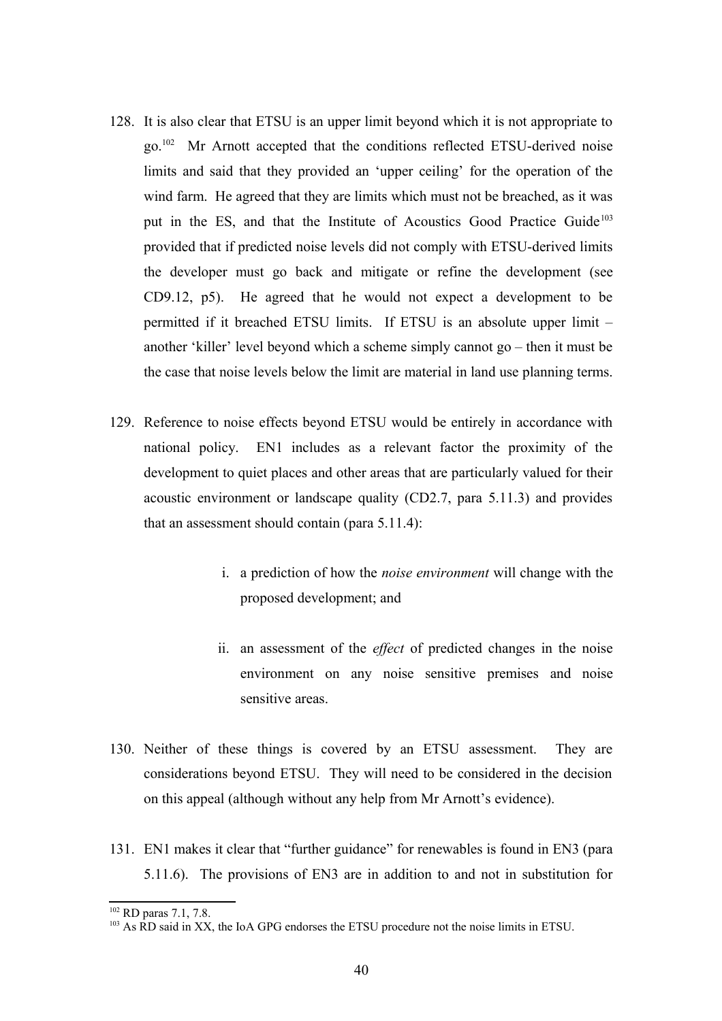- 128. It is also clear that ETSU is an upper limit beyond which it is not appropriate to go.[102](#page-39-0) Mr Arnott accepted that the conditions reflected ETSU-derived noise limits and said that they provided an 'upper ceiling' for the operation of the wind farm. He agreed that they are limits which must not be breached, as it was put in the ES, and that the Institute of Acoustics Good Practice Guide<sup>[103](#page-39-1)</sup> provided that if predicted noise levels did not comply with ETSU-derived limits the developer must go back and mitigate or refine the development (see CD9.12, p5). He agreed that he would not expect a development to be permitted if it breached ETSU limits. If ETSU is an absolute upper limit – another 'killer' level beyond which a scheme simply cannot go – then it must be the case that noise levels below the limit are material in land use planning terms.
- 129. Reference to noise effects beyond ETSU would be entirely in accordance with national policy. EN1 includes as a relevant factor the proximity of the development to quiet places and other areas that are particularly valued for their acoustic environment or landscape quality (CD2.7, para 5.11.3) and provides that an assessment should contain (para 5.11.4):
	- i. a prediction of how the *noise environment* will change with the proposed development; and
	- ii. an assessment of the *effect* of predicted changes in the noise environment on any noise sensitive premises and noise sensitive areas.
- 130. Neither of these things is covered by an ETSU assessment. They are considerations beyond ETSU. They will need to be considered in the decision on this appeal (although without any help from Mr Arnott's evidence).
- 131. EN1 makes it clear that "further guidance" for renewables is found in EN3 (para 5.11.6). The provisions of EN3 are in addition to and not in substitution for

<span id="page-39-0"></span><sup>&</sup>lt;sup>102</sup> RD paras 7.1, 7.8.

<span id="page-39-1"></span><sup>&</sup>lt;sup>103</sup> As RD said in XX, the IoA GPG endorses the ETSU procedure not the noise limits in ETSU.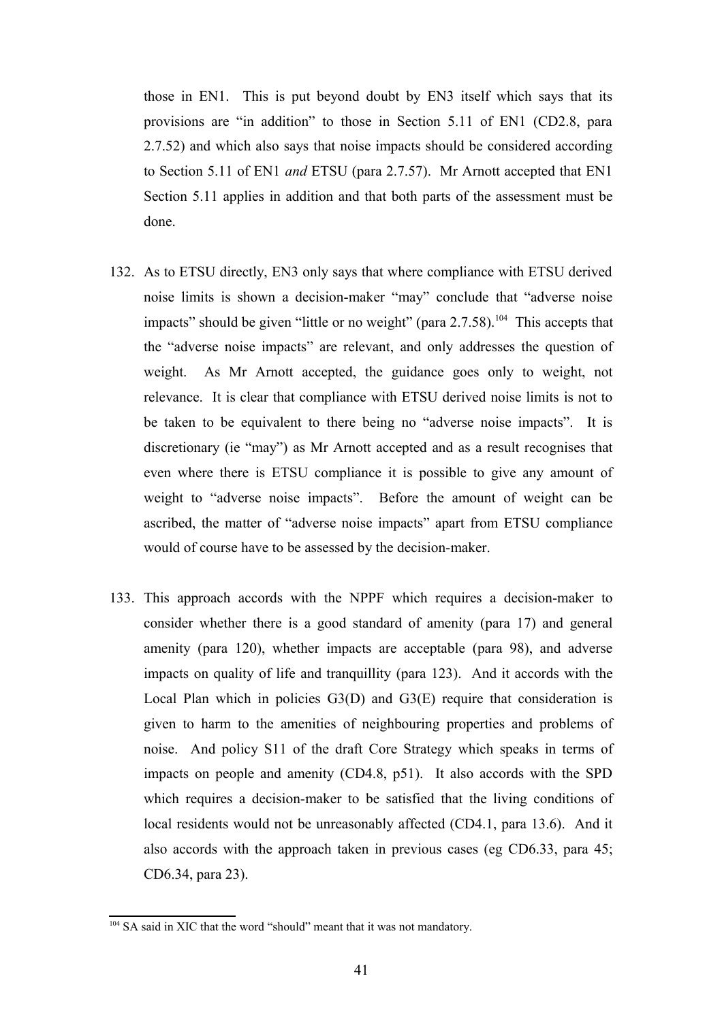those in EN1. This is put beyond doubt by EN3 itself which says that its provisions are "in addition" to those in Section 5.11 of EN1 (CD2.8, para 2.7.52) and which also says that noise impacts should be considered according to Section 5.11 of EN1 *and* ETSU (para 2.7.57). Mr Arnott accepted that EN1 Section 5.11 applies in addition and that both parts of the assessment must be done.

- 132. As to ETSU directly, EN3 only says that where compliance with ETSU derived noise limits is shown a decision-maker "may" conclude that "adverse noise impacts" should be given "little or no weight" (para  $2.7.58$ ).<sup>[104](#page-40-0)</sup> This accepts that the "adverse noise impacts" are relevant, and only addresses the question of weight. As Mr Arnott accepted, the guidance goes only to weight, not relevance. It is clear that compliance with ETSU derived noise limits is not to be taken to be equivalent to there being no "adverse noise impacts". It is discretionary (ie "may") as Mr Arnott accepted and as a result recognises that even where there is ETSU compliance it is possible to give any amount of weight to "adverse noise impacts". Before the amount of weight can be ascribed, the matter of "adverse noise impacts" apart from ETSU compliance would of course have to be assessed by the decision-maker.
- 133. This approach accords with the NPPF which requires a decision-maker to consider whether there is a good standard of amenity (para 17) and general amenity (para 120), whether impacts are acceptable (para 98), and adverse impacts on quality of life and tranquillity (para 123). And it accords with the Local Plan which in policies  $G_3(D)$  and  $G_3(E)$  require that consideration is given to harm to the amenities of neighbouring properties and problems of noise. And policy S11 of the draft Core Strategy which speaks in terms of impacts on people and amenity (CD4.8, p51). It also accords with the SPD which requires a decision-maker to be satisfied that the living conditions of local residents would not be unreasonably affected (CD4.1, para 13.6). And it also accords with the approach taken in previous cases (eg CD6.33, para 45; CD6.34, para 23).

<span id="page-40-0"></span><sup>&</sup>lt;sup>104</sup> SA said in XIC that the word "should" meant that it was not mandatory.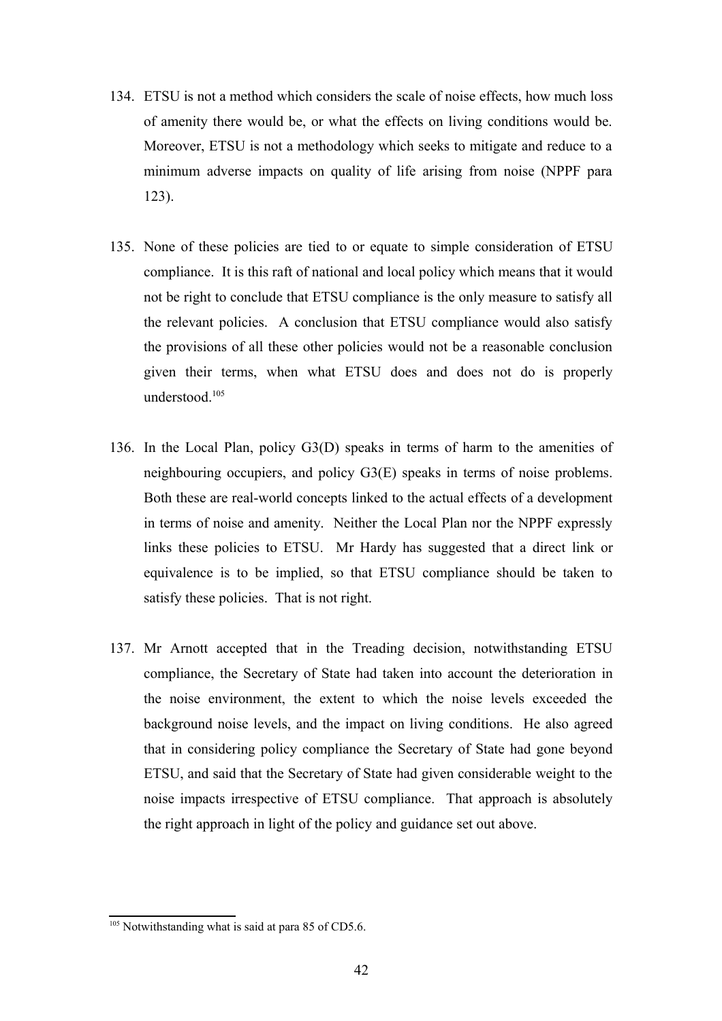- 134. ETSU is not a method which considers the scale of noise effects, how much loss of amenity there would be, or what the effects on living conditions would be. Moreover, ETSU is not a methodology which seeks to mitigate and reduce to a minimum adverse impacts on quality of life arising from noise (NPPF para 123).
- 135. None of these policies are tied to or equate to simple consideration of ETSU compliance. It is this raft of national and local policy which means that it would not be right to conclude that ETSU compliance is the only measure to satisfy all the relevant policies. A conclusion that ETSU compliance would also satisfy the provisions of all these other policies would not be a reasonable conclusion given their terms, when what ETSU does and does not do is properly understood.<sup>[105](#page-41-0)</sup>
- 136. In the Local Plan, policy G3(D) speaks in terms of harm to the amenities of neighbouring occupiers, and policy G3(E) speaks in terms of noise problems. Both these are real-world concepts linked to the actual effects of a development in terms of noise and amenity. Neither the Local Plan nor the NPPF expressly links these policies to ETSU. Mr Hardy has suggested that a direct link or equivalence is to be implied, so that ETSU compliance should be taken to satisfy these policies. That is not right.
- 137. Mr Arnott accepted that in the Treading decision, notwithstanding ETSU compliance, the Secretary of State had taken into account the deterioration in the noise environment, the extent to which the noise levels exceeded the background noise levels, and the impact on living conditions. He also agreed that in considering policy compliance the Secretary of State had gone beyond ETSU, and said that the Secretary of State had given considerable weight to the noise impacts irrespective of ETSU compliance. That approach is absolutely the right approach in light of the policy and guidance set out above.

<span id="page-41-0"></span> $105$  Notwithstanding what is said at para 85 of CD5.6.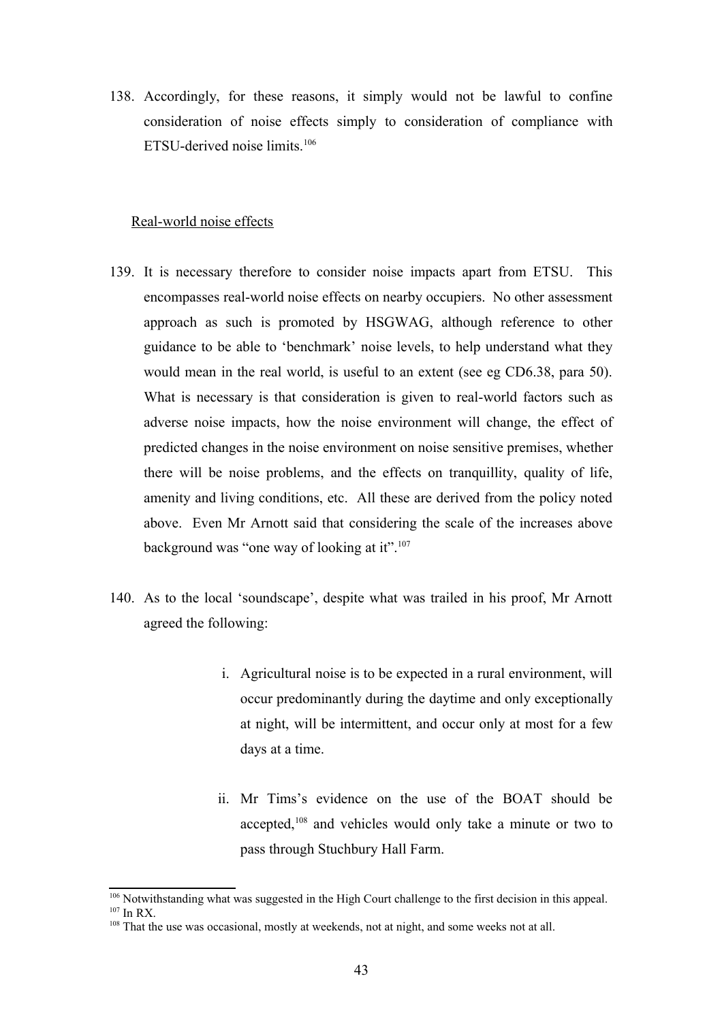138. Accordingly, for these reasons, it simply would not be lawful to confine consideration of noise effects simply to consideration of compliance with ETSU-derived noise limits.[106](#page-42-0)

#### Real-world noise effects

- 139. It is necessary therefore to consider noise impacts apart from ETSU. This encompasses real-world noise effects on nearby occupiers. No other assessment approach as such is promoted by HSGWAG, although reference to other guidance to be able to 'benchmark' noise levels, to help understand what they would mean in the real world, is useful to an extent (see eg CD6.38, para 50). What is necessary is that consideration is given to real-world factors such as adverse noise impacts, how the noise environment will change, the effect of predicted changes in the noise environment on noise sensitive premises, whether there will be noise problems, and the effects on tranquillity, quality of life, amenity and living conditions, etc. All these are derived from the policy noted above. Even Mr Arnott said that considering the scale of the increases above background was "one way of looking at it".<sup>[107](#page-42-1)</sup>
- 140. As to the local 'soundscape', despite what was trailed in his proof, Mr Arnott agreed the following:
	- i. Agricultural noise is to be expected in a rural environment, will occur predominantly during the daytime and only exceptionally at night, will be intermittent, and occur only at most for a few days at a time.
	- ii. Mr Tims's evidence on the use of the BOAT should be accepted,<sup>[108](#page-42-2)</sup> and vehicles would only take a minute or two to pass through Stuchbury Hall Farm.

<span id="page-42-0"></span><sup>106</sup> Notwithstanding what was suggested in the High Court challenge to the first decision in this appeal.  $107$  In RX.

<span id="page-42-2"></span><span id="page-42-1"></span><sup>&</sup>lt;sup>108</sup> That the use was occasional, mostly at weekends, not at night, and some weeks not at all.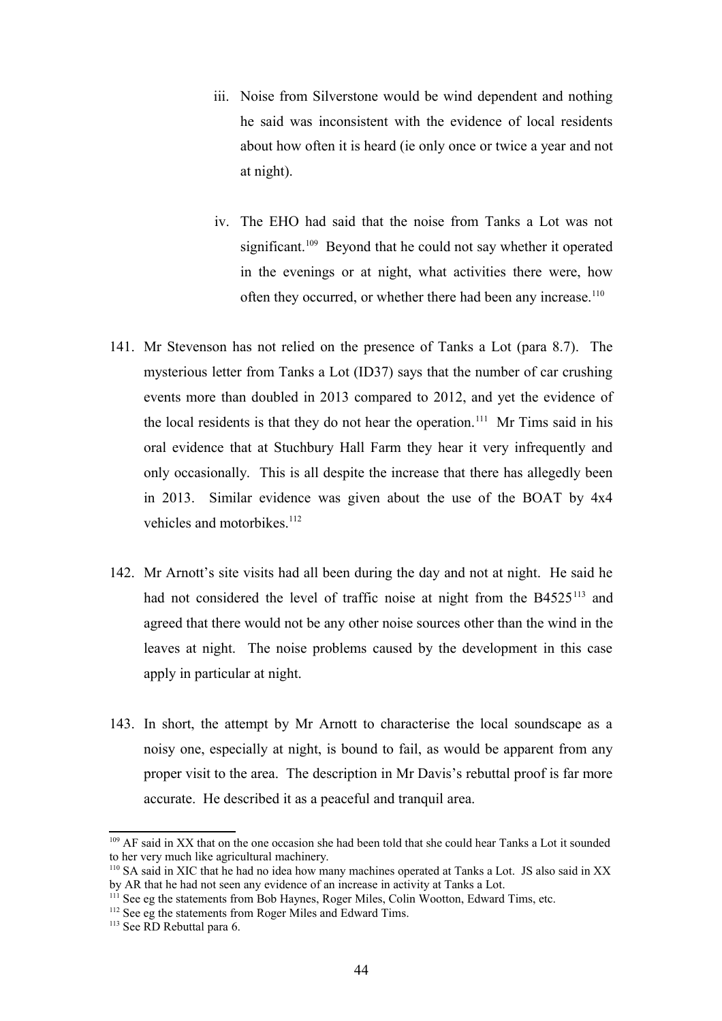- iii. Noise from Silverstone would be wind dependent and nothing he said was inconsistent with the evidence of local residents about how often it is heard (ie only once or twice a year and not at night).
- iv. The EHO had said that the noise from Tanks a Lot was not significant.<sup>[109](#page-43-0)</sup> Beyond that he could not say whether it operated in the evenings or at night, what activities there were, how often they occurred, or whether there had been any increase.<sup>[110](#page-43-1)</sup>
- 141. Mr Stevenson has not relied on the presence of Tanks a Lot (para 8.7). The mysterious letter from Tanks a Lot (ID37) says that the number of car crushing events more than doubled in 2013 compared to 2012, and yet the evidence of the local residents is that they do not hear the operation.<sup>[111](#page-43-2)</sup> Mr Tims said in his oral evidence that at Stuchbury Hall Farm they hear it very infrequently and only occasionally. This is all despite the increase that there has allegedly been in 2013. Similar evidence was given about the use of the BOAT by 4x4 vehicles and motorbikes.<sup>[112](#page-43-3)</sup>
- 142. Mr Arnott's site visits had all been during the day and not at night. He said he had not considered the level of traffic noise at night from the B4525<sup>[113](#page-43-4)</sup> and agreed that there would not be any other noise sources other than the wind in the leaves at night. The noise problems caused by the development in this case apply in particular at night.
- 143. In short, the attempt by Mr Arnott to characterise the local soundscape as a noisy one, especially at night, is bound to fail, as would be apparent from any proper visit to the area. The description in Mr Davis's rebuttal proof is far more accurate. He described it as a peaceful and tranquil area.

<span id="page-43-0"></span><sup>&</sup>lt;sup>109</sup> AF said in XX that on the one occasion she had been told that she could hear Tanks a Lot it sounded to her very much like agricultural machinery.

<span id="page-43-1"></span><sup>110</sup> SA said in XIC that he had no idea how many machines operated at Tanks a Lot. JS also said in XX by AR that he had not seen any evidence of an increase in activity at Tanks a Lot.

<span id="page-43-2"></span><sup>&</sup>lt;sup>111</sup> See eg the statements from Bob Haynes, Roger Miles, Colin Wootton, Edward Tims, etc.

<span id="page-43-3"></span><sup>&</sup>lt;sup>112</sup> See eg the statements from Roger Miles and Edward Tims.

<span id="page-43-4"></span><sup>&</sup>lt;sup>113</sup> See RD Rebuttal para 6.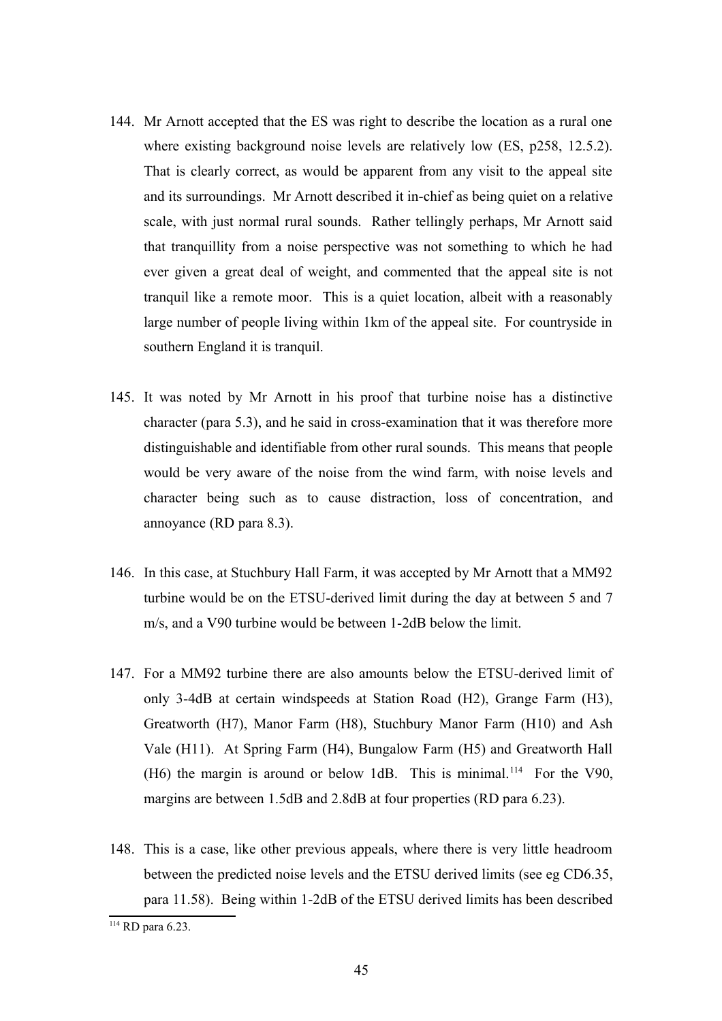- 144. Mr Arnott accepted that the ES was right to describe the location as a rural one where existing background noise levels are relatively low (ES, p258, 12.5.2). That is clearly correct, as would be apparent from any visit to the appeal site and its surroundings. Mr Arnott described it in-chief as being quiet on a relative scale, with just normal rural sounds. Rather tellingly perhaps, Mr Arnott said that tranquillity from a noise perspective was not something to which he had ever given a great deal of weight, and commented that the appeal site is not tranquil like a remote moor. This is a quiet location, albeit with a reasonably large number of people living within 1km of the appeal site. For countryside in southern England it is tranquil.
- 145. It was noted by Mr Arnott in his proof that turbine noise has a distinctive character (para 5.3), and he said in cross-examination that it was therefore more distinguishable and identifiable from other rural sounds. This means that people would be very aware of the noise from the wind farm, with noise levels and character being such as to cause distraction, loss of concentration, and annoyance (RD para 8.3).
- 146. In this case, at Stuchbury Hall Farm, it was accepted by Mr Arnott that a MM92 turbine would be on the ETSU-derived limit during the day at between 5 and 7 m/s, and a V90 turbine would be between 1-2dB below the limit.
- 147. For a MM92 turbine there are also amounts below the ETSU-derived limit of only 3-4dB at certain windspeeds at Station Road (H2), Grange Farm (H3), Greatworth (H7), Manor Farm (H8), Stuchbury Manor Farm (H10) and Ash Vale (H11). At Spring Farm (H4), Bungalow Farm (H5) and Greatworth Hall (H6) the margin is around or below 1dB. This is minimal.<sup>[114](#page-44-0)</sup> For the V90, margins are between 1.5dB and 2.8dB at four properties (RD para 6.23).
- 148. This is a case, like other previous appeals, where there is very little headroom between the predicted noise levels and the ETSU derived limits (see eg CD6.35, para 11.58). Being within 1-2dB of the ETSU derived limits has been described

<span id="page-44-0"></span><sup>114</sup> RD para 6.23.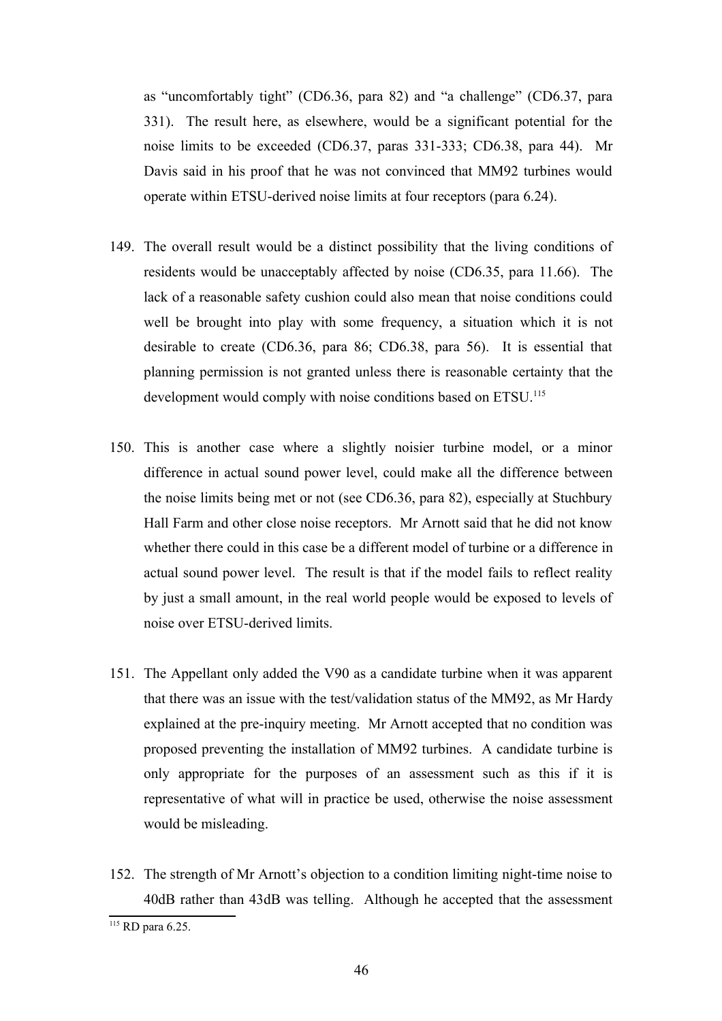as "uncomfortably tight" (CD6.36, para 82) and "a challenge" (CD6.37, para 331). The result here, as elsewhere, would be a significant potential for the noise limits to be exceeded (CD6.37, paras 331-333; CD6.38, para 44). Mr Davis said in his proof that he was not convinced that MM92 turbines would operate within ETSU-derived noise limits at four receptors (para 6.24).

- 149. The overall result would be a distinct possibility that the living conditions of residents would be unacceptably affected by noise (CD6.35, para 11.66). The lack of a reasonable safety cushion could also mean that noise conditions could well be brought into play with some frequency, a situation which it is not desirable to create (CD6.36, para 86; CD6.38, para 56). It is essential that planning permission is not granted unless there is reasonable certainty that the development would comply with noise conditions based on ETSU.<sup>[115](#page-45-0)</sup>
- 150. This is another case where a slightly noisier turbine model, or a minor difference in actual sound power level, could make all the difference between the noise limits being met or not (see CD6.36, para 82), especially at Stuchbury Hall Farm and other close noise receptors. Mr Arnott said that he did not know whether there could in this case be a different model of turbine or a difference in actual sound power level. The result is that if the model fails to reflect reality by just a small amount, in the real world people would be exposed to levels of noise over ETSU-derived limits.
- 151. The Appellant only added the V90 as a candidate turbine when it was apparent that there was an issue with the test/validation status of the MM92, as Mr Hardy explained at the pre-inquiry meeting. Mr Arnott accepted that no condition was proposed preventing the installation of MM92 turbines. A candidate turbine is only appropriate for the purposes of an assessment such as this if it is representative of what will in practice be used, otherwise the noise assessment would be misleading.
- 152. The strength of Mr Arnott's objection to a condition limiting night-time noise to 40dB rather than 43dB was telling. Although he accepted that the assessment

<span id="page-45-0"></span><sup>&</sup>lt;sup>115</sup> RD para 6.25.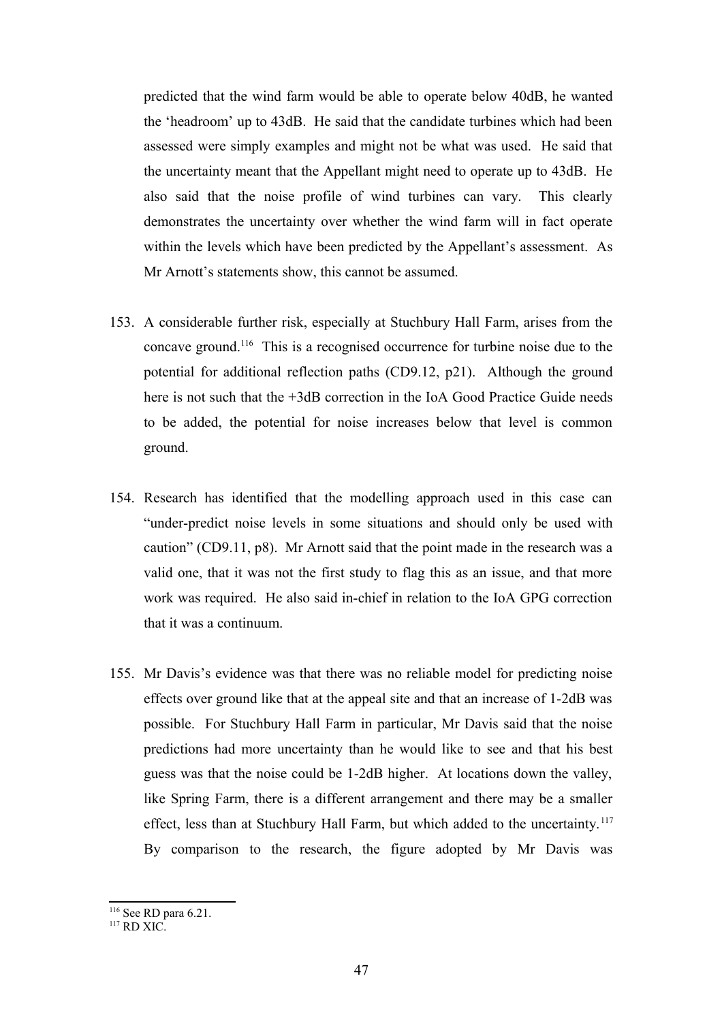predicted that the wind farm would be able to operate below 40dB, he wanted the 'headroom' up to 43dB. He said that the candidate turbines which had been assessed were simply examples and might not be what was used. He said that the uncertainty meant that the Appellant might need to operate up to 43dB. He also said that the noise profile of wind turbines can vary. This clearly demonstrates the uncertainty over whether the wind farm will in fact operate within the levels which have been predicted by the Appellant's assessment. As Mr Arnott's statements show, this cannot be assumed.

- 153. A considerable further risk, especially at Stuchbury Hall Farm, arises from the concave ground.[116](#page-46-0) This is a recognised occurrence for turbine noise due to the potential for additional reflection paths (CD9.12, p21). Although the ground here is not such that the  $+3dB$  correction in the IoA Good Practice Guide needs to be added, the potential for noise increases below that level is common ground.
- 154. Research has identified that the modelling approach used in this case can "under-predict noise levels in some situations and should only be used with caution" (CD9.11, p8). Mr Arnott said that the point made in the research was a valid one, that it was not the first study to flag this as an issue, and that more work was required. He also said in-chief in relation to the IoA GPG correction that it was a continuum.
- 155. Mr Davis's evidence was that there was no reliable model for predicting noise effects over ground like that at the appeal site and that an increase of 1-2dB was possible. For Stuchbury Hall Farm in particular, Mr Davis said that the noise predictions had more uncertainty than he would like to see and that his best guess was that the noise could be 1-2dB higher. At locations down the valley, like Spring Farm, there is a different arrangement and there may be a smaller effect, less than at Stuchbury Hall Farm, but which added to the uncertainty.<sup>[117](#page-46-1)</sup> By comparison to the research, the figure adopted by Mr Davis was

<span id="page-46-0"></span><sup>116</sup> See RD para 6.21.

<span id="page-46-1"></span> $117$  RD XIC.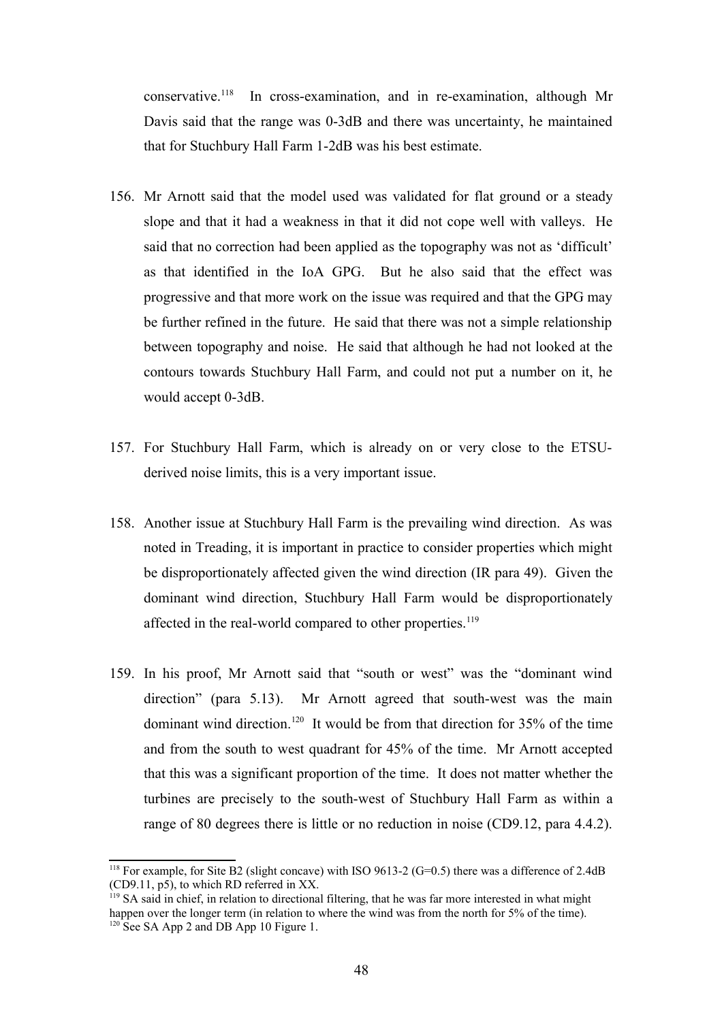conservative.[118](#page-47-0) In cross-examination, and in re-examination, although Mr Davis said that the range was 0-3dB and there was uncertainty, he maintained that for Stuchbury Hall Farm 1-2dB was his best estimate.

- 156. Mr Arnott said that the model used was validated for flat ground or a steady slope and that it had a weakness in that it did not cope well with valleys. He said that no correction had been applied as the topography was not as 'difficult' as that identified in the IoA GPG. But he also said that the effect was progressive and that more work on the issue was required and that the GPG may be further refined in the future. He said that there was not a simple relationship between topography and noise. He said that although he had not looked at the contours towards Stuchbury Hall Farm, and could not put a number on it, he would accept 0-3dB.
- 157. For Stuchbury Hall Farm, which is already on or very close to the ETSUderived noise limits, this is a very important issue.
- 158. Another issue at Stuchbury Hall Farm is the prevailing wind direction. As was noted in Treading, it is important in practice to consider properties which might be disproportionately affected given the wind direction (IR para 49). Given the dominant wind direction, Stuchbury Hall Farm would be disproportionately affected in the real-world compared to other properties.<sup>[119](#page-47-1)</sup>
- 159. In his proof, Mr Arnott said that "south or west" was the "dominant wind direction" (para 5.13). Mr Arnott agreed that south-west was the main dominant wind direction.<sup>[120](#page-47-2)</sup> It would be from that direction for  $35\%$  of the time and from the south to west quadrant for 45% of the time. Mr Arnott accepted that this was a significant proportion of the time. It does not matter whether the turbines are precisely to the south-west of Stuchbury Hall Farm as within a range of 80 degrees there is little or no reduction in noise (CD9.12, para 4.4.2).

<span id="page-47-0"></span><sup>&</sup>lt;sup>118</sup> For example, for Site B2 (slight concave) with ISO 9613-2 (G=0.5) there was a difference of 2.4dB (CD9.11, p5), to which RD referred in XX.

<span id="page-47-2"></span><span id="page-47-1"></span> $119$  SA said in chief, in relation to directional filtering, that he was far more interested in what might happen over the longer term (in relation to where the wind was from the north for 5% of the time).  $120$  See SA App 2 and DB App 10 Figure 1.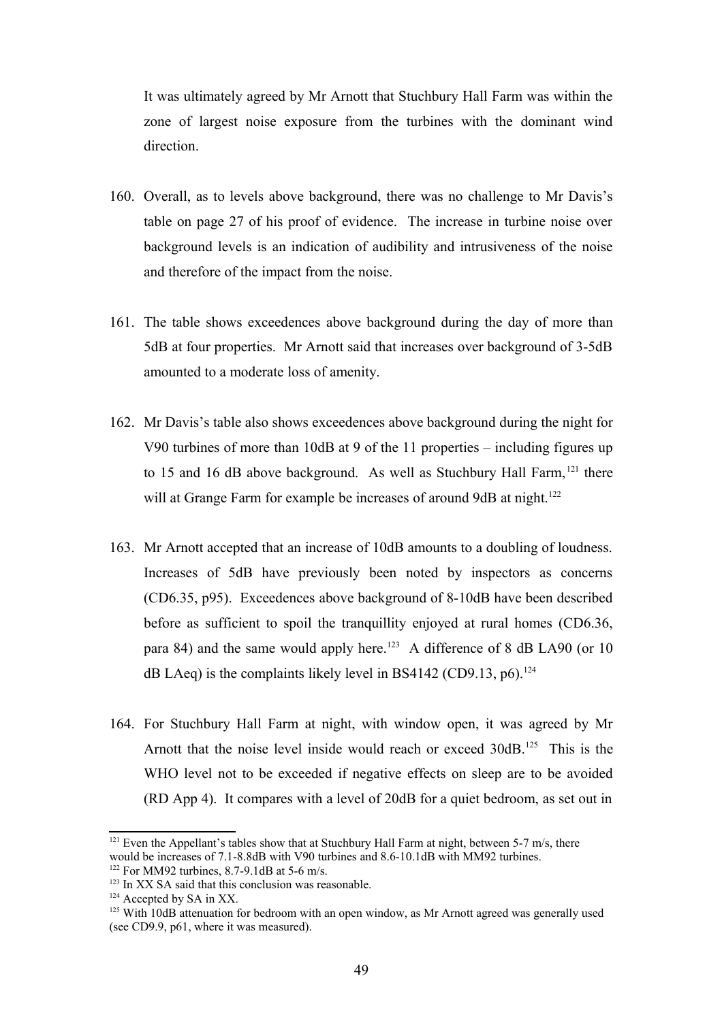It was ultimately agreed by Mr Arnott that Stuchbury Hall Farm was within the zone of largest noise exposure from the turbines with the dominant wind direction.

- 160. Overall, as to levels above background, there was no challenge to Mr Davis's table on page 27 of his proof of evidence. The increase in turbine noise over background levels is an indication of audibility and intrusiveness of the noise and therefore of the impact from the noise.
- 161. The table shows exceedences above background during the day of more than 5dB at four properties. Mr Arnott said that increases over background of 3-5dB amounted to a moderate loss of amenity.
- 162. Mr Davis's table also shows exceedences above background during the night for V90 turbines of more than 10dB at 9 of the 11 properties – including figures up to 15 and 16 dB above background. As well as Stuchbury Hall Farm, <sup>[121](#page-48-0)</sup> there will at Grange Farm for example be increases of around 9dB at night.<sup>[122](#page-48-1)</sup>
- 163. Mr Arnott accepted that an increase of 10dB amounts to a doubling of loudness. Increases of 5dB have previously been noted by inspectors as concerns (CD6.35, p95). Exceedences above background of 8-10dB have been described before as sufficient to spoil the tranquillity enjoyed at rural homes (CD6.36, para 84) and the same would apply here.<sup>[123](#page-48-2)</sup> A difference of 8 dB LA90 (or 10) dB LAeq) is the complaints likely level in BS4142 (CD9.13, p6).<sup>[124](#page-48-3)</sup>
- 164. For Stuchbury Hall Farm at night, with window open, it was agreed by Mr Arnott that the noise level inside would reach or exceed 30dB.<sup>[125](#page-48-4)</sup> This is the WHO level not to be exceeded if negative effects on sleep are to be avoided (RD App 4). It compares with a level of 20dB for a quiet bedroom, as set out in

<span id="page-48-0"></span><sup>&</sup>lt;sup>121</sup> Even the Appellant's tables show that at Stuchbury Hall Farm at night, between 5-7 m/s, there would be increases of 7.1-8.8dB with V90 turbines and 8.6-10.1dB with MM92 turbines. <sup>122</sup> For MM92 turbines, 8.7-9.1dB at 5-6 m/s.

<span id="page-48-2"></span><span id="page-48-1"></span><sup>&</sup>lt;sup>123</sup> In XX SA said that this conclusion was reasonable.

<span id="page-48-3"></span><sup>&</sup>lt;sup>124</sup> Accepted by SA in XX.

<span id="page-48-4"></span><sup>&</sup>lt;sup>125</sup> With 10dB attenuation for bedroom with an open window, as Mr Arnott agreed was generally used (see CD9.9, p61, where it was measured).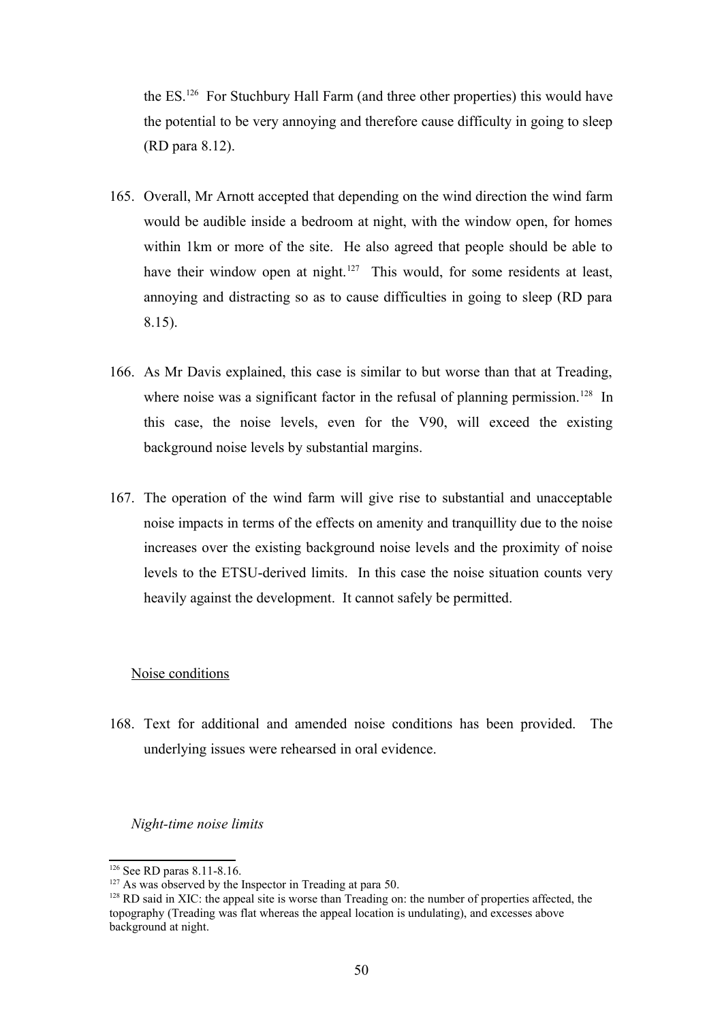the ES.[126](#page-49-0) For Stuchbury Hall Farm (and three other properties) this would have the potential to be very annoying and therefore cause difficulty in going to sleep (RD para 8.12).

- 165. Overall, Mr Arnott accepted that depending on the wind direction the wind farm would be audible inside a bedroom at night, with the window open, for homes within 1km or more of the site. He also agreed that people should be able to have their window open at night.<sup>[127](#page-49-1)</sup> This would, for some residents at least, annoying and distracting so as to cause difficulties in going to sleep (RD para 8.15).
- 166. As Mr Davis explained, this case is similar to but worse than that at Treading, where noise was a significant factor in the refusal of planning permission.<sup>[128](#page-49-2)</sup> In this case, the noise levels, even for the V90, will exceed the existing background noise levels by substantial margins.
- 167. The operation of the wind farm will give rise to substantial and unacceptable noise impacts in terms of the effects on amenity and tranquillity due to the noise increases over the existing background noise levels and the proximity of noise levels to the ETSU-derived limits. In this case the noise situation counts very heavily against the development. It cannot safely be permitted.

#### Noise conditions

168. Text for additional and amended noise conditions has been provided. The underlying issues were rehearsed in oral evidence.

#### *Night-time noise limits*

<span id="page-49-0"></span><sup>126</sup> See RD paras 8.11-8.16.

<span id="page-49-1"></span> $127$  As was observed by the Inspector in Treading at para 50.

<span id="page-49-2"></span><sup>&</sup>lt;sup>128</sup> RD said in XIC: the appeal site is worse than Treading on: the number of properties affected, the topography (Treading was flat whereas the appeal location is undulating), and excesses above background at night.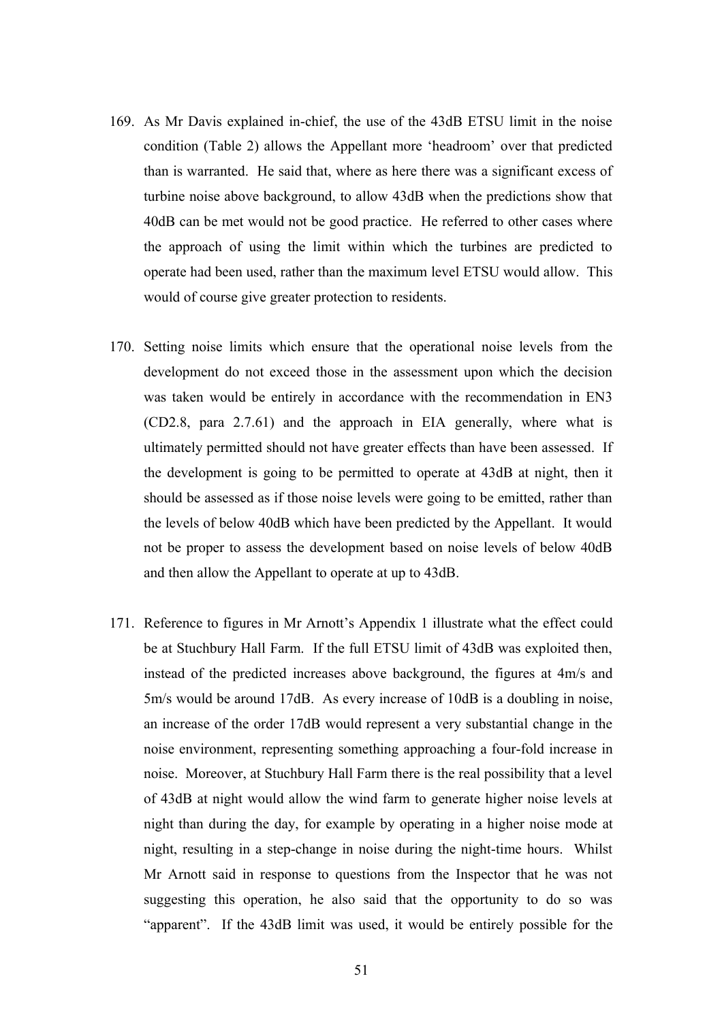- 169. As Mr Davis explained in-chief, the use of the 43dB ETSU limit in the noise condition (Table 2) allows the Appellant more 'headroom' over that predicted than is warranted. He said that, where as here there was a significant excess of turbine noise above background, to allow 43dB when the predictions show that 40dB can be met would not be good practice. He referred to other cases where the approach of using the limit within which the turbines are predicted to operate had been used, rather than the maximum level ETSU would allow. This would of course give greater protection to residents.
- 170. Setting noise limits which ensure that the operational noise levels from the development do not exceed those in the assessment upon which the decision was taken would be entirely in accordance with the recommendation in EN3 (CD2.8, para 2.7.61) and the approach in EIA generally, where what is ultimately permitted should not have greater effects than have been assessed. If the development is going to be permitted to operate at 43dB at night, then it should be assessed as if those noise levels were going to be emitted, rather than the levels of below 40dB which have been predicted by the Appellant. It would not be proper to assess the development based on noise levels of below 40dB and then allow the Appellant to operate at up to 43dB.
- 171. Reference to figures in Mr Arnott's Appendix 1 illustrate what the effect could be at Stuchbury Hall Farm. If the full ETSU limit of 43dB was exploited then, instead of the predicted increases above background, the figures at 4m/s and 5m/s would be around 17dB. As every increase of 10dB is a doubling in noise, an increase of the order 17dB would represent a very substantial change in the noise environment, representing something approaching a four-fold increase in noise. Moreover, at Stuchbury Hall Farm there is the real possibility that a level of 43dB at night would allow the wind farm to generate higher noise levels at night than during the day, for example by operating in a higher noise mode at night, resulting in a step-change in noise during the night-time hours. Whilst Mr Arnott said in response to questions from the Inspector that he was not suggesting this operation, he also said that the opportunity to do so was "apparent". If the 43dB limit was used, it would be entirely possible for the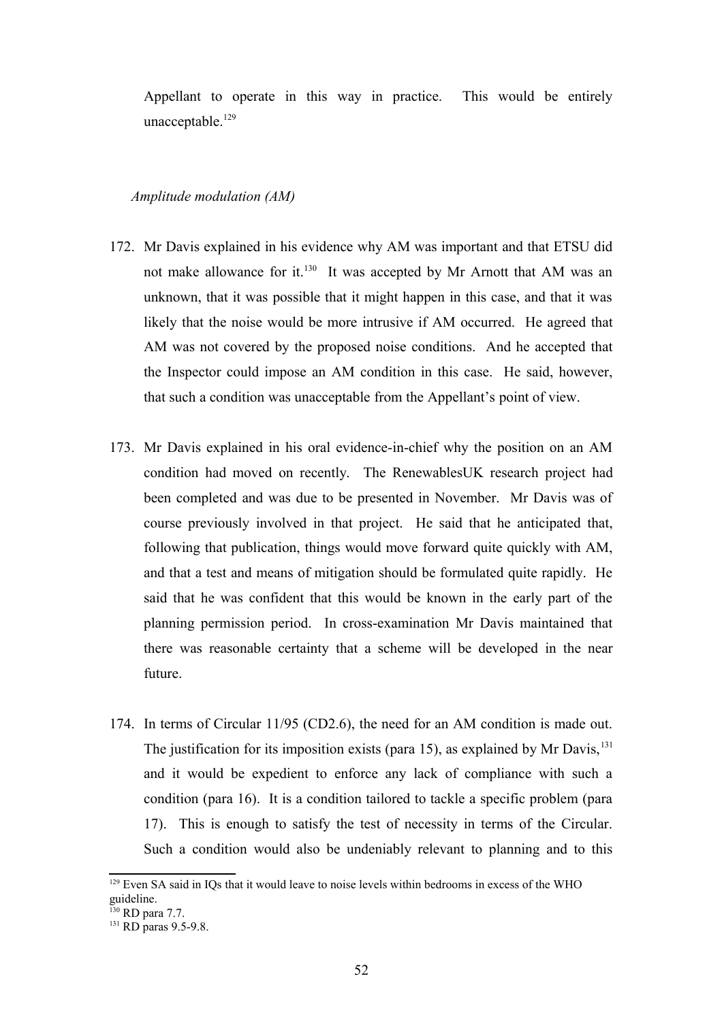Appellant to operate in this way in practice. This would be entirely unacceptable.<sup>[129](#page-51-0)</sup>

#### *Amplitude modulation (AM)*

- 172. Mr Davis explained in his evidence why AM was important and that ETSU did not make allowance for it.<sup>[130](#page-51-1)</sup> It was accepted by Mr Arnott that AM was an unknown, that it was possible that it might happen in this case, and that it was likely that the noise would be more intrusive if AM occurred. He agreed that AM was not covered by the proposed noise conditions. And he accepted that the Inspector could impose an AM condition in this case. He said, however, that such a condition was unacceptable from the Appellant's point of view.
- 173. Mr Davis explained in his oral evidence-in-chief why the position on an AM condition had moved on recently. The RenewablesUK research project had been completed and was due to be presented in November. Mr Davis was of course previously involved in that project. He said that he anticipated that, following that publication, things would move forward quite quickly with AM, and that a test and means of mitigation should be formulated quite rapidly. He said that he was confident that this would be known in the early part of the planning permission period. In cross-examination Mr Davis maintained that there was reasonable certainty that a scheme will be developed in the near future.
- 174. In terms of Circular 11/95 (CD2.6), the need for an AM condition is made out. The justification for its imposition exists (para 15), as explained by Mr Davis,  $^{131}$  $^{131}$  $^{131}$ and it would be expedient to enforce any lack of compliance with such a condition (para 16). It is a condition tailored to tackle a specific problem (para 17). This is enough to satisfy the test of necessity in terms of the Circular. Such a condition would also be undeniably relevant to planning and to this

<span id="page-51-0"></span><sup>&</sup>lt;sup>129</sup> Even SA said in IQs that it would leave to noise levels within bedrooms in excess of the WHO guideline.

<span id="page-51-1"></span><sup>&</sup>lt;sup>130</sup> RD para 7.7.

<span id="page-51-2"></span> $131$  RD paras 9.5-9.8.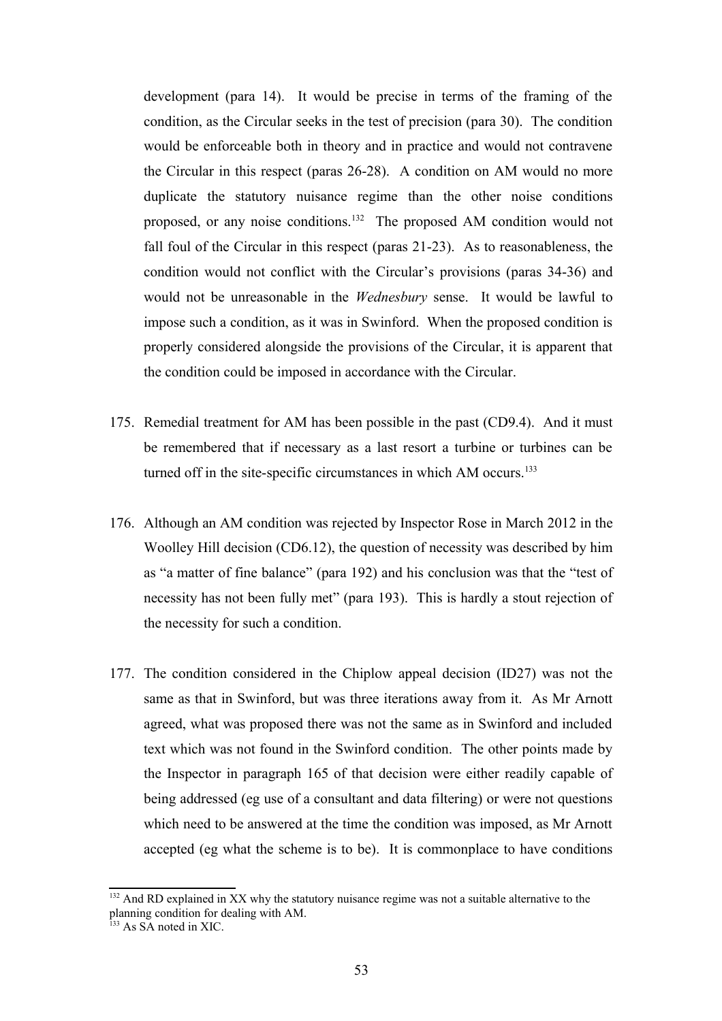development (para 14). It would be precise in terms of the framing of the condition, as the Circular seeks in the test of precision (para 30). The condition would be enforceable both in theory and in practice and would not contravene the Circular in this respect (paras 26-28). A condition on AM would no more duplicate the statutory nuisance regime than the other noise conditions proposed, or any noise conditions.<sup>[132](#page-52-0)</sup> The proposed AM condition would not fall foul of the Circular in this respect (paras 21-23). As to reasonableness, the condition would not conflict with the Circular's provisions (paras 34-36) and would not be unreasonable in the *Wednesbury* sense. It would be lawful to impose such a condition, as it was in Swinford. When the proposed condition is properly considered alongside the provisions of the Circular, it is apparent that the condition could be imposed in accordance with the Circular.

- 175. Remedial treatment for AM has been possible in the past (CD9.4). And it must be remembered that if necessary as a last resort a turbine or turbines can be turned off in the site-specific circumstances in which AM occurs.<sup>[133](#page-52-1)</sup>
- 176. Although an AM condition was rejected by Inspector Rose in March 2012 in the Woolley Hill decision (CD6.12), the question of necessity was described by him as "a matter of fine balance" (para 192) and his conclusion was that the "test of necessity has not been fully met" (para 193). This is hardly a stout rejection of the necessity for such a condition.
- 177. The condition considered in the Chiplow appeal decision (ID27) was not the same as that in Swinford, but was three iterations away from it. As Mr Arnott agreed, what was proposed there was not the same as in Swinford and included text which was not found in the Swinford condition. The other points made by the Inspector in paragraph 165 of that decision were either readily capable of being addressed (eg use of a consultant and data filtering) or were not questions which need to be answered at the time the condition was imposed, as Mr Arnott accepted (eg what the scheme is to be). It is commonplace to have conditions

<span id="page-52-0"></span><sup>&</sup>lt;sup>132</sup> And RD explained in XX why the statutory nuisance regime was not a suitable alternative to the planning condition for dealing with AM.

<span id="page-52-1"></span> $133$  As SA noted in XIC.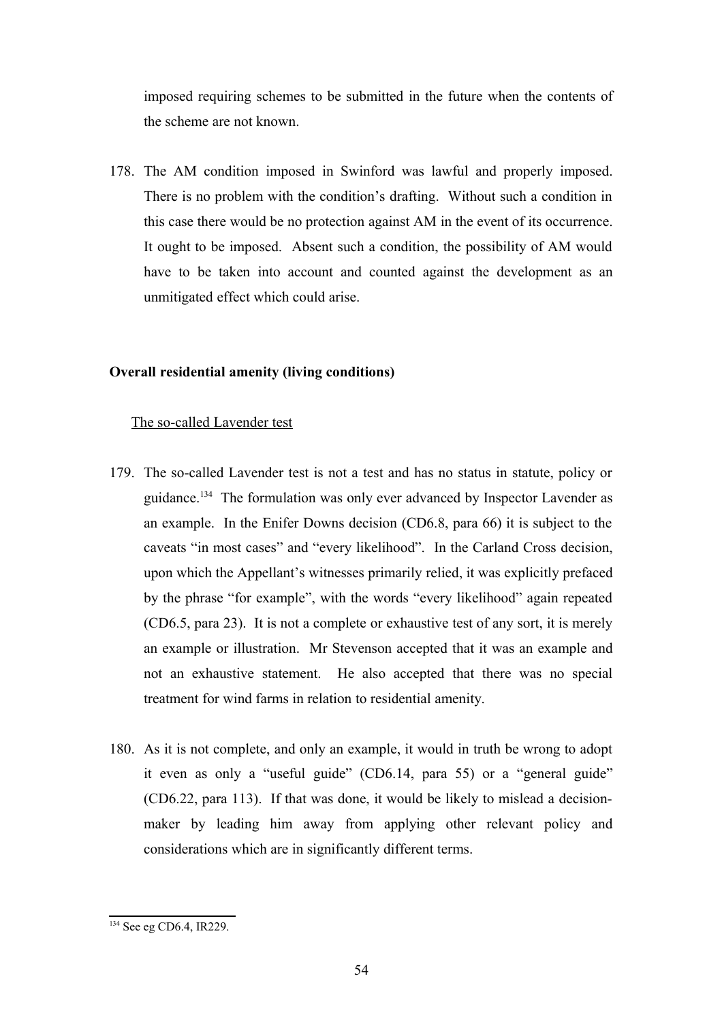imposed requiring schemes to be submitted in the future when the contents of the scheme are not known.

178. The AM condition imposed in Swinford was lawful and properly imposed. There is no problem with the condition's drafting. Without such a condition in this case there would be no protection against AM in the event of its occurrence. It ought to be imposed. Absent such a condition, the possibility of AM would have to be taken into account and counted against the development as an unmitigated effect which could arise.

# **Overall residential amenity (living conditions)**

# The so-called Lavender test

- 179. The so-called Lavender test is not a test and has no status in statute, policy or guidance.[134](#page-53-0) The formulation was only ever advanced by Inspector Lavender as an example. In the Enifer Downs decision (CD6.8, para 66) it is subject to the caveats "in most cases" and "every likelihood". In the Carland Cross decision, upon which the Appellant's witnesses primarily relied, it was explicitly prefaced by the phrase "for example", with the words "every likelihood" again repeated (CD6.5, para 23). It is not a complete or exhaustive test of any sort, it is merely an example or illustration. Mr Stevenson accepted that it was an example and not an exhaustive statement. He also accepted that there was no special treatment for wind farms in relation to residential amenity.
- 180. As it is not complete, and only an example, it would in truth be wrong to adopt it even as only a "useful guide" (CD6.14, para 55) or a "general guide" (CD6.22, para 113). If that was done, it would be likely to mislead a decisionmaker by leading him away from applying other relevant policy and considerations which are in significantly different terms.

<span id="page-53-0"></span><sup>&</sup>lt;sup>134</sup> See eg CD6.4, IR229.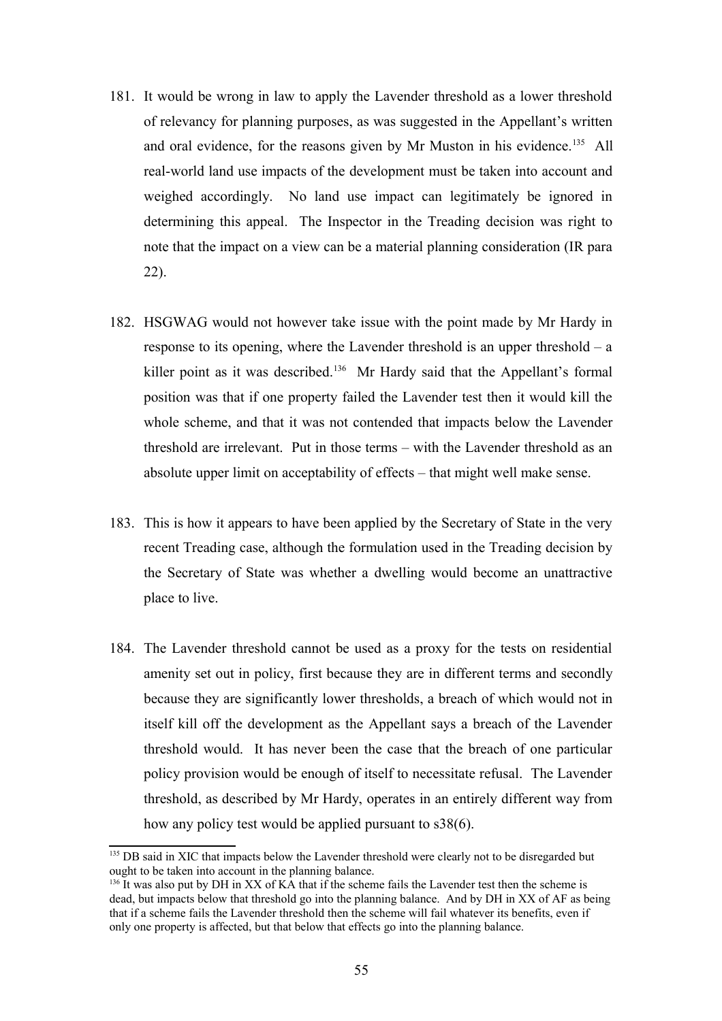- 181. It would be wrong in law to apply the Lavender threshold as a lower threshold of relevancy for planning purposes, as was suggested in the Appellant's written and oral evidence, for the reasons given by Mr Muston in his evidence.<sup>[135](#page-54-0)</sup> All real-world land use impacts of the development must be taken into account and weighed accordingly. No land use impact can legitimately be ignored in determining this appeal. The Inspector in the Treading decision was right to note that the impact on a view can be a material planning consideration (IR para 22).
- 182. HSGWAG would not however take issue with the point made by Mr Hardy in response to its opening, where the Lavender threshold is an upper threshold – a killer point as it was described.<sup>[136](#page-54-1)</sup> Mr Hardy said that the Appellant's formal position was that if one property failed the Lavender test then it would kill the whole scheme, and that it was not contended that impacts below the Lavender threshold are irrelevant. Put in those terms – with the Lavender threshold as an absolute upper limit on acceptability of effects – that might well make sense.
- 183. This is how it appears to have been applied by the Secretary of State in the very recent Treading case, although the formulation used in the Treading decision by the Secretary of State was whether a dwelling would become an unattractive place to live.
- 184. The Lavender threshold cannot be used as a proxy for the tests on residential amenity set out in policy, first because they are in different terms and secondly because they are significantly lower thresholds, a breach of which would not in itself kill off the development as the Appellant says a breach of the Lavender threshold would. It has never been the case that the breach of one particular policy provision would be enough of itself to necessitate refusal. The Lavender threshold, as described by Mr Hardy, operates in an entirely different way from how any policy test would be applied pursuant to s38(6).

<span id="page-54-0"></span><sup>&</sup>lt;sup>135</sup> DB said in XIC that impacts below the Lavender threshold were clearly not to be disregarded but ought to be taken into account in the planning balance.

<span id="page-54-1"></span> $136$  It was also put by DH in XX of KA that if the scheme fails the Lavender test then the scheme is dead, but impacts below that threshold go into the planning balance. And by DH in XX of AF as being that if a scheme fails the Lavender threshold then the scheme will fail whatever its benefits, even if only one property is affected, but that below that effects go into the planning balance.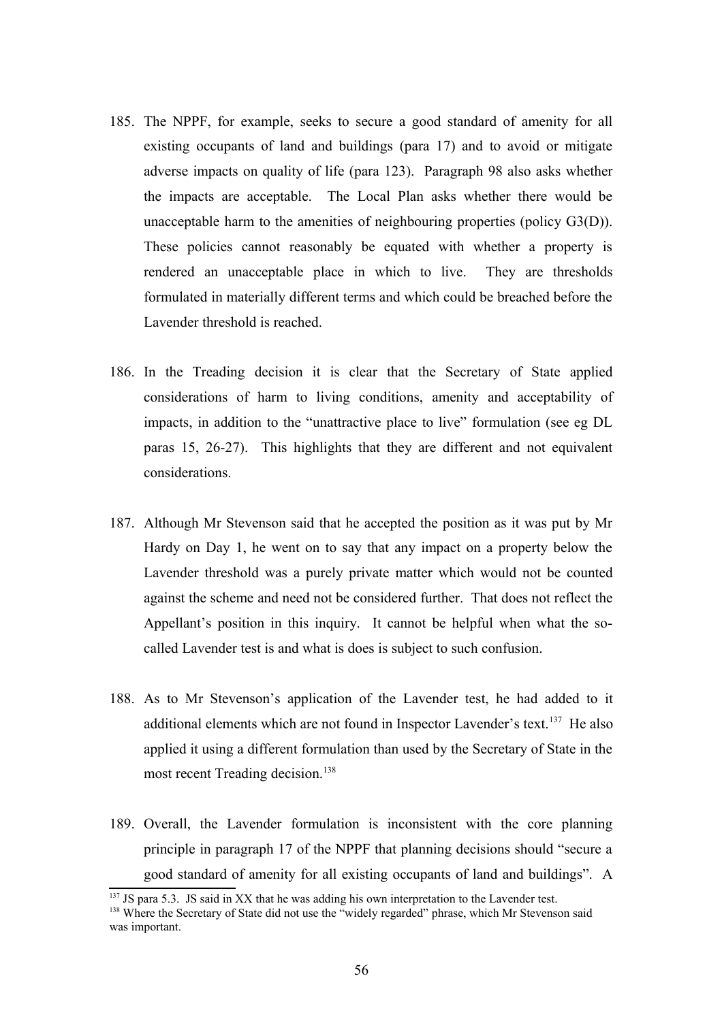- 185. The NPPF, for example, seeks to secure a good standard of amenity for all existing occupants of land and buildings (para 17) and to avoid or mitigate adverse impacts on quality of life (para 123). Paragraph 98 also asks whether the impacts are acceptable. The Local Plan asks whether there would be unacceptable harm to the amenities of neighbouring properties (policy G3(D)). These policies cannot reasonably be equated with whether a property is rendered an unacceptable place in which to live. They are thresholds formulated in materially different terms and which could be breached before the Lavender threshold is reached.
- 186. In the Treading decision it is clear that the Secretary of State applied considerations of harm to living conditions, amenity and acceptability of impacts, in addition to the "unattractive place to live" formulation (see eg DL paras 15, 26-27). This highlights that they are different and not equivalent considerations.
- 187. Although Mr Stevenson said that he accepted the position as it was put by Mr Hardy on Day 1, he went on to say that any impact on a property below the Lavender threshold was a purely private matter which would not be counted against the scheme and need not be considered further. That does not reflect the Appellant's position in this inquiry. It cannot be helpful when what the socalled Lavender test is and what is does is subject to such confusion.
- 188. As to Mr Stevenson's application of the Lavender test, he had added to it additional elements which are not found in Inspector Lavender's text.<sup>[137](#page-55-0)</sup> He also applied it using a different formulation than used by the Secretary of State in the most recent Treading decision.<sup>[138](#page-55-1)</sup>
- 189. Overall, the Lavender formulation is inconsistent with the core planning principle in paragraph 17 of the NPPF that planning decisions should "secure a good standard of amenity for all existing occupants of land and buildings". A

<span id="page-55-0"></span><sup>&</sup>lt;sup>137</sup> JS para 5.3. JS said in XX that he was adding his own interpretation to the Lavender test.

<span id="page-55-1"></span><sup>&</sup>lt;sup>138</sup> Where the Secretary of State did not use the "widely regarded" phrase, which Mr Stevenson said was important.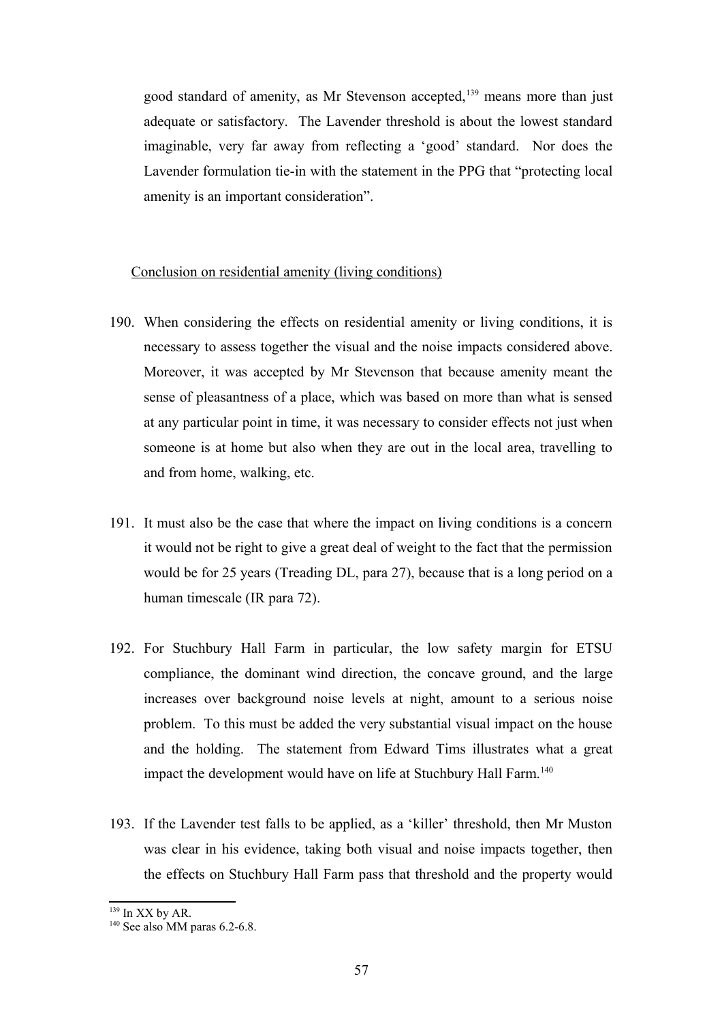good standard of amenity, as Mr Stevenson accepted,<sup>[139](#page-56-0)</sup> means more than just adequate or satisfactory. The Lavender threshold is about the lowest standard imaginable, very far away from reflecting a 'good' standard. Nor does the Lavender formulation tie-in with the statement in the PPG that "protecting local amenity is an important consideration".

## Conclusion on residential amenity (living conditions)

- 190. When considering the effects on residential amenity or living conditions, it is necessary to assess together the visual and the noise impacts considered above. Moreover, it was accepted by Mr Stevenson that because amenity meant the sense of pleasantness of a place, which was based on more than what is sensed at any particular point in time, it was necessary to consider effects not just when someone is at home but also when they are out in the local area, travelling to and from home, walking, etc.
- 191. It must also be the case that where the impact on living conditions is a concern it would not be right to give a great deal of weight to the fact that the permission would be for 25 years (Treading DL, para 27), because that is a long period on a human timescale (IR para 72).
- 192. For Stuchbury Hall Farm in particular, the low safety margin for ETSU compliance, the dominant wind direction, the concave ground, and the large increases over background noise levels at night, amount to a serious noise problem. To this must be added the very substantial visual impact on the house and the holding. The statement from Edward Tims illustrates what a great impact the development would have on life at Stuchbury Hall Farm.<sup>[140](#page-56-1)</sup>
- 193. If the Lavender test falls to be applied, as a 'killer' threshold, then Mr Muston was clear in his evidence, taking both visual and noise impacts together, then the effects on Stuchbury Hall Farm pass that threshold and the property would

<span id="page-56-0"></span><sup>139</sup> In XX by AR.

<span id="page-56-1"></span> $140$  See also MM paras 6.2-6.8.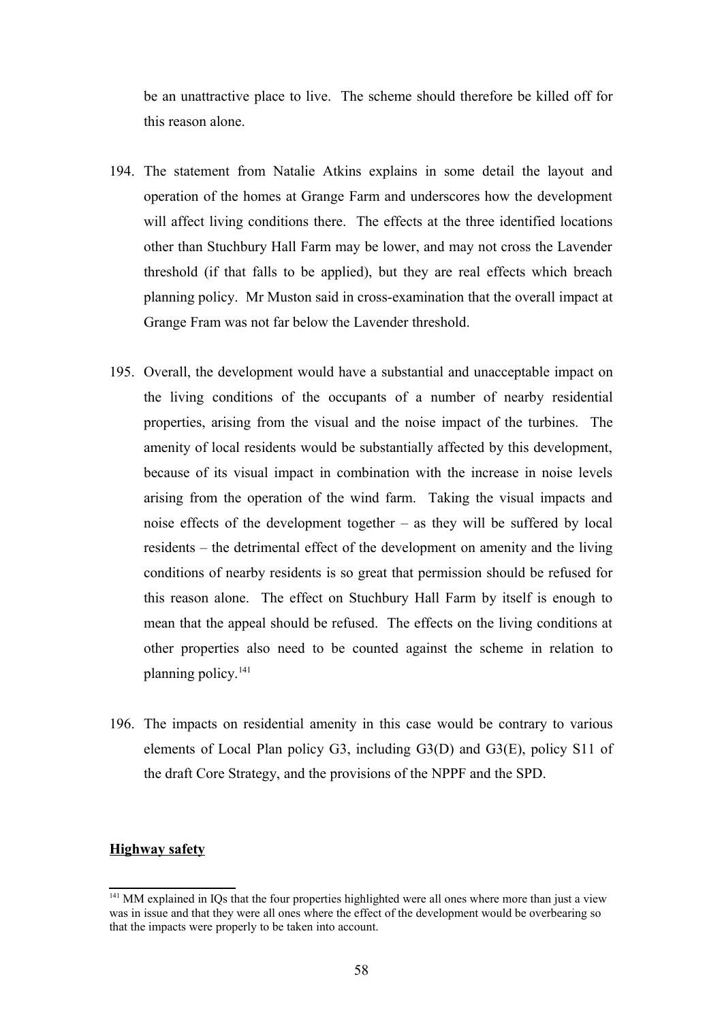be an unattractive place to live. The scheme should therefore be killed off for this reason alone.

- 194. The statement from Natalie Atkins explains in some detail the layout and operation of the homes at Grange Farm and underscores how the development will affect living conditions there. The effects at the three identified locations other than Stuchbury Hall Farm may be lower, and may not cross the Lavender threshold (if that falls to be applied), but they are real effects which breach planning policy. Mr Muston said in cross-examination that the overall impact at Grange Fram was not far below the Lavender threshold.
- 195. Overall, the development would have a substantial and unacceptable impact on the living conditions of the occupants of a number of nearby residential properties, arising from the visual and the noise impact of the turbines. The amenity of local residents would be substantially affected by this development, because of its visual impact in combination with the increase in noise levels arising from the operation of the wind farm. Taking the visual impacts and noise effects of the development together – as they will be suffered by local residents – the detrimental effect of the development on amenity and the living conditions of nearby residents is so great that permission should be refused for this reason alone. The effect on Stuchbury Hall Farm by itself is enough to mean that the appeal should be refused. The effects on the living conditions at other properties also need to be counted against the scheme in relation to planning policy.<sup>[141](#page-57-0)</sup>
- 196. The impacts on residential amenity in this case would be contrary to various elements of Local Plan policy G3, including G3(D) and G3(E), policy S11 of the draft Core Strategy, and the provisions of the NPPF and the SPD.

## **Highway safety**

<span id="page-57-0"></span><sup>&</sup>lt;sup>141</sup> MM explained in IQs that the four properties highlighted were all ones where more than just a view was in issue and that they were all ones where the effect of the development would be overbearing so that the impacts were properly to be taken into account.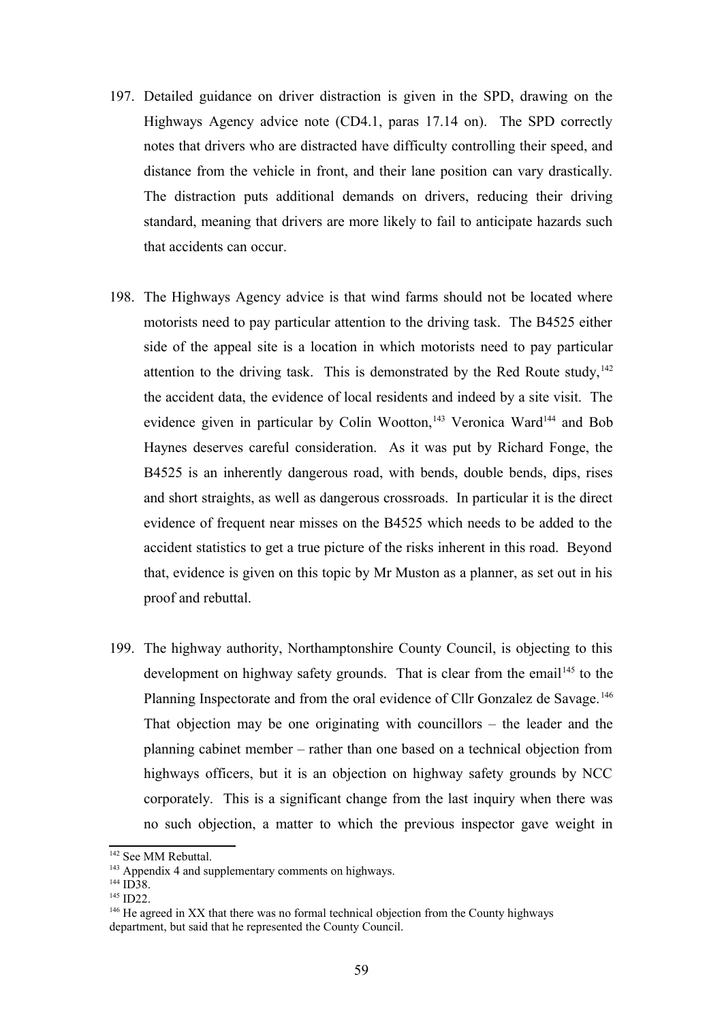- 197. Detailed guidance on driver distraction is given in the SPD, drawing on the Highways Agency advice note (CD4.1, paras 17.14 on). The SPD correctly notes that drivers who are distracted have difficulty controlling their speed, and distance from the vehicle in front, and their lane position can vary drastically. The distraction puts additional demands on drivers, reducing their driving standard, meaning that drivers are more likely to fail to anticipate hazards such that accidents can occur.
- 198. The Highways Agency advice is that wind farms should not be located where motorists need to pay particular attention to the driving task. The B4525 either side of the appeal site is a location in which motorists need to pay particular attention to the driving task. This is demonstrated by the Red Route study,  $142$ the accident data, the evidence of local residents and indeed by a site visit. The evidence given in particular by Colin Wootton,<sup>[143](#page-58-1)</sup> Veronica Ward<sup>[144](#page-58-2)</sup> and Bob Haynes deserves careful consideration. As it was put by Richard Fonge, the B4525 is an inherently dangerous road, with bends, double bends, dips, rises and short straights, as well as dangerous crossroads. In particular it is the direct evidence of frequent near misses on the B4525 which needs to be added to the accident statistics to get a true picture of the risks inherent in this road. Beyond that, evidence is given on this topic by Mr Muston as a planner, as set out in his proof and rebuttal.
- 199. The highway authority, Northamptonshire County Council, is objecting to this development on highway safety grounds. That is clear from the email<sup>[145](#page-58-3)</sup> to the Planning Inspectorate and from the oral evidence of Cllr Gonzalez de Savage.<sup>[146](#page-58-4)</sup> That objection may be one originating with councillors – the leader and the planning cabinet member – rather than one based on a technical objection from highways officers, but it is an objection on highway safety grounds by NCC corporately. This is a significant change from the last inquiry when there was no such objection, a matter to which the previous inspector gave weight in

<span id="page-58-0"></span><sup>&</sup>lt;sup>142</sup> See MM Rebuttal.

<span id="page-58-1"></span><sup>&</sup>lt;sup>143</sup> Appendix 4 and supplementary comments on highways.

<span id="page-58-2"></span> $144$  ID38.

<span id="page-58-3"></span><sup>&</sup>lt;sup>145</sup> ID22.

<span id="page-58-4"></span><sup>&</sup>lt;sup>146</sup> He agreed in XX that there was no formal technical objection from the County highways department, but said that he represented the County Council.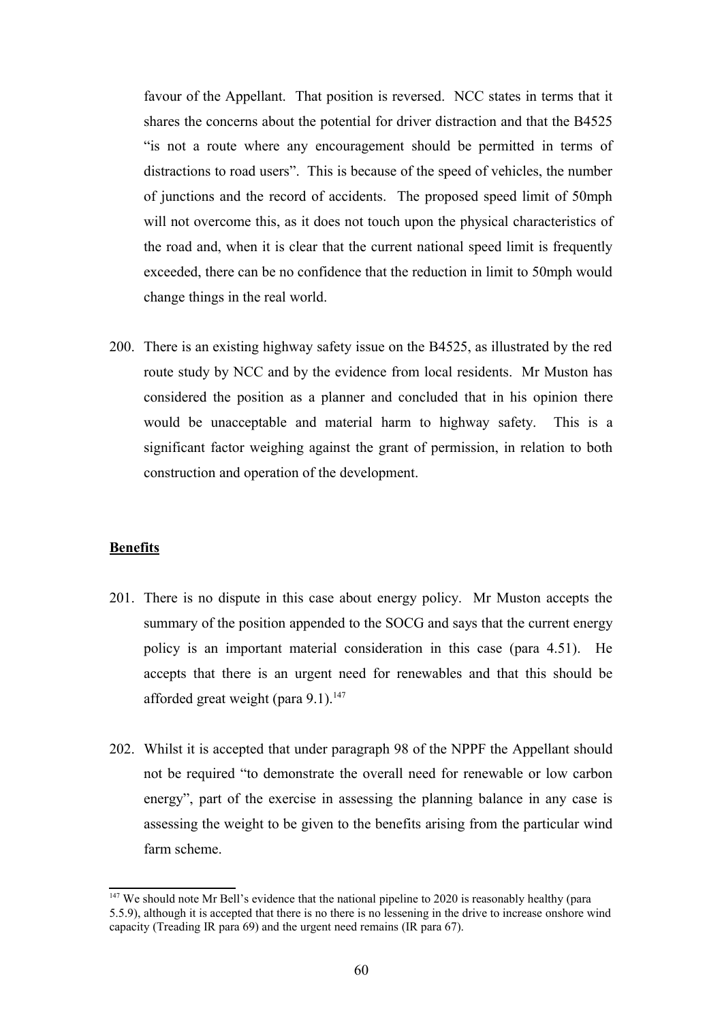favour of the Appellant. That position is reversed. NCC states in terms that it shares the concerns about the potential for driver distraction and that the B4525 "is not a route where any encouragement should be permitted in terms of distractions to road users". This is because of the speed of vehicles, the number of junctions and the record of accidents. The proposed speed limit of 50mph will not overcome this, as it does not touch upon the physical characteristics of the road and, when it is clear that the current national speed limit is frequently exceeded, there can be no confidence that the reduction in limit to 50mph would change things in the real world.

200. There is an existing highway safety issue on the B4525, as illustrated by the red route study by NCC and by the evidence from local residents. Mr Muston has considered the position as a planner and concluded that in his opinion there would be unacceptable and material harm to highway safety. This is a significant factor weighing against the grant of permission, in relation to both construction and operation of the development.

#### **Benefits**

- 201. There is no dispute in this case about energy policy. Mr Muston accepts the summary of the position appended to the SOCG and says that the current energy policy is an important material consideration in this case (para 4.51). He accepts that there is an urgent need for renewables and that this should be afforded great weight (para  $9.1$ ).<sup>[147](#page-59-0)</sup>
- 202. Whilst it is accepted that under paragraph 98 of the NPPF the Appellant should not be required "to demonstrate the overall need for renewable or low carbon energy", part of the exercise in assessing the planning balance in any case is assessing the weight to be given to the benefits arising from the particular wind farm scheme.

<span id="page-59-0"></span><sup>&</sup>lt;sup>147</sup> We should note Mr Bell's evidence that the national pipeline to 2020 is reasonably healthy (para 5.5.9), although it is accepted that there is no there is no lessening in the drive to increase onshore wind capacity (Treading IR para 69) and the urgent need remains (IR para 67).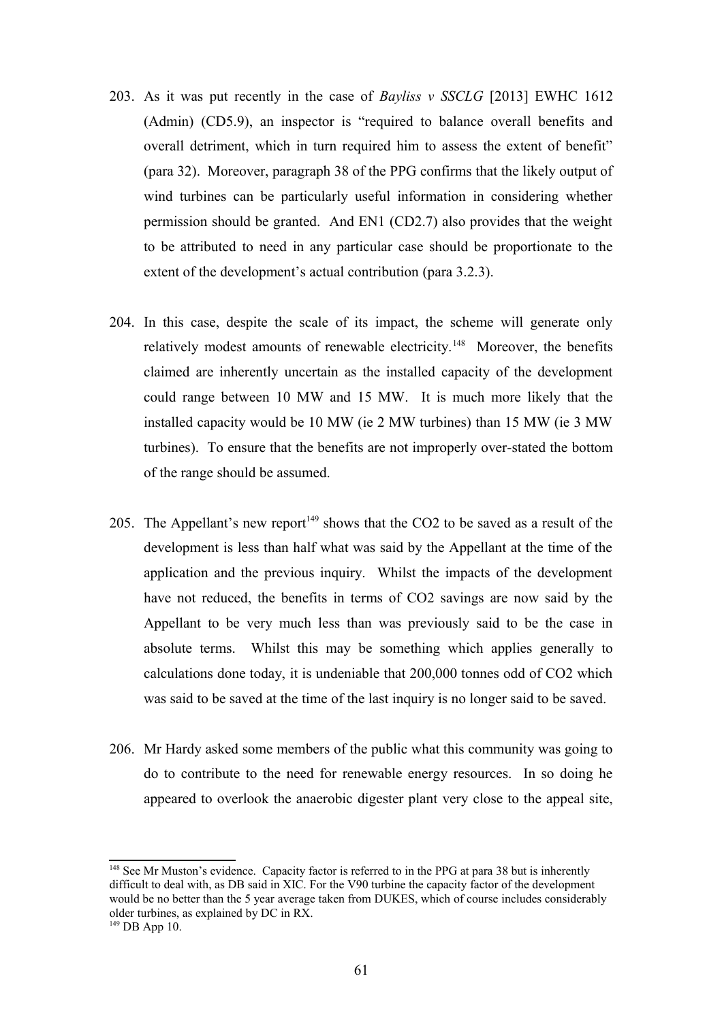- 203. As it was put recently in the case of *Bayliss v SSCLG* [2013] EWHC 1612 (Admin) (CD5.9), an inspector is "required to balance overall benefits and overall detriment, which in turn required him to assess the extent of benefit" (para 32). Moreover, paragraph 38 of the PPG confirms that the likely output of wind turbines can be particularly useful information in considering whether permission should be granted. And EN1 (CD2.7) also provides that the weight to be attributed to need in any particular case should be proportionate to the extent of the development's actual contribution (para 3.2.3).
- 204. In this case, despite the scale of its impact, the scheme will generate only relatively modest amounts of renewable electricity.<sup>[148](#page-60-0)</sup> Moreover, the benefits claimed are inherently uncertain as the installed capacity of the development could range between 10 MW and 15 MW. It is much more likely that the installed capacity would be 10 MW (ie 2 MW turbines) than 15 MW (ie 3 MW turbines). To ensure that the benefits are not improperly over-stated the bottom of the range should be assumed.
- 205. The Appellant's new report<sup>[149](#page-60-1)</sup> shows that the CO2 to be saved as a result of the development is less than half what was said by the Appellant at the time of the application and the previous inquiry. Whilst the impacts of the development have not reduced, the benefits in terms of CO2 savings are now said by the Appellant to be very much less than was previously said to be the case in absolute terms. Whilst this may be something which applies generally to calculations done today, it is undeniable that 200,000 tonnes odd of CO2 which was said to be saved at the time of the last inquiry is no longer said to be saved.
- 206. Mr Hardy asked some members of the public what this community was going to do to contribute to the need for renewable energy resources. In so doing he appeared to overlook the anaerobic digester plant very close to the appeal site,

<span id="page-60-0"></span><sup>&</sup>lt;sup>148</sup> See Mr Muston's evidence. Capacity factor is referred to in the PPG at para 38 but is inherently difficult to deal with, as DB said in XIC. For the V90 turbine the capacity factor of the development would be no better than the 5 year average taken from DUKES, which of course includes considerably older turbines, as explained by DC in RX.

<span id="page-60-1"></span> $149$  DB App 10.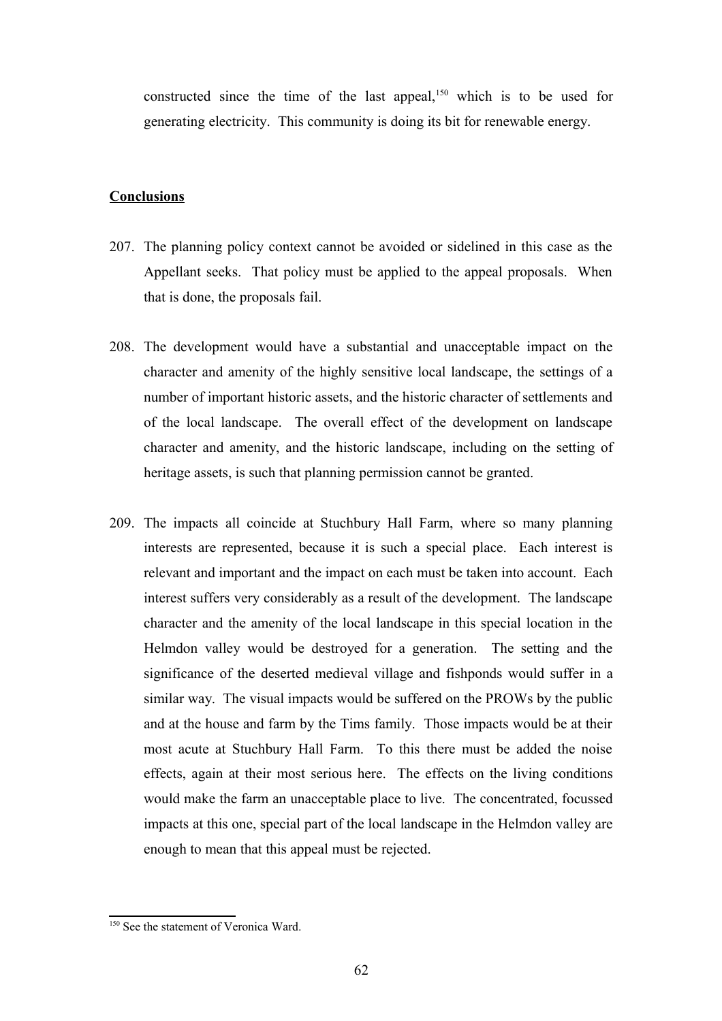constructed since the time of the last appeal,<sup>[150](#page-61-0)</sup> which is to be used for generating electricity. This community is doing its bit for renewable energy.

## **Conclusions**

- 207. The planning policy context cannot be avoided or sidelined in this case as the Appellant seeks. That policy must be applied to the appeal proposals. When that is done, the proposals fail.
- 208. The development would have a substantial and unacceptable impact on the character and amenity of the highly sensitive local landscape, the settings of a number of important historic assets, and the historic character of settlements and of the local landscape. The overall effect of the development on landscape character and amenity, and the historic landscape, including on the setting of heritage assets, is such that planning permission cannot be granted.
- 209. The impacts all coincide at Stuchbury Hall Farm, where so many planning interests are represented, because it is such a special place. Each interest is relevant and important and the impact on each must be taken into account. Each interest suffers very considerably as a result of the development. The landscape character and the amenity of the local landscape in this special location in the Helmdon valley would be destroyed for a generation. The setting and the significance of the deserted medieval village and fishponds would suffer in a similar way. The visual impacts would be suffered on the PROWs by the public and at the house and farm by the Tims family. Those impacts would be at their most acute at Stuchbury Hall Farm. To this there must be added the noise effects, again at their most serious here. The effects on the living conditions would make the farm an unacceptable place to live. The concentrated, focussed impacts at this one, special part of the local landscape in the Helmdon valley are enough to mean that this appeal must be rejected.

<span id="page-61-0"></span><sup>&</sup>lt;sup>150</sup> See the statement of Veronica Ward.